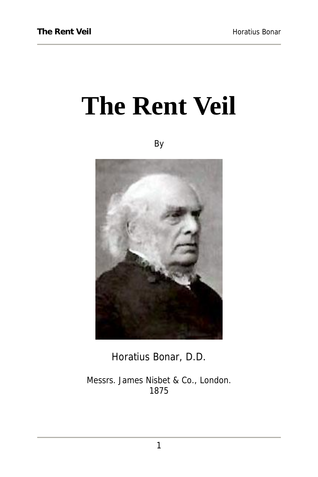# **The Rent Veil**

By



Horatius Bonar, D.D.

Messrs. James Nisbet & Co., London. 1875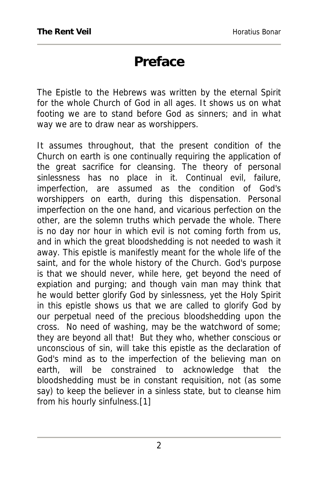### **Preface**

The Epistle to the Hebrews was written by the eternal Spirit for the whole Church of God in all ages. It shows us on what footing we are to stand before God as sinners; and in what way we are to draw near as worshippers.

It assumes throughout, that the present condition of the Church on earth is one continually requiring the application of the great sacrifice for cleansing. The theory of personal sinlessness has no place in it. Continual evil, failure, imperfection, are assumed as the condition of God's worshippers on earth, during this dispensation. Personal imperfection on the one hand, and vicarious perfection on the other, are the solemn truths which pervade the whole. There is no day nor hour in which evil is not coming forth from us, and in which the great bloodshedding is not needed to wash it away. This epistle is manifestly meant for the whole life of the saint, and for the whole history of the Church. God's purpose is that we should never, while here, get beyond the need of expiation and purging; and though vain man may think that he would better glorify God by sinlessness, yet the Holy Spirit in this epistle shows us that we are called to glorify God by our perpetual need of the precious bloodshedding upon the cross. No need of washing, may be the watchword of some; they are beyond all that! But they who, whether conscious or unconscious of sin, will take this epistle as the declaration of God's mind as to the imperfection of the believing man on earth, will be constrained to acknowledge that the bloodshedding must be in constant requisition, not (as some say) to keep the believer in a sinless state, but to cleanse him from his hourly sinfulness.[1]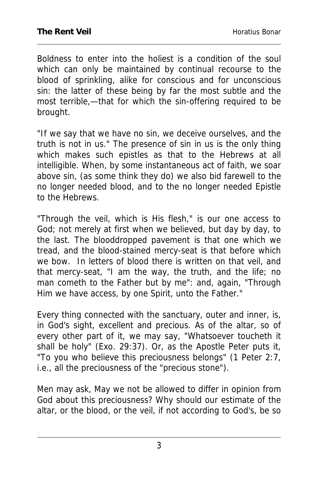Boldness to enter into the holiest is a condition of the soul which can only be maintained by continual recourse to the blood of sprinkling, alike for conscious and for unconscious sin: the latter of these being by far the most subtle and the most terrible,—that for which the sin-offering required to be brought.

"If we say that we have no sin, we deceive ourselves, and the truth is not in us." The presence of sin in us is the only thing which makes such epistles as that to the Hebrews at all intelligible. When, by some instantaneous act of faith, we soar above sin, (as some think they do) we also bid farewell to the no longer needed blood, and to the no longer needed Epistle to the Hebrews.

"Through the veil, which is His flesh," is our one access to God; not merely at first when we believed, but day by day, to the last. The blooddropped pavement is that one which we tread, and the blood-stained mercy-seat is that before which we bow. In letters of blood there is written on that veil, and that mercy-seat, "I am the way, the truth, and the life; no man cometh to the Father but by me": and, again, "Through Him we have access, by one Spirit, unto the Father."

Every thing connected with the sanctuary, outer and inner, is, in God's sight, excellent and precious. As of the altar, so of every other part of it, we may say, "Whatsoever toucheth it shall be holy" (Exo. 29:37). Or, as the Apostle Peter puts it, "To you who believe this preciousness belongs" (1 Peter 2:7, i.e., all the preciousness of the "precious stone").

Men may ask, May we not be allowed to differ in opinion from God about this preciousness? Why should our estimate of the altar, or the blood, or the veil, if not according to God's, be so

3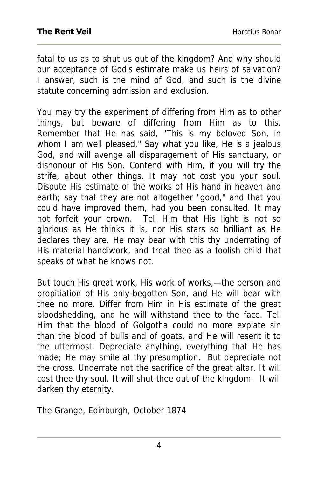fatal to us as to shut us out of the kingdom? And why should our acceptance of God's estimate make us heirs of salvation? I answer, such is the mind of God, and such is the divine statute concerning admission and exclusion.

You may try the experiment of differing from Him as to other things, but beware of differing from Him as to this. Remember that He has said, "This is my beloved Son, in whom I am well pleased." Say what you like, He is a jealous God, and will avenge all disparagement of His sanctuary, or dishonour of His Son. Contend with Him, if you will try the strife, about other things. It may not cost you your soul. Dispute His estimate of the works of His hand in heaven and earth; say that they are not altogether "good," and that you could have improved them, had you been consulted. It may not forfeit your crown. Tell Him that His light is not so glorious as He thinks it is, nor His stars so brilliant as He declares they are. He may bear with this thy underrating of His material handiwork, and treat thee as a foolish child that speaks of what he knows not.

But touch His great work, His work of works,—the person and propitiation of His only-begotten Son, and He will bear with thee no more. Differ from Him in His estimate of the great bloodshedding, and he will withstand thee to the face. Tell Him that the blood of Golgotha could no more expiate sin than the blood of bulls and of goats, and He will resent it to the uttermost. Depreciate anything, everything that He has made; He may smile at thy presumption. But depreciate not the cross. Underrate not the sacrifice of the great altar. It will cost thee thy soul. It will shut thee out of the kingdom. It will darken thy eternity.

The Grange, Edinburgh, October 1874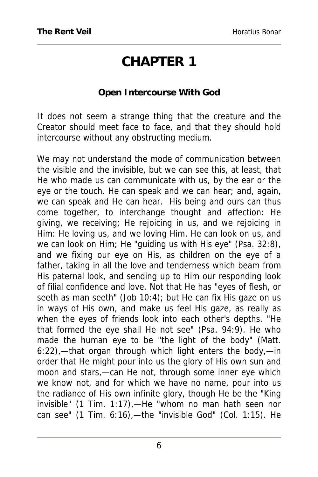# **CHAPTER 1**

#### **Open Intercourse With God**

It does not seem a strange thing that the creature and the Creator should meet face to face, and that they should hold intercourse without any obstructing medium.

We may not understand the mode of communication between the visible and the invisible, but we can see this, at least, that He who made us can communicate with us, by the ear or the eye or the touch. He can speak and we can hear; and, again, we can speak and He can hear. His being and ours can thus come together, to interchange thought and affection: He giving, we receiving; He rejoicing in us, and we rejoicing in Him: He loving us, and we loving Him. He can look on us, and we can look on Him; He "guiding us with His eye" (Psa. 32:8), and we fixing our eye on His, as children on the eye of a father, taking in all the love and tenderness which beam from His paternal look, and sending up to Him our responding look of filial confidence and love. Not that He has "eyes of flesh, or seeth as man seeth" (Job 10:4); but He can fix His gaze on us in ways of His own, and make us feel His gaze, as really as when the eyes of friends look into each other's depths. "He that formed the eye shall He not see" (Psa. 94:9). He who made the human eye to be "the light of the body" (Matt. 6:22),—that organ through which light enters the body,—in order that He might pour into us the glory of His own sun and moon and stars,—can He not, through some inner eye which we know not, and for which we have no name, pour into us the radiance of His own infinite glory, though He be the "King invisible" (1 Tim. 1:17),—He "whom no man hath seen nor can see" (1 Tim. 6:16),—the "invisible God" (Col. 1:15). He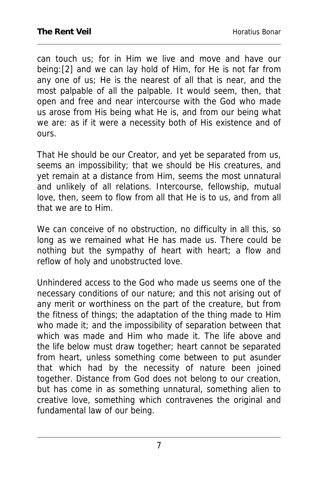can touch us; for in Him we live and move and have our being:[2] and we can lay hold of Him, for He is not far from any one of us; He is the nearest of all that is near, and the most palpable of all the palpable. It would seem, then, that open and free and near intercourse with the God who made us arose from His being what He is, and from our being what we are: as if it were a necessity both of His existence and of ours.

That He should be our Creator, and yet be separated from us, seems an impossibility; that we should be His creatures, and yet remain at a distance from Him, seems the most unnatural and unlikely of all relations. Intercourse, fellowship, mutual love, then, seem to flow from all that He is to us, and from all that we are to Him.

We can conceive of no obstruction, no difficulty in all this, so long as we remained what He has made us. There could be nothing but the sympathy of heart with heart; a flow and reflow of holy and unobstructed love.

Unhindered access to the God who made us seems one of the necessary conditions of our nature; and this not arising out of any merit or worthiness on the part of the creature, but from the fitness of things; the adaptation of the thing made to Him who made it; and the impossibility of separation between that which was made and Him who made it. The life above and the life below must draw together; heart cannot be separated from heart, unless something come between to put asunder that which had by the necessity of nature been joined together. Distance from God does not belong to our creation, but has come in as something unnatural, something alien to creative love, something which contravenes the original and fundamental law of our being.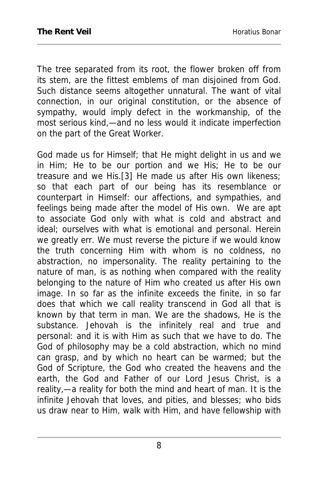The tree separated from its root, the flower broken off from its stem, are the fittest emblems of man disjoined from God. Such distance seems altogether unnatural. The want of vital connection, in our original constitution, or the absence of sympathy, would imply defect in the workmanship, of the most serious kind,—and no less would it indicate imperfection on the part of the Great Worker.

God made us for Himself; that He might delight in us and we in Him; He to be our portion and we His; He to be our treasure and we His.[3] He made us after His own likeness; so that each part of our being has its resemblance or counterpart in Himself: our affections, and sympathies, and feelings being made after the model of His own. We are apt to associate God only with what is cold and abstract and ideal; ourselves with what is emotional and personal. Herein we greatly err. We must reverse the picture if we would know the truth concerning Him with whom is no coldness, no abstraction, no impersonality. The reality pertaining to the nature of man, is as nothing when compared with the reality belonging to the nature of Him who created us after His own image. In so far as the infinite exceeds the finite, in so far does that which we call reality transcend in God all that is known by that term in man. We are the shadows, He is the substance. Jehovah is the infinitely real and true and personal: and it is with Him as such that we have to do. The God of philosophy may be a cold abstraction, which no mind can grasp, and by which no heart can be warmed; but the God of Scripture, the God who created the heavens and the earth, the God and Father of our Lord Jesus Christ, is a reality,—a reality for both the mind and heart of man. It is the infinite Jehovah that loves, and pities, and blesses; who bids us draw near to Him, walk with Him, and have fellowship with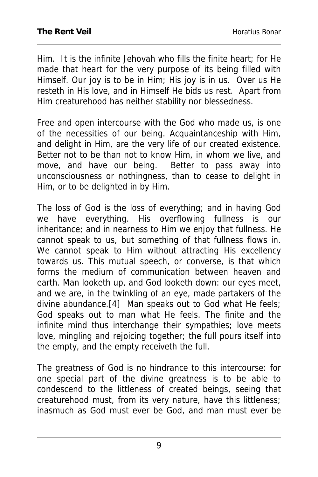Him. It is the infinite Jehovah who fills the finite heart; for He made that heart for the very purpose of its being filled with Himself. Our joy is to be in Him; His joy is in us. Over us He resteth in His love, and in Himself He bids us rest. Apart from Him creaturehood has neither stability nor blessedness.

Free and open intercourse with the God who made us, is one of the necessities of our being. Acquaintanceship with Him, and delight in Him, are the very life of our created existence. Better not to be than not to know Him, in whom we live, and move, and have our being. Better to pass away into unconsciousness or nothingness, than to cease to delight in Him, or to be delighted in by Him.

The loss of God is the loss of everything; and in having God we have everything. His overflowing fullness is our inheritance; and in nearness to Him we enjoy that fullness. He cannot speak to us, but something of that fullness flows in. We cannot speak to Him without attracting His excellency towards us. This mutual speech, or converse, is that which forms the medium of communication between heaven and earth. Man looketh up, and God looketh down: our eyes meet, and we are, in the twinkling of an eye, made partakers of the divine abundance.[4] Man speaks out to God what He feels; God speaks out to man what He feels. The finite and the infinite mind thus interchange their sympathies; love meets love, mingling and rejoicing together; the full pours itself into the empty, and the empty receiveth the full.

The greatness of God is no hindrance to this intercourse: for one special part of the divine greatness is to be able to condescend to the littleness of created beings, seeing that creaturehood must, from its very nature, have this littleness; inasmuch as God must ever be God, and man must ever be

9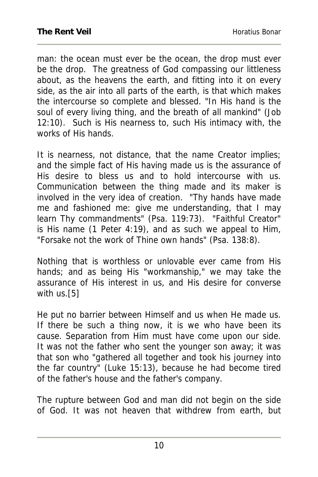man: the ocean must ever be the ocean, the drop must ever be the drop. The greatness of God compassing our littleness about, as the heavens the earth, and fitting into it on every side, as the air into all parts of the earth, is that which makes the intercourse so complete and blessed. "In His hand is the soul of every living thing, and the breath of all mankind" (Job 12:10). Such is His nearness to, such His intimacy with, the works of His hands.

It is nearness, not distance, that the name Creator implies; and the simple fact of His having made us is the assurance of His desire to bless us and to hold intercourse with us. Communication between the thing made and its maker is involved in the very idea of creation. "Thy hands have made me and fashioned me: give me understanding, that I may learn Thy commandments" (Psa. 119:73). "Faithful Creator" is His name (1 Peter 4:19), and as such we appeal to Him, "Forsake not the work of Thine own hands" (Psa. 138:8).

Nothing that is worthless or unlovable ever came from His hands; and as being His "workmanship," we may take the assurance of His interest in us, and His desire for converse with us.[5]

He put no barrier between Himself and us when He made us. If there be such a thing now, it is we who have been its cause. Separation from Him must have come upon our side. It was not the father who sent the younger son away; it was that son who "gathered all together and took his journey into the far country" (Luke 15:13), because he had become tired of the father's house and the father's company.

The rupture between God and man did not begin on the side of God. It was not heaven that withdrew from earth, but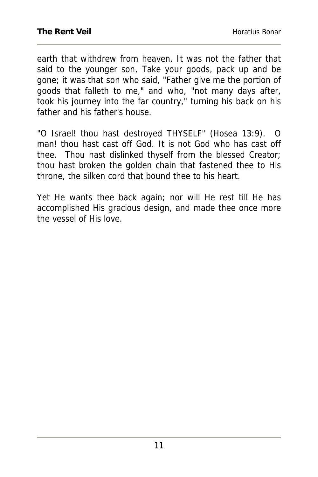earth that withdrew from heaven. It was not the father that said to the younger son, Take your goods, pack up and be gone; it was that son who said, "Father give me the portion of goods that falleth to me," and who, "not many days after, took his journey into the far country," turning his back on his father and his father's house.

"O Israel! thou hast destroyed THYSELF" (Hosea 13:9). O man! thou hast cast off God. It is not God who has cast off thee. Thou hast dislinked thyself from the blessed Creator; thou hast broken the golden chain that fastened thee to His throne, the silken cord that bound thee to his heart.

Yet He wants thee back again; nor will He rest till He has accomplished His gracious design, and made thee once more the vessel of His love.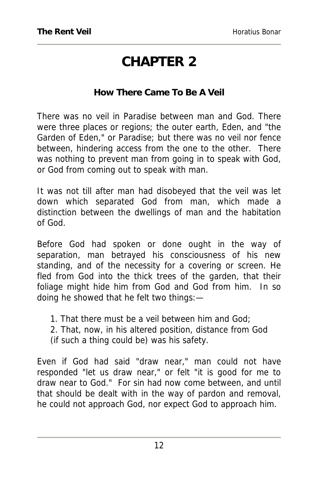# **CHAPTER 2**

#### **How There Came To Be A Veil**

There was no veil in Paradise between man and God. There were three places or regions; the outer earth, Eden, and "the Garden of Eden," or Paradise; but there was no veil nor fence between, hindering access from the one to the other. There was nothing to prevent man from going in to speak with God, or God from coming out to speak with man.

It was not till after man had disobeyed that the veil was let down which separated God from man, which made a distinction between the dwellings of man and the habitation of God.

Before God had spoken or done ought in the way of separation, man betrayed his consciousness of his new standing, and of the necessity for a covering or screen. He fled from God into the thick trees of the garden, that their foliage might hide him from God and God from him. In so doing he showed that he felt two things:—

- 1. That there must be a veil between him and God;
- 2. That, now, in his altered position, distance from God
- (if such a thing could be) was his safety.

Even if God had said "draw near," man could not have responded "let us draw near," or felt "it is good for me to draw near to God." For sin had now come between, and until that should be dealt with in the way of pardon and removal, he could not approach God, nor expect God to approach him.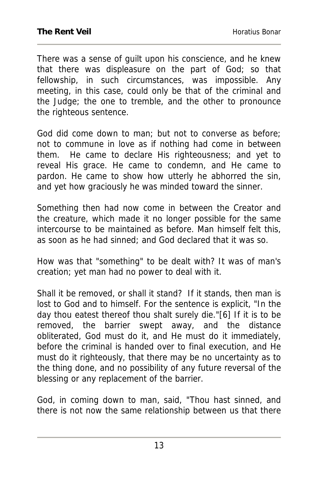There was a sense of guilt upon his conscience, and he knew that there was displeasure on the part of God; so that fellowship, in such circumstances, was impossible. Any meeting, in this case, could only be that of the criminal and the Judge; the one to tremble, and the other to pronounce the righteous sentence.

God did come down to man; but not to converse as before; not to commune in love as if nothing had come in between them. He came to declare His righteousness; and yet to reveal His grace. He came to condemn, and He came to pardon. He came to show how utterly he abhorred the sin, and yet how graciously he was minded toward the sinner.

Something then had now come in between the Creator and the creature, which made it no longer possible for the same intercourse to be maintained as before. Man himself felt this, as soon as he had sinned; and God declared that it was so.

How was that "something" to be dealt with? It was of man's creation; yet man had no power to deal with it.

Shall it be removed, or shall it stand? If it stands, then man is lost to God and to himself. For the sentence is explicit, "In the day thou eatest thereof thou shalt surely die."[6] If it is to be removed, the barrier swept away, and the distance obliterated, God must do it, and He must do it immediately, before the criminal is handed over to final execution, and He must do it righteously, that there may be no uncertainty as to the thing done, and no possibility of any future reversal of the blessing or any replacement of the barrier.

God, in coming down to man, said, "Thou hast sinned, and there is not now the same relationship between us that there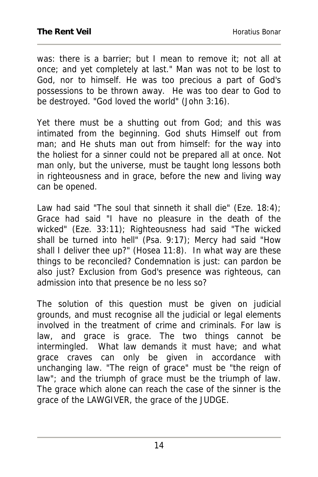was: there is a barrier; but I mean to remove it; not all at once; and yet completely at last." Man was not to be lost to God, nor to himself. He was too precious a part of God's possessions to be thrown away. He was too dear to God to be destroyed. "God loved the world" (John 3:16).

Yet there must be a shutting out from God; and this was intimated from the beginning. God shuts Himself out from man; and He shuts man out from himself: for the way into the holiest for a sinner could not be prepared all at once. Not man only, but the universe, must be taught long lessons both in righteousness and in grace, before the new and living way can be opened.

Law had said "The soul that sinneth it shall die" (Eze. 18:4); Grace had said "I have no pleasure in the death of the wicked" (Eze. 33:11); Righteousness had said "The wicked shall be turned into hell" (Psa. 9:17); Mercy had said "How shall I deliver thee up?" (Hosea 11:8). In what way are these things to be reconciled? Condemnation is just: can pardon be also just? Exclusion from God's presence was righteous, can admission into that presence be no less so?

The solution of this question must be given on judicial grounds, and must recognise all the judicial or legal elements involved in the treatment of crime and criminals. For law is law, and grace is grace. The two things cannot be intermingled. What law demands it must have; and what grace craves can only be given in accordance with unchanging law. "The reign of grace" must be "the reign of law"; and the triumph of grace must be the triumph of law. The grace which alone can reach the case of the sinner is the grace of the LAWGIVER, the grace of the JUDGE.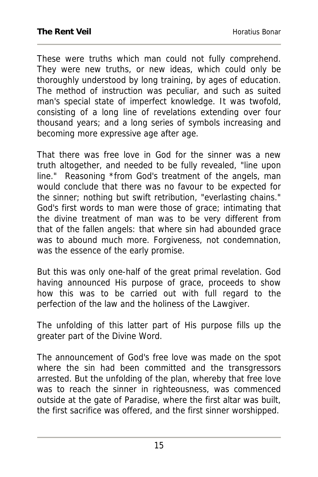These were truths which man could not fully comprehend. They were new truths, or new ideas, which could only be thoroughly understood by long training, by ages of education. The method of instruction was peculiar, and such as suited man's special state of imperfect knowledge. It was twofold, consisting of a long line of revelations extending over four thousand years; and a long series of symbols increasing and becoming more expressive age after age.

That there was free love in God for the sinner was a new truth altogether, and needed to be fully revealed, "line upon line." Reasoning \*from God's treatment of the angels, man would conclude that there was no favour to be expected for the sinner; nothing but swift retribution, "everlasting chains." God's first words to man were those of grace; intimating that the divine treatment of man was to be very different from that of the fallen angels: that where sin had abounded grace was to abound much more. Forgiveness, not condemnation, was the essence of the early promise.

But this was only one-half of the great primal revelation. God having announced His purpose of grace, proceeds to show how this was to be carried out with full regard to the perfection of the law and the holiness of the Lawgiver.

The unfolding of this latter part of His purpose fills up the greater part of the Divine Word.

The announcement of God's free love was made on the spot where the sin had been committed and the transgressors arrested. But the unfolding of the plan, whereby that free love was to reach the sinner in righteousness, was commenced outside at the gate of Paradise, where the first altar was built, the first sacrifice was offered, and the first sinner worshipped.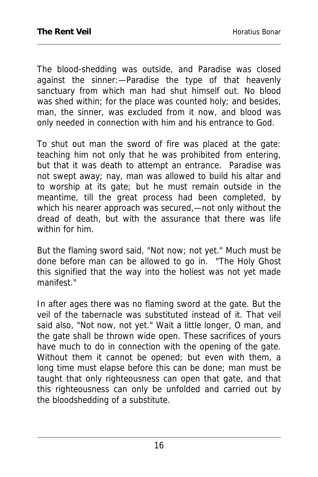The blood-shedding was outside, and Paradise was closed against the sinner:—Paradise the type of that heavenly sanctuary from which man had shut himself out. No blood was shed within; for the place was counted holy; and besides, man, the sinner, was excluded from it now, and blood was only needed in connection with him and his entrance to God.

To shut out man the sword of fire was placed at the gate: teaching him not only that he was prohibited from entering, but that it was death to attempt an entrance. Paradise was not swept away; nay, man was allowed to build his altar and to worship at its gate; but he must remain outside in the meantime, till the great process had been completed, by which his nearer approach was secured,—not only without the dread of death, but with the assurance that there was life within for him.

But the flaming sword said, "Not now; not yet." Much must be done before man can be allowed to go in. "The Holy Ghost this signified that the way into the holiest was not yet made manifest."

In after ages there was no flaming sword at the gate. But the veil of the tabernacle was substituted instead of it. That veil said also, "Not now, not yet." Wait a little longer, O man, and the gate shall be thrown wide open. These sacrifices of yours have much to do in connection with the opening of the gate. Without them it cannot be opened; but even with them, a long time must elapse before this can be done; man must be taught that only righteousness can open that gate, and that this righteousness can only be unfolded and carried out by the bloodshedding of a substitute.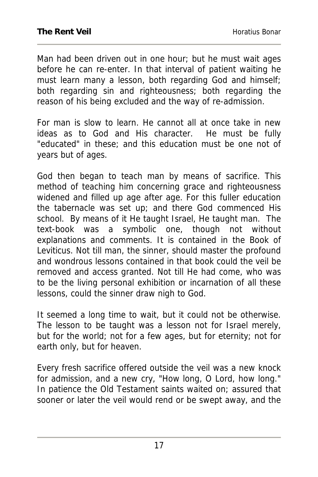Man had been driven out in one hour; but he must wait ages before he can re-enter. In that interval of patient waiting he must learn many a lesson, both regarding God and himself; both regarding sin and righteousness; both regarding the reason of his being excluded and the way of re-admission.

For man is slow to learn. He cannot all at once take in new ideas as to God and His character. He must be fully "educated" in these; and this education must be one not of years but of ages.

God then began to teach man by means of sacrifice. This method of teaching him concerning grace and righteousness widened and filled up age after age. For this fuller education the tabernacle was set up; and there God commenced His school. By means of it He taught Israel, He taught man. The text-book was a symbolic one, though not without explanations and comments. It is contained in the Book of Leviticus. Not till man, the sinner, should master the profound and wondrous lessons contained in that book could the veil be removed and access granted. Not till He had come, who was to be the living personal exhibition or incarnation of all these lessons, could the sinner draw nigh to God.

It seemed a long time to wait, but it could not be otherwise. The lesson to be taught was a lesson not for Israel merely, but for the world; not for a few ages, but for eternity; not for earth only, but for heaven.

Every fresh sacrifice offered outside the veil was a new knock for admission, and a new cry, "How long, O Lord, how long." In patience the Old Testament saints waited on; assured that sooner or later the veil would rend or be swept away, and the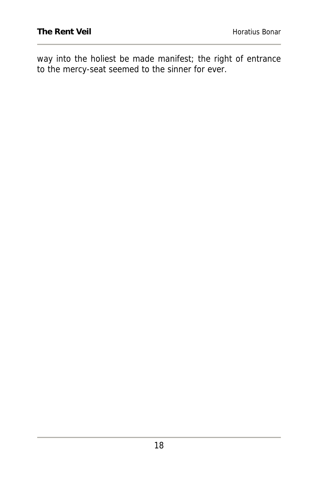way into the holiest be made manifest; the right of entrance to the mercy-seat seemed to the sinner for ever.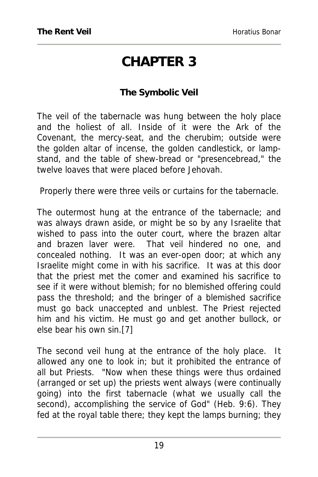## **CHAPTER 3**

#### **The Symbolic Veil**

The veil of the tabernacle was hung between the holy place and the holiest of all. Inside of it were the Ark of the Covenant, the mercy-seat, and the cherubim; outside were the golden altar of incense, the golden candlestick, or lampstand, and the table of shew-bread or "presencebread," the twelve loaves that were placed before Jehovah.

Properly there were three veils or curtains for the tabernacle.

The outermost hung at the entrance of the tabernacle; and was always drawn aside, or might be so by any Israelite that wished to pass into the outer court, where the brazen altar and brazen laver were. That veil hindered no one, and concealed nothing. It was an ever-open door; at which any Israelite might come in with his sacrifice. It was at this door that the priest met the comer and examined his sacrifice to see if it were without blemish; for no blemished offering could pass the threshold; and the bringer of a blemished sacrifice must go back unaccepted and unblest. The Priest rejected him and his victim. He must go and get another bullock, or else bear his own sin.[7]

The second veil hung at the entrance of the holy place. It allowed any one to look in; but it prohibited the entrance of all but Priests. "Now when these things were thus ordained (arranged or set up) the priests went always (were continually going) into the first tabernacle (what we usually call the second), accomplishing the service of God" (Heb. 9:6). They fed at the royal table there; they kept the lamps burning; they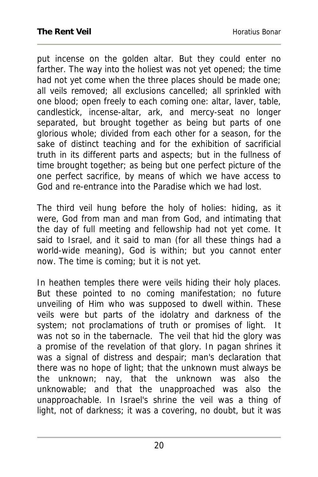put incense on the golden altar. But they could enter no farther. The way into the holiest was not yet opened; the time had not yet come when the three places should be made one; all veils removed; all exclusions cancelled; all sprinkled with one blood; open freely to each coming one: altar, laver, table, candlestick, incense-altar, ark, and mercy-seat no longer separated, but brought together as being but parts of one glorious whole; divided from each other for a season, for the sake of distinct teaching and for the exhibition of sacrificial truth in its different parts and aspects; but in the fullness of time brought together; as being but one perfect picture of the one perfect sacrifice, by means of which we have access to God and re-entrance into the Paradise which we had lost.

The third veil hung before the holy of holies: hiding, as it were, God from man and man from God, and intimating that the day of full meeting and fellowship had not yet come. It said to Israel, and it said to man (for all these things had a world-wide meaning), God is within; but you cannot enter now. The time is coming; but it is not yet.

In heathen temples there were veils hiding their holy places. But these pointed to no coming manifestation; no future unveiling of Him who was supposed to dwell within. These veils were but parts of the idolatry and darkness of the system; not proclamations of truth or promises of light. It was not so in the tabernacle. The veil that hid the glory was a promise of the revelation of that glory. In pagan shrines it was a signal of distress and despair; man's declaration that there was no hope of light; that the unknown must always be the unknown; nay, that the unknown was also the unknowable; and that the unapproached was also the unapproachable. In Israel's shrine the veil was a thing of light, not of darkness; it was a covering, no doubt, but it was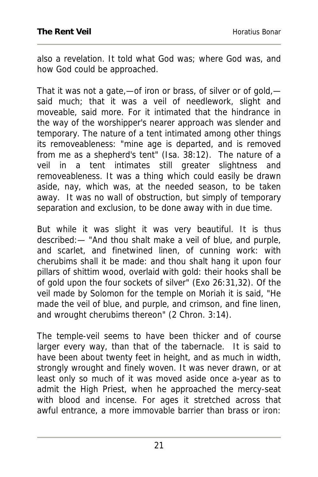also a revelation. It told what God was; where God was, and how God could be approached.

That it was not a gate,—of iron or brass, of silver or of gold, said much; that it was a veil of needlework, slight and moveable, said more. For it intimated that the hindrance in the way of the worshipper's nearer approach was slender and temporary. The nature of a tent intimated among other things its removeableness: "mine age is departed, and is removed from me as a shepherd's tent" (Isa. 38:12). The nature of a veil in a tent intimates still greater slightness and removeableness. It was a thing which could easily be drawn aside, nay, which was, at the needed season, to be taken away. It was no wall of obstruction, but simply of temporary separation and exclusion, to be done away with in due time.

But while it was slight it was very beautiful. It is thus described:— "And thou shalt make a veil of blue, and purple, and scarlet, and finetwined linen, of cunning work: with cherubims shall it be made: and thou shalt hang it upon four pillars of shittim wood, overlaid with gold: their hooks shall be of gold upon the four sockets of silver" (Exo 26:31,32). Of the veil made by Solomon for the temple on Moriah it is said, "He made the veil of blue, and purple, and crimson, and fine linen, and wrought cherubims thereon" (2 Chron. 3:14).

The temple-veil seems to have been thicker and of course larger every way, than that of the tabernacle. It is said to have been about twenty feet in height, and as much in width, strongly wrought and finely woven. It was never drawn, or at least only so much of it was moved aside once a-year as to admit the High Priest, when he approached the mercy-seat with blood and incense. For ages it stretched across that awful entrance, a more immovable barrier than brass or iron: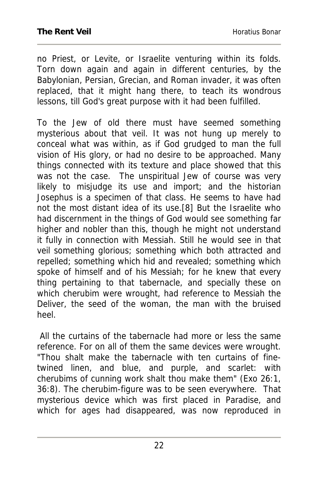no Priest, or Levite, or Israelite venturing within its folds. Torn down again and again in different centuries, by the Babylonian, Persian, Grecian, and Roman invader, it was often replaced, that it might hang there, to teach its wondrous lessons, till God's great purpose with it had been fulfilled.

To the Jew of old there must have seemed something mysterious about that veil. It was not hung up merely to conceal what was within, as if God grudged to man the full vision of His glory, or had no desire to be approached. Many things connected with its texture and place showed that this was not the case. The unspiritual Jew of course was very likely to misjudge its use and import; and the historian Josephus is a specimen of that class. He seems to have had not the most distant idea of its use.[8] But the Israelite who had discernment in the things of God would see something far higher and nobler than this, though he might not understand it fully in connection with Messiah. Still he would see in that veil something glorious; something which both attracted and repelled; something which hid and revealed; something which spoke of himself and of his Messiah; for he knew that every thing pertaining to that tabernacle, and specially these on which cherubim were wrought, had reference to Messiah the Deliver, the seed of the woman, the man with the bruised heel.

 All the curtains of the tabernacle had more or less the same reference. For on all of them the same devices were wrought. "Thou shalt make the tabernacle with ten curtains of finetwined linen, and blue, and purple, and scarlet: with cherubims of cunning work shalt thou make them" (Exo 26:1, 36:8). The cherubim-figure was to be seen everywhere. That mysterious device which was first placed in Paradise, and which for ages had disappeared, was now reproduced in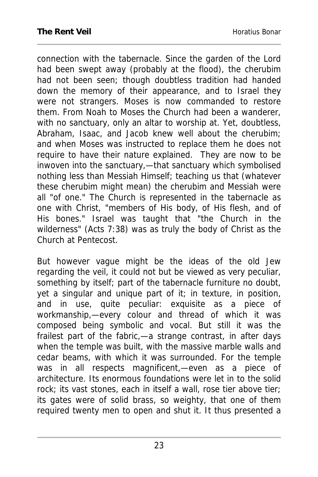connection with the tabernacle. Since the garden of the Lord had been swept away (probably at the flood), the cherubim had not been seen; though doubtless tradition had handed down the memory of their appearance, and to Israel they were not strangers. Moses is now commanded to restore them. From Noah to Moses the Church had been a wanderer, with no sanctuary, only an altar to worship at. Yet, doubtless, Abraham, Isaac, and Jacob knew well about the cherubim; and when Moses was instructed to replace them he does not require to have their nature explained. They are now to be inwoven into the sanctuary,—that sanctuary which symbolised nothing less than Messiah Himself; teaching us that (whatever these cherubim might mean) the cherubim and Messiah were all "of one." The Church is represented in the tabernacle as one with Christ, "members of His body, of His flesh, and of His bones." Israel was taught that "the Church in the wilderness" (Acts 7:38) was as truly the body of Christ as the Church at Pentecost.

But however vague might be the ideas of the old Jew regarding the veil, it could not but be viewed as very peculiar, something by itself; part of the tabernacle furniture no doubt, yet a singular and unique part of it; in texture, in position, and in use, quite peculiar: exquisite as a piece of workmanship,—every colour and thread of which it was composed being symbolic and vocal. But still it was the frailest part of the fabric,—a strange contrast, in after days when the temple was built, with the massive marble walls and cedar beams, with which it was surrounded. For the temple was in all respects magnificent,—even as a piece of architecture. Its enormous foundations were let in to the solid rock; its vast stones, each in itself a wall, rose tier above tier; its gates were of solid brass, so weighty, that one of them required twenty men to open and shut it. It thus presented a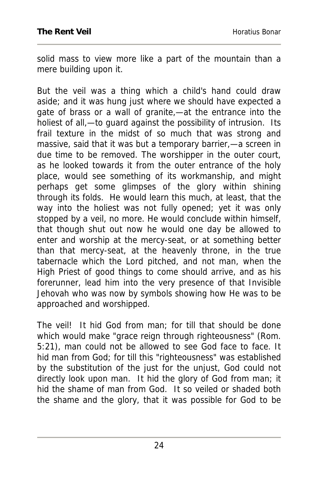solid mass to view more like a part of the mountain than a mere building upon it.

But the veil was a thing which a child's hand could draw aside; and it was hung just where we should have expected a gate of brass or a wall of granite,—at the entrance into the holiest of all,—to guard against the possibility of intrusion. Its frail texture in the midst of so much that was strong and massive, said that it was but a temporary barrier,—a screen in due time to be removed. The worshipper in the outer court, as he looked towards it from the outer entrance of the holy place, would see something of its workmanship, and might perhaps get some glimpses of the glory within shining through its folds. He would learn this much, at least, that the way into the holiest was not fully opened; yet it was only stopped by a veil, no more. He would conclude within himself, that though shut out now he would one day be allowed to enter and worship at the mercy-seat, or at something better than that mercy-seat, at the heavenly throne, in the true tabernacle which the Lord pitched, and not man, when the High Priest of good things to come should arrive, and as his forerunner, lead him into the very presence of that Invisible Jehovah who was now by symbols showing how He was to be approached and worshipped.

The veil! It hid God from man; for till that should be done which would make "grace reign through righteousness" (Rom. 5:21), man could not be allowed to see God face to face. It hid man from God; for till this "righteousness" was established by the substitution of the just for the unjust, God could not directly look upon man. It hid the glory of God from man; it hid the shame of man from God. It so veiled or shaded both the shame and the glory, that it was possible for God to be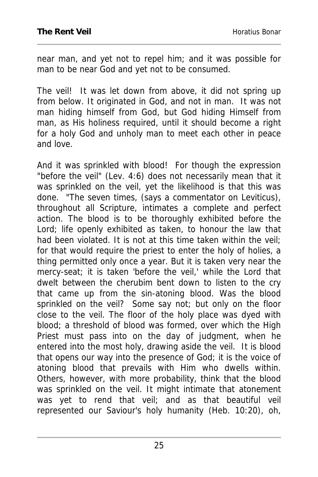near man, and yet not to repel him; and it was possible for man to be near God and yet not to be consumed.

The veil! It was let down from above, it did not spring up from below. It originated in God, and not in man. It was not man hiding himself from God, but God hiding Himself from man, as His holiness required, until it should become a right for a holy God and unholy man to meet each other in peace and love.

And it was sprinkled with blood! For though the expression "before the veil" (Lev. 4:6) does not necessarily mean that it was sprinkled on the veil, yet the likelihood is that this was done. "The seven times, (says a commentator on Leviticus), throughout all Scripture, intimates a complete and perfect action. The blood is to be thoroughly exhibited before the Lord; life openly exhibited as taken, to honour the law that had been violated. It is not at this time taken within the veil; for that would require the priest to enter the holy of holies, a thing permitted only once a year. But it is taken very near the mercy-seat; it is taken 'before the veil,' while the Lord that dwelt between the cherubim bent down to listen to the cry that came up from the sin-atoning blood. Was the blood sprinkled on the veil? Some say not; but only on the floor close to the veil. The floor of the holy place was dyed with blood; a threshold of blood was formed, over which the High Priest must pass into on the day of judgment, when he entered into the most holy, drawing aside the veil. It is blood that opens our way into the presence of God; it is the voice of atoning blood that prevails with Him who dwells within. Others, however, with more probability, think that the blood was sprinkled on the veil. It might intimate that atonement was yet to rend that veil; and as that beautiful veil represented our Saviour's holy humanity (Heb. 10:20), oh,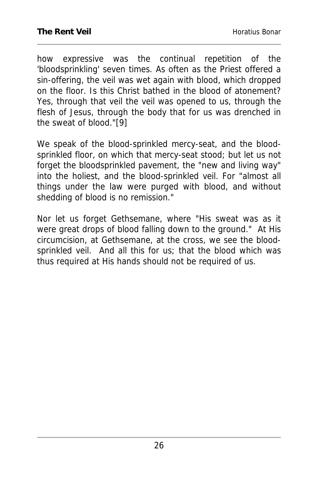how expressive was the continual repetition of the 'bloodsprinkling' seven times. As often as the Priest offered a sin-offering, the veil was wet again with blood, which dropped on the floor. Is this Christ bathed in the blood of atonement? Yes, through that veil the veil was opened to us, through the flesh of Jesus, through the body that for us was drenched in the sweat of blood."[9]

We speak of the blood-sprinkled mercy-seat, and the bloodsprinkled floor, on which that mercy-seat stood; but let us not forget the bloodsprinkled pavement, the "new and living way" into the holiest, and the blood-sprinkled veil. For "almost all things under the law were purged with blood, and without shedding of blood is no remission."

Nor let us forget Gethsemane, where "His sweat was as it were great drops of blood falling down to the ground." At His circumcision, at Gethsemane, at the cross, we see the bloodsprinkled veil. And all this for us; that the blood which was thus required at His hands should not be required of us.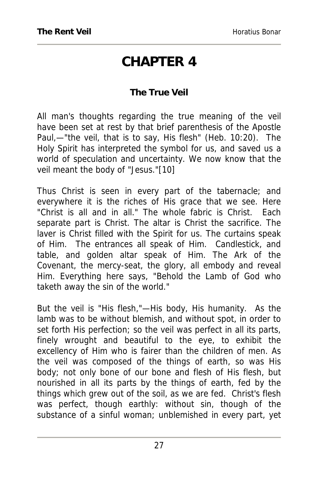### **CHAPTER 4**

#### **The True Veil**

All man's thoughts regarding the true meaning of the veil have been set at rest by that brief parenthesis of the Apostle Paul,—"the veil, that is to say, His flesh" (Heb. 10:20). The Holy Spirit has interpreted the symbol for us, and saved us a world of speculation and uncertainty. We now know that the veil meant the body of "Jesus."[10]

Thus Christ is seen in every part of the tabernacle; and everywhere it is the riches of His grace that we see. Here "Christ is all and in all." The whole fabric is Christ. Each separate part is Christ. The altar is Christ the sacrifice. The laver is Christ filled with the Spirit for us. The curtains speak of Him. The entrances all speak of Him. Candlestick, and table, and golden altar speak of Him. The Ark of the Covenant, the mercy-seat, the glory, all embody and reveal Him. Everything here says, "Behold the Lamb of God who taketh away the sin of the world."

But the veil is "His flesh,"—His body, His humanity. As the lamb was to be without blemish, and without spot, in order to set forth His perfection; so the veil was perfect in all its parts, finely wrought and beautiful to the eye, to exhibit the excellency of Him who is fairer than the children of men. As the veil was composed of the things of earth, so was His body; not only bone of our bone and flesh of His flesh, but nourished in all its parts by the things of earth, fed by the things which grew out of the soil, as we are fed. Christ's flesh was perfect, though earthly: without sin, though of the substance of a sinful woman; unblemished in every part, yet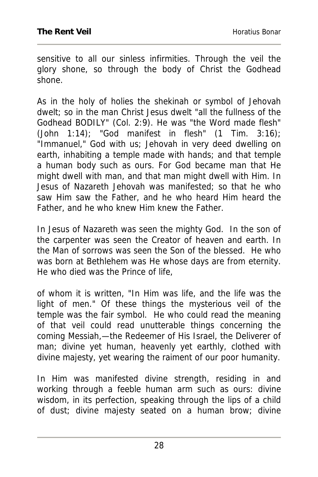sensitive to all our sinless infirmities. Through the veil the glory shone, so through the body of Christ the Godhead shone.

As in the holy of holies the shekinah or symbol of Jehovah dwelt; so in the man Christ Jesus dwelt "all the fullness of the Godhead BODILY" (Col. 2:9). He was "the Word made flesh" (John 1:14); "God manifest in flesh"  $(1$  Tim. 3:16); "Immanuel," God with us; Jehovah in very deed dwelling on earth, inhabiting a temple made with hands; and that temple a human body such as ours. For God became man that He might dwell with man, and that man might dwell with Him. In Jesus of Nazareth Jehovah was manifested; so that he who saw Him saw the Father, and he who heard Him heard the Father, and he who knew Him knew the Father.

In Jesus of Nazareth was seen the mighty God. In the son of the carpenter was seen the Creator of heaven and earth. In the Man of sorrows was seen the Son of the blessed. He who was born at Bethlehem was He whose days are from eternity. He who died was the Prince of life,

of whom it is written, "In Him was life, and the life was the light of men." Of these things the mysterious veil of the temple was the fair symbol. He who could read the meaning of that veil could read unutterable things concerning the coming Messiah,—the Redeemer of His Israel, the Deliverer of man; divine yet human, heavenly yet earthly, clothed with divine majesty, yet wearing the raiment of our poor humanity.

In Him was manifested divine strength, residing in and working through a feeble human arm such as ours: divine wisdom, in its perfection, speaking through the lips of a child of dust; divine majesty seated on a human brow; divine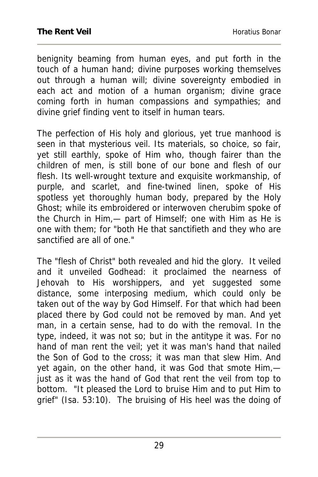benignity beaming from human eyes, and put forth in the touch of a human hand; divine purposes working themselves out through a human will; divine sovereignty embodied in each act and motion of a human organism; divine grace coming forth in human compassions and sympathies; and divine grief finding vent to itself in human tears.

The perfection of His holy and glorious, yet true manhood is seen in that mysterious veil. Its materials, so choice, so fair, yet still earthly, spoke of Him who, though fairer than the children of men, is still bone of our bone and flesh of our flesh. Its well-wrought texture and exquisite workmanship, of purple, and scarlet, and fine-twined linen, spoke of His spotless yet thoroughly human body, prepared by the Holy Ghost; while its embroidered or interwoven cherubim spoke of the Church in Him,— part of Himself; one with Him as He is one with them; for "both He that sanctifieth and they who are sanctified are all of one."

The "flesh of Christ" both revealed and hid the glory. It veiled and it unveiled Godhead: it proclaimed the nearness of Jehovah to His worshippers, and yet suggested some distance, some interposing medium, which could only be taken out of the way by God Himself. For that which had been placed there by God could not be removed by man. And yet man, in a certain sense, had to do with the removal. In the type, indeed, it was not so; but in the antitype it was. For no hand of man rent the veil; yet it was man's hand that nailed the Son of God to the cross; it was man that slew Him. And yet again, on the other hand, it was God that smote Him, just as it was the hand of God that rent the veil from top to bottom. "It pleased the Lord to bruise Him and to put Him to grief" (Isa. 53:10). The bruising of His heel was the doing of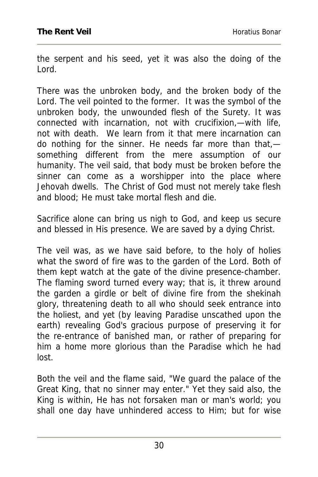the serpent and his seed, yet it was also the doing of the Lord.

There was the unbroken body, and the broken body of the Lord. The veil pointed to the former. It was the symbol of the unbroken body, the unwounded flesh of the Surety. It was connected with incarnation, not with crucifixion,—with life, not with death. We learn from it that mere incarnation can do nothing for the sinner. He needs far more than that, something different from the mere assumption of our humanity. The veil said, that body must be broken before the sinner can come as a worshipper into the place where Jehovah dwells. The Christ of God must not merely take flesh and blood; He must take mortal flesh and die.

Sacrifice alone can bring us nigh to God, and keep us secure and blessed in His presence. We are saved by a dying Christ.

The veil was, as we have said before, to the holy of holies what the sword of fire was to the garden of the Lord. Both of them kept watch at the gate of the divine presence-chamber. The flaming sword turned every way; that is, it threw around the garden a girdle or belt of divine fire from the shekinah glory, threatening death to all who should seek entrance into the holiest, and yet (by leaving Paradise unscathed upon the earth) revealing God's gracious purpose of preserving it for the re-entrance of banished man, or rather of preparing for him a home more glorious than the Paradise which he had lost.

Both the veil and the flame said, "We guard the palace of the Great King, that no sinner may enter." Yet they said also, the King is within, He has not forsaken man or man's world; you shall one day have unhindered access to Him; but for wise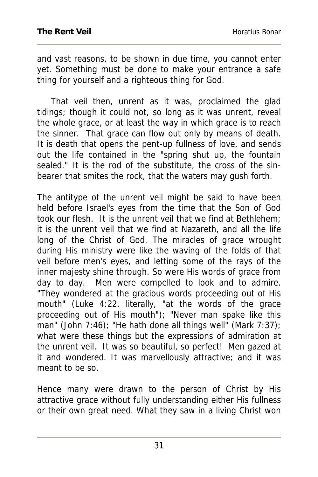and vast reasons, to be shown in due time, you cannot enter yet. Something must be done to make your entrance a safe thing for yourself and a righteous thing for God.

 That veil then, unrent as it was, proclaimed the glad tidings; though it could not, so long as it was unrent, reveal the whole grace, or at least the way in which grace is to reach the sinner. That grace can flow out only by means of death. It is death that opens the pent-up fullness of love, and sends out the life contained in the "spring shut up, the fountain sealed." It is the rod of the substitute, the cross of the sinbearer that smites the rock, that the waters may gush forth.

The antitype of the unrent veil might be said to have been held before Israel's eyes from the time that the Son of God took our flesh. It is the unrent veil that we find at Bethlehem; it is the unrent veil that we find at Nazareth, and all the life long of the Christ of God. The miracles of grace wrought during His ministry were like the waving of the folds of that veil before men's eyes, and letting some of the rays of the inner majesty shine through. So were His words of grace from day to day. Men were compelled to look and to admire. "They wondered at the gracious words proceeding out of His mouth" (Luke 4:22, literally, "at the words of the grace proceeding out of His mouth"); "Never man spake like this man" (John 7:46); "He hath done all things well" (Mark 7:37); what were these things but the expressions of admiration at the unrent veil. It was so beautiful, so perfect! Men gazed at it and wondered. It was marvellously attractive; and it was meant to be so.

Hence many were drawn to the person of Christ by His attractive grace without fully understanding either His fullness or their own great need. What they saw in a living Christ won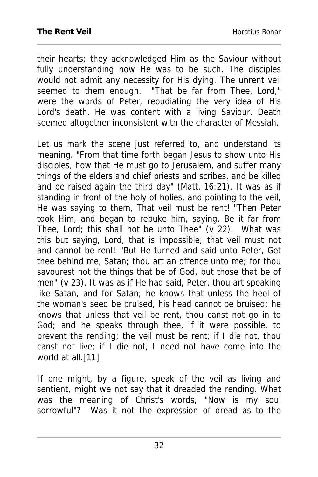their hearts; they acknowledged Him as the Saviour without fully understanding how He was to be such. The disciples would not admit any necessity for His dying. The unrent veil seemed to them enough. "That be far from Thee, Lord," were the words of Peter, repudiating the very idea of His Lord's death. He was content with a living Saviour. Death seemed altogether inconsistent with the character of Messiah.

Let us mark the scene just referred to, and understand its meaning. "From that time forth began Jesus to show unto His disciples, how that He must go to Jerusalem, and suffer many things of the elders and chief priests and scribes, and be killed and be raised again the third day" (Matt. 16:21). It was as if standing in front of the holy of holies, and pointing to the veil, He was saying to them, That veil must be rent! "Then Peter took Him, and began to rebuke him, saying, Be it far from Thee, Lord; this shall not be unto Thee" (v 22). What was this but saying, Lord, that is impossible; that veil must not and cannot be rent! "But He turned and said unto Peter, Get thee behind me, Satan; thou art an offence unto me; for thou savourest not the things that be of God, but those that be of men" (v 23). It was as if He had said, Peter, thou art speaking like Satan, and for Satan; he knows that unless the heel of the woman's seed be bruised, his head cannot be bruised; he knows that unless that veil be rent, thou canst not go in to God; and he speaks through thee, if it were possible, to prevent the rending; the veil must be rent; if I die not, thou canst not live; if I die not, I need not have come into the world at all.[11]

If one might, by a figure, speak of the veil as living and sentient, might we not say that it dreaded the rending. What was the meaning of Christ's words, "Now is my soul sorrowful"? Was it not the expression of dread as to the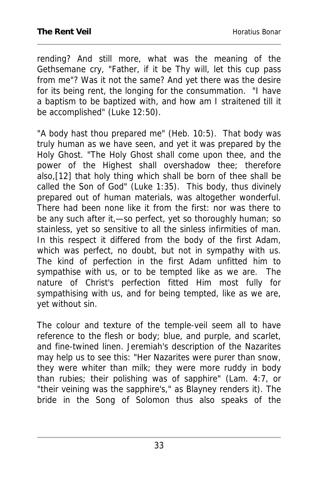rending? And still more, what was the meaning of the Gethsemane cry, "Father, if it be Thy will, let this cup pass from me"? Was it not the same? And yet there was the desire for its being rent, the longing for the consummation. "I have a baptism to be baptized with, and how am I straitened till it be accomplished" (Luke 12:50).

"A body hast thou prepared me" (Heb. 10:5). That body was truly human as we have seen, and yet it was prepared by the Holy Ghost. "The Holy Ghost shall come upon thee, and the power of the Highest shall overshadow thee; therefore also,[12] that holy thing which shall be born of thee shall be called the Son of God" (Luke 1:35). This body, thus divinely prepared out of human materials, was altogether wonderful. There had been none like it from the first: nor was there to be any such after it,—so perfect, yet so thoroughly human; so stainless, yet so sensitive to all the sinless infirmities of man. In this respect it differed from the body of the first Adam, which was perfect, no doubt, but not in sympathy with us. The kind of perfection in the first Adam unfitted him to sympathise with us, or to be tempted like as we are. The nature of Christ's perfection fitted Him most fully for sympathising with us, and for being tempted, like as we are, yet without sin.

The colour and texture of the temple-veil seem all to have reference to the flesh or body; blue, and purple, and scarlet, and fine-twined linen. Jeremiah's description of the Nazarites may help us to see this: "Her Nazarites were purer than snow, they were whiter than milk; they were more ruddy in body than rubies; their polishing was of sapphire" (Lam. 4:7, or "their veining was the sapphire's," as Blayney renders it). The bride in the Song of Solomon thus also speaks of the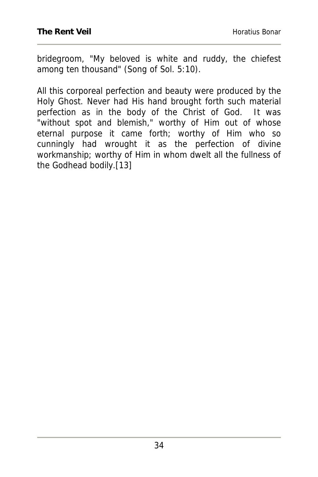bridegroom, "My beloved is white and ruddy, the chiefest among ten thousand" (Song of Sol. 5:10).

All this corporeal perfection and beauty were produced by the Holy Ghost. Never had His hand brought forth such material perfection as in the body of the Christ of God. It was "without spot and blemish," worthy of Him out of whose eternal purpose it came forth; worthy of Him who so cunningly had wrought it as the perfection of divine workmanship; worthy of Him in whom dwelt all the fullness of the Godhead bodily.[13]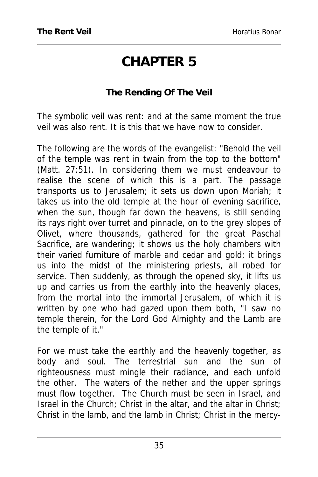# **CHAPTER 5**

#### **The Rending Of The Veil**

The symbolic veil was rent: and at the same moment the true veil was also rent. It is this that we have now to consider.

The following are the words of the evangelist: "Behold the veil of the temple was rent in twain from the top to the bottom" (Matt. 27:51). In considering them we must endeavour to realise the scene of which this is a part. The passage transports us to Jerusalem; it sets us down upon Moriah; it takes us into the old temple at the hour of evening sacrifice, when the sun, though far down the heavens, is still sending its rays right over turret and pinnacle, on to the grey slopes of Olivet, where thousands, gathered for the great Paschal Sacrifice, are wandering; it shows us the holy chambers with their varied furniture of marble and cedar and gold; it brings us into the midst of the ministering priests, all robed for service. Then suddenly, as through the opened sky, it lifts us up and carries us from the earthly into the heavenly places, from the mortal into the immortal Jerusalem, of which it is written by one who had gazed upon them both, "I saw no temple therein, for the Lord God Almighty and the Lamb are the temple of it."

For we must take the earthly and the heavenly together, as body and soul. The terrestrial sun and the sun of righteousness must mingle their radiance, and each unfold the other. The waters of the nether and the upper springs must flow together. The Church must be seen in Israel, and Israel in the Church; Christ in the altar, and the altar in Christ; Christ in the lamb, and the lamb in Christ; Christ in the mercy-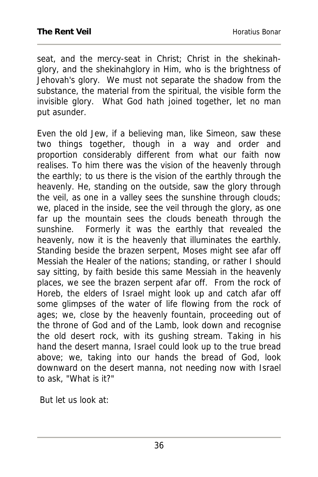seat, and the mercy-seat in Christ; Christ in the shekinahglory, and the shekinahglory in Him, who is the brightness of Jehovah's glory. We must not separate the shadow from the substance, the material from the spiritual, the visible form the invisible glory. What God hath joined together, let no man put asunder.

Even the old Jew, if a believing man, like Simeon, saw these two things together, though in a way and order and proportion considerably different from what our faith now realises. To him there was the vision of the heavenly through the earthly; to us there is the vision of the earthly through the heavenly. He, standing on the outside, saw the glory through the veil, as one in a valley sees the sunshine through clouds; we, placed in the inside, see the veil through the glory, as one far up the mountain sees the clouds beneath through the sunshine. Formerly it was the earthly that revealed the heavenly, now it is the heavenly that illuminates the earthly. Standing beside the brazen serpent, Moses might see afar off Messiah the Healer of the nations; standing, or rather I should say sitting, by faith beside this same Messiah in the heavenly places, we see the brazen serpent afar off. From the rock of Horeb, the elders of Israel might look up and catch afar off some glimpses of the water of life flowing from the rock of ages; we, close by the heavenly fountain, proceeding out of the throne of God and of the Lamb, look down and recognise the old desert rock, with its gushing stream. Taking in his hand the desert manna, Israel could look up to the true bread above; we, taking into our hands the bread of God, look downward on the desert manna, not needing now with Israel to ask, "What is it?"

But let us look at: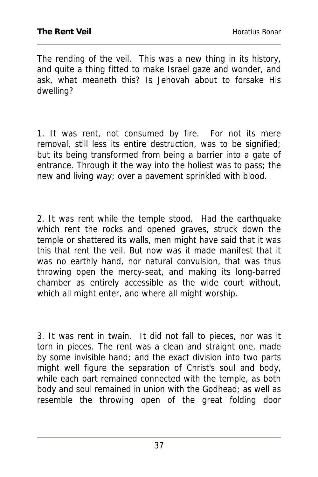The rending of the veil. This was a new thing in its history, and quite a thing fitted to make Israel gaze and wonder, and ask, what meaneth this? Is Jehovah about to forsake His dwelling?

1. It was rent, not consumed by fire. For not its mere removal, still less its entire destruction, was to be signified; but its being transformed from being a barrier into a gate of entrance. Through it the way into the holiest was to pass; the new and living way; over a pavement sprinkled with blood.

2. It was rent while the temple stood. Had the earthquake which rent the rocks and opened graves, struck down the temple or shattered its walls, men might have said that it was this that rent the veil. But now was it made manifest that it was no earthly hand, nor natural convulsion, that was thus throwing open the mercy-seat, and making its long-barred chamber as entirely accessible as the wide court without, which all might enter, and where all might worship.

3. It was rent in twain. It did not fall to pieces, nor was it torn in pieces. The rent was a clean and straight one, made by some invisible hand; and the exact division into two parts might well figure the separation of Christ's soul and body, while each part remained connected with the temple, as both body and soul remained in union with the Godhead; as well as resemble the throwing open of the great folding door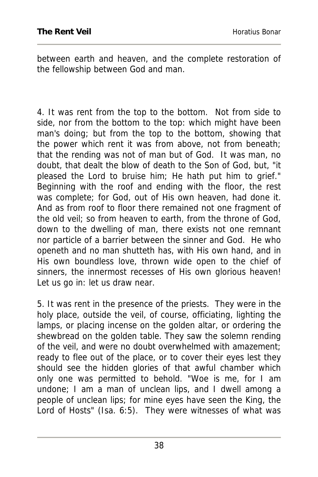between earth and heaven, and the complete restoration of the fellowship between God and man.

4. It was rent from the top to the bottom. Not from side to side, nor from the bottom to the top: which might have been man's doing; but from the top to the bottom, showing that the power which rent it was from above, not from beneath; that the rending was not of man but of God. It was man, no doubt, that dealt the blow of death to the Son of God, but, "it pleased the Lord to bruise him; He hath put him to grief." Beginning with the roof and ending with the floor, the rest was complete; for God, out of His own heaven, had done it. And as from roof to floor there remained not one fragment of the old veil; so from heaven to earth, from the throne of God, down to the dwelling of man, there exists not one remnant nor particle of a barrier between the sinner and God. He who openeth and no man shutteth has, with His own hand, and in His own boundless love, thrown wide open to the chief of sinners, the innermost recesses of His own glorious heaven! Let us go in: let us draw near.

5. It was rent in the presence of the priests. They were in the holy place, outside the veil, of course, officiating, lighting the lamps, or placing incense on the golden altar, or ordering the shewbread on the golden table. They saw the solemn rending of the veil, and were no doubt overwhelmed with amazement; ready to flee out of the place, or to cover their eyes lest they should see the hidden glories of that awful chamber which only one was permitted to behold. "Woe is me, for I am undone; I am a man of unclean lips, and I dwell among a people of unclean lips; for mine eyes have seen the King, the Lord of Hosts" (Isa. 6:5). They were witnesses of what was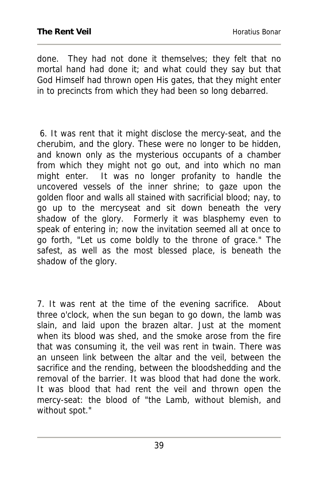done. They had not done it themselves; they felt that no mortal hand had done it; and what could they say but that God Himself had thrown open His gates, that they might enter in to precincts from which they had been so long debarred.

 6. It was rent that it might disclose the mercy-seat, and the cherubim, and the glory. These were no longer to be hidden, and known only as the mysterious occupants of a chamber from which they might not go out, and into which no man might enter. It was no longer profanity to handle the uncovered vessels of the inner shrine; to gaze upon the golden floor and walls all stained with sacrificial blood; nay, to go up to the mercyseat and sit down beneath the very shadow of the glory. Formerly it was blasphemy even to speak of entering in; now the invitation seemed all at once to go forth, "Let us come boldly to the throne of grace." The safest, as well as the most blessed place, is beneath the shadow of the glory.

7. It was rent at the time of the evening sacrifice. About three o'clock, when the sun began to go down, the lamb was slain, and laid upon the brazen altar. Just at the moment when its blood was shed, and the smoke arose from the fire that was consuming it, the veil was rent in twain. There was an unseen link between the altar and the veil, between the sacrifice and the rending, between the bloodshedding and the removal of the barrier. It was blood that had done the work. It was blood that had rent the veil and thrown open the mercy-seat: the blood of "the Lamb, without blemish, and without spot."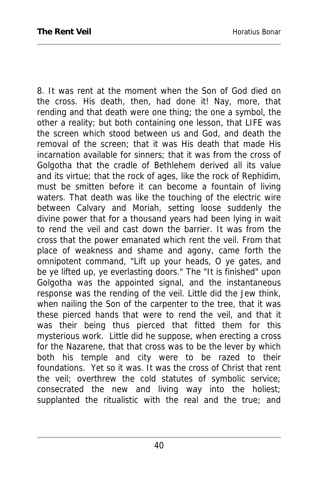8. It was rent at the moment when the Son of God died on the cross. His death, then, had done it! Nay, more, that rending and that death were one thing; the one a symbol, the other a reality; but both containing one lesson, that LIFE was the screen which stood between us and God, and death the removal of the screen; that it was His death that made His incarnation available for sinners; that it was from the cross of Golgotha that the cradle of Bethlehem derived all its value and its virtue; that the rock of ages, like the rock of Rephidim, must be smitten before it can become a fountain of living waters. That death was like the touching of the electric wire between Calvary and Moriah, setting loose suddenly the divine power that for a thousand years had been lying in wait to rend the veil and cast down the barrier. It was from the cross that the power emanated which rent the veil. From that place of weakness and shame and agony, came forth the omnipotent command, "Lift up your heads, O ye gates, and be ye lifted up, ye everlasting doors." The "It is finished" upon Golgotha was the appointed signal, and the instantaneous response was the rending of the veil. Little did the Jew think, when nailing the Son of the carpenter to the tree, that it was these pierced hands that were to rend the veil, and that it was their being thus pierced that fitted them for this mysterious work. Little did he suppose, when erecting a cross for the Nazarene, that that cross was to be the lever by which both his temple and city were to be razed to their foundations. Yet so it was. It was the cross of Christ that rent the veil; overthrew the cold statutes of symbolic service; consecrated the new and living way into the holiest; supplanted the ritualistic with the real and the true; and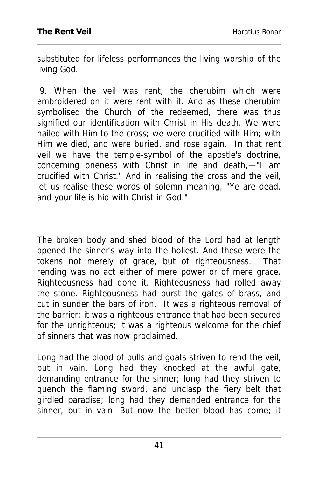substituted for lifeless performances the living worship of the living God.

 9. When the veil was rent, the cherubim which were embroidered on it were rent with it. And as these cherubim symbolised the Church of the redeemed, there was thus signified our identification with Christ in His death. We were nailed with Him to the cross; we were crucified with Him; with Him we died, and were buried, and rose again. In that rent veil we have the temple-symbol of the apostle's doctrine, concerning oneness with Christ in life and death,—"I am crucified with Christ." And in realising the cross and the veil, let us realise these words of solemn meaning, "Ye are dead, and your life is hid with Christ in God."

The broken body and shed blood of the Lord had at length opened the sinner's way into the holiest. And these were the tokens not merely of grace, but of righteousness. That rending was no act either of mere power or of mere grace. Righteousness had done it. Righteousness had rolled away the stone. Righteousness had burst the gates of brass, and cut in sunder the bars of iron. It was a righteous removal of the barrier; it was a righteous entrance that had been secured for the unrighteous; it was a righteous welcome for the chief of sinners that was now proclaimed.

Long had the blood of bulls and goats striven to rend the veil, but in vain. Long had they knocked at the awful gate, demanding entrance for the sinner; long had they striven to quench the flaming sword, and unclasp the fiery belt that girdled paradise; long had they demanded entrance for the sinner, but in vain. But now the better blood has come; it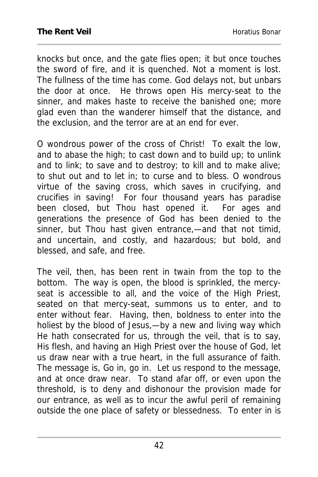knocks but once, and the gate flies open; it but once touches the sword of fire, and it is quenched. Not a moment is lost. The fullness of the time has come. God delays not, but unbars the door at once. He throws open His mercy-seat to the sinner, and makes haste to receive the banished one; more glad even than the wanderer himself that the distance, and the exclusion, and the terror are at an end for ever.

O wondrous power of the cross of Christ! To exalt the low, and to abase the high; to cast down and to build up; to unlink and to link; to save and to destroy; to kill and to make alive; to shut out and to let in; to curse and to bless. O wondrous virtue of the saving cross, which saves in crucifying, and crucifies in saving! For four thousand years has paradise been closed, but Thou hast opened it. For ages and generations the presence of God has been denied to the sinner, but Thou hast given entrance,—and that not timid, and uncertain, and costly, and hazardous; but bold, and blessed, and safe, and free.

The veil, then, has been rent in twain from the top to the bottom. The way is open, the blood is sprinkled, the mercyseat is accessible to all, and the voice of the High Priest, seated on that mercy-seat, summons us to enter, and to enter without fear. Having, then, boldness to enter into the holiest by the blood of Jesus,—by a new and living way which He hath consecrated for us, through the veil, that is to say, His flesh, and having an High Priest over the house of God, let us draw near with a true heart, in the full assurance of faith. The message is, Go in, go in. Let us respond to the message, and at once draw near. To stand afar off, or even upon the threshold, is to deny and dishonour the provision made for our entrance, as well as to incur the awful peril of remaining outside the one place of safety or blessedness. To enter in is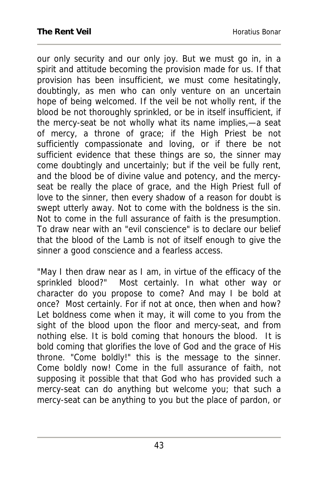our only security and our only joy. But we must go in, in a spirit and attitude becoming the provision made for us. If that provision has been insufficient, we must come hesitatingly, doubtingly, as men who can only venture on an uncertain hope of being welcomed. If the veil be not wholly rent, if the blood be not thoroughly sprinkled, or be in itself insufficient, if the mercy-seat be not wholly what its name implies,—a seat of mercy, a throne of grace; if the High Priest be not sufficiently compassionate and loving, or if there be not sufficient evidence that these things are so, the sinner may come doubtingly and uncertainly; but if the veil be fully rent, and the blood be of divine value and potency, and the mercyseat be really the place of grace, and the High Priest full of love to the sinner, then every shadow of a reason for doubt is swept utterly away. Not to come with the boldness is the sin. Not to come in the full assurance of faith is the presumption. To draw near with an "evil conscience" is to declare our belief that the blood of the Lamb is not of itself enough to give the sinner a good conscience and a fearless access.

"May I then draw near as I am, in virtue of the efficacy of the sprinkled blood?" Most certainly. In what other way or character do you propose to come? And may I be bold at once? Most certainly. For if not at once, then when and how? Let boldness come when it may, it will come to you from the sight of the blood upon the floor and mercy-seat, and from nothing else. It is bold coming that honours the blood. It is bold coming that glorifies the love of God and the grace of His throne. "Come boldly!" this is the message to the sinner. Come boldly now! Come in the full assurance of faith, not supposing it possible that that God who has provided such a mercy-seat can do anything but welcome you; that such a mercy-seat can be anything to you but the place of pardon, or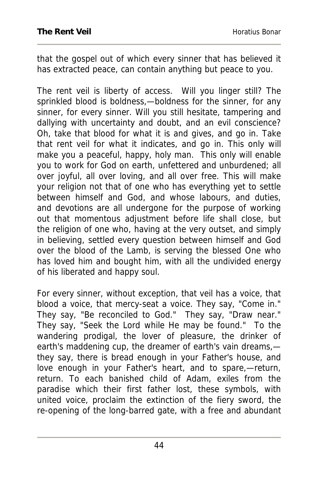that the gospel out of which every sinner that has believed it has extracted peace, can contain anything but peace to you.

The rent veil is liberty of access. Will you linger still? The sprinkled blood is boldness,—boldness for the sinner, for any sinner, for every sinner. Will you still hesitate, tampering and dallying with uncertainty and doubt, and an evil conscience? Oh, take that blood for what it is and gives, and go in. Take that rent veil for what it indicates, and go in. This only will make you a peaceful, happy, holy man. This only will enable you to work for God on earth, unfettered and unburdened; all over joyful, all over loving, and all over free. This will make your religion not that of one who has everything yet to settle between himself and God, and whose labours, and duties, and devotions are all undergone for the purpose of working out that momentous adjustment before life shall close, but the religion of one who, having at the very outset, and simply in believing, settled every question between himself and God over the blood of the Lamb, is serving the blessed One who has loved him and bought him, with all the undivided energy of his liberated and happy soul.

For every sinner, without exception, that veil has a voice, that blood a voice, that mercy-seat a voice. They say, "Come in." They say, "Be reconciled to God." They say, "Draw near." They say, "Seek the Lord while He may be found." To the wandering prodigal, the lover of pleasure, the drinker of earth's maddening cup, the dreamer of earth's vain dreams, they say, there is bread enough in your Father's house, and love enough in your Father's heart, and to spare,—return, return. To each banished child of Adam, exiles from the paradise which their first father lost, these symbols, with united voice, proclaim the extinction of the fiery sword, the re-opening of the long-barred gate, with a free and abundant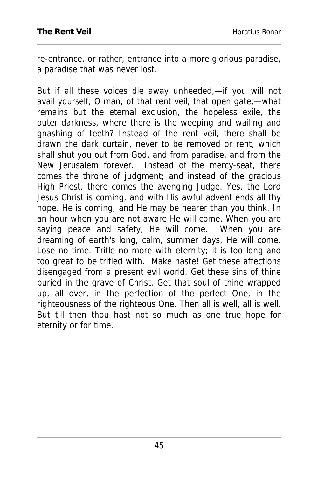re-entrance, or rather, entrance into a more glorious paradise, a paradise that was never lost.

But if all these voices die away unheeded,—if you will not avail yourself, O man, of that rent veil, that open gate,—what remains but the eternal exclusion, the hopeless exile, the outer darkness, where there is the weeping and wailing and gnashing of teeth? Instead of the rent veil, there shall be drawn the dark curtain, never to be removed or rent, which shall shut you out from God, and from paradise, and from the New Jerusalem forever. Instead of the mercy-seat, there comes the throne of judgment; and instead of the gracious High Priest, there comes the avenging Judge. Yes, the Lord Jesus Christ is coming, and with His awful advent ends all thy hope. He is coming; and He may be nearer than you think. In an hour when you are not aware He will come. When you are saying peace and safety, He will come. When you are dreaming of earth's long, calm, summer days, He will come. Lose no time. Trifle no more with eternity; it is too long and too great to be trifled with. Make haste! Get these affections disengaged from a present evil world. Get these sins of thine buried in the grave of Christ. Get that soul of thine wrapped up, all over, in the perfection of the perfect One, in the righteousness of the righteous One. Then all is well, all is well. But till then thou hast not so much as one true hope for eternity or for time.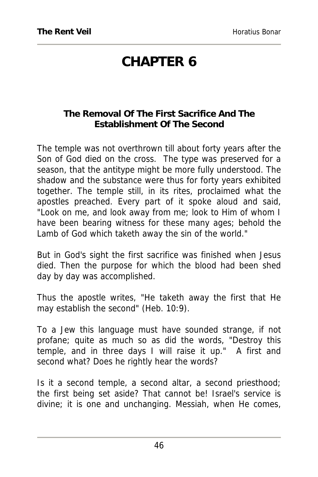## **CHAPTER 6**

## **The Removal Of The First Sacrifice And The Establishment Of The Second**

The temple was not overthrown till about forty years after the Son of God died on the cross. The type was preserved for a season, that the antitype might be more fully understood. The shadow and the substance were thus for forty years exhibited together. The temple still, in its rites, proclaimed what the apostles preached. Every part of it spoke aloud and said, "Look on me, and look away from me; look to Him of whom I have been bearing witness for these many ages; behold the Lamb of God which taketh away the sin of the world."

But in God's sight the first sacrifice was finished when Jesus died. Then the purpose for which the blood had been shed day by day was accomplished.

Thus the apostle writes, "He taketh away the first that He may establish the second" (Heb. 10:9).

To a Jew this language must have sounded strange, if not profane; quite as much so as did the words, "Destroy this temple, and in three days I will raise it up." A first and second what? Does he rightly hear the words?

Is it a second temple, a second altar, a second priesthood; the first being set aside? That cannot be! Israel's service is divine; it is one and unchanging. Messiah, when He comes,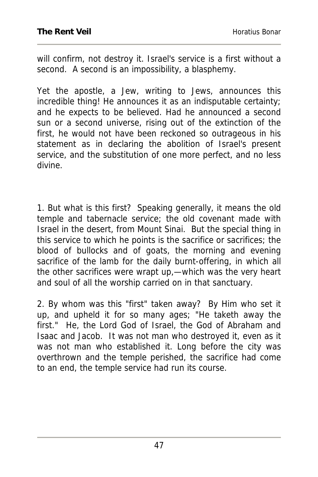will confirm, not destroy it. Israel's service is a first without a second. A second is an impossibility, a blasphemy.

Yet the apostle, a Jew, writing to Jews, announces this incredible thing! He announces it as an indisputable certainty; and he expects to be believed. Had he announced a second sun or a second universe, rising out of the extinction of the first, he would not have been reckoned so outrageous in his statement as in declaring the abolition of Israel's present service, and the substitution of one more perfect, and no less divine.

1. But what is this first? Speaking generally, it means the old temple and tabernacle service; the old covenant made with Israel in the desert, from Mount Sinai. But the special thing in this service to which he points is the sacrifice or sacrifices; the blood of bullocks and of goats, the morning and evening sacrifice of the lamb for the daily burnt-offering, in which all the other sacrifices were wrapt up,—which was the very heart and soul of all the worship carried on in that sanctuary.

2. By whom was this "first" taken away? By Him who set it up, and upheld it for so many ages; "He taketh away the first." He, the Lord God of Israel, the God of Abraham and Isaac and Jacob. It was not man who destroyed it, even as it was not man who established it. Long before the city was overthrown and the temple perished, the sacrifice had come to an end, the temple service had run its course.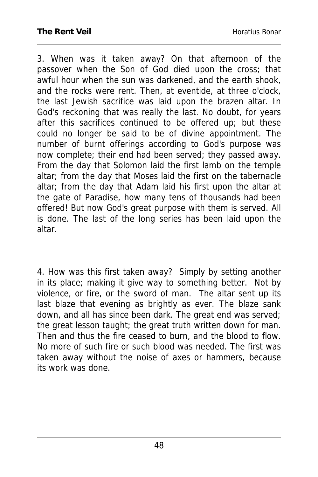3. When was it taken away? On that afternoon of the passover when the Son of God died upon the cross; that awful hour when the sun was darkened, and the earth shook, and the rocks were rent. Then, at eventide, at three o'clock, the last Jewish sacrifice was laid upon the brazen altar. In God's reckoning that was really the last. No doubt, for years after this sacrifices continued to be offered up; but these could no longer be said to be of divine appointment. The number of burnt offerings according to God's purpose was now complete; their end had been served; they passed away. From the day that Solomon laid the first lamb on the temple altar; from the day that Moses laid the first on the tabernacle altar; from the day that Adam laid his first upon the altar at the gate of Paradise, how many tens of thousands had been offered! But now God's great purpose with them is served. All is done. The last of the long series has been laid upon the altar.

4. How was this first taken away? Simply by setting another in its place; making it give way to something better. Not by violence, or fire, or the sword of man. The altar sent up its last blaze that evening as brightly as ever. The blaze sank down, and all has since been dark. The great end was served; the great lesson taught; the great truth written down for man. Then and thus the fire ceased to burn, and the blood to flow. No more of such fire or such blood was needed. The first was taken away without the noise of axes or hammers, because its work was done.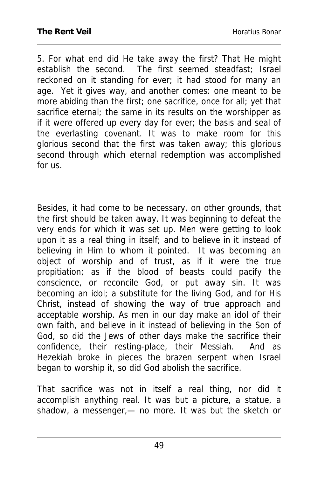5. For what end did He take away the first? That He might establish the second. The first seemed steadfast; Israel reckoned on it standing for ever; it had stood for many an age. Yet it gives way, and another comes: one meant to be more abiding than the first; one sacrifice, once for all; yet that sacrifice eternal; the same in its results on the worshipper as if it were offered up every day for ever; the basis and seal of the everlasting covenant. It was to make room for this glorious second that the first was taken away; this glorious second through which eternal redemption was accomplished for us.

Besides, it had come to be necessary, on other grounds, that the first should be taken away. It was beginning to defeat the very ends for which it was set up. Men were getting to look upon it as a real thing in itself; and to believe in it instead of believing in Him to whom it pointed. It was becoming an object of worship and of trust, as if it were the true propitiation; as if the blood of beasts could pacify the conscience, or reconcile God, or put away sin. It was becoming an idol; a substitute for the living God, and for His Christ, instead of showing the way of true approach and acceptable worship. As men in our day make an idol of their own faith, and believe in it instead of believing in the Son of God, so did the Jews of other days make the sacrifice their confidence, their resting-place, their Messiah. And as Hezekiah broke in pieces the brazen serpent when Israel began to worship it, so did God abolish the sacrifice.

That sacrifice was not in itself a real thing, nor did it accomplish anything real. It was but a picture, a statue, a shadow, a messenger,— no more. It was but the sketch or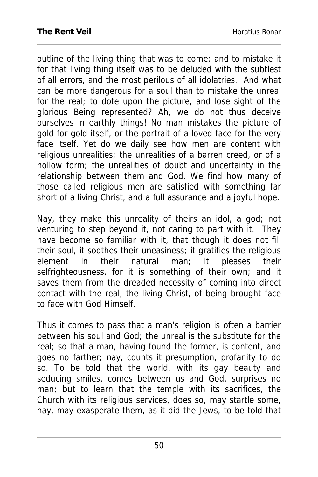outline of the living thing that was to come; and to mistake it for that living thing itself was to be deluded with the subtlest of all errors, and the most perilous of all idolatries. And what can be more dangerous for a soul than to mistake the unreal for the real; to dote upon the picture, and lose sight of the glorious Being represented? Ah, we do not thus deceive ourselves in earthly things! No man mistakes the picture of gold for gold itself, or the portrait of a loved face for the very face itself. Yet do we daily see how men are content with religious unrealities; the unrealities of a barren creed, or of a hollow form; the unrealities of doubt and uncertainty in the relationship between them and God. We find how many of those called religious men are satisfied with something far short of a living Christ, and a full assurance and a joyful hope.

Nay, they make this unreality of theirs an idol, a god; not venturing to step beyond it, not caring to part with it. They have become so familiar with it, that though it does not fill their soul, it soothes their uneasiness; it gratifies the religious element in their natural man; it pleases their selfrighteousness, for it is something of their own; and it saves them from the dreaded necessity of coming into direct contact with the real, the living Christ, of being brought face to face with God Himself.

Thus it comes to pass that a man's religion is often a barrier between his soul and God; the unreal is the substitute for the real; so that a man, having found the former, is content, and goes no farther; nay, counts it presumption, profanity to do so. To be told that the world, with its gay beauty and seducing smiles, comes between us and God, surprises no man; but to learn that the temple with its sacrifices, the Church with its religious services, does so, may startle some, nay, may exasperate them, as it did the Jews, to be told that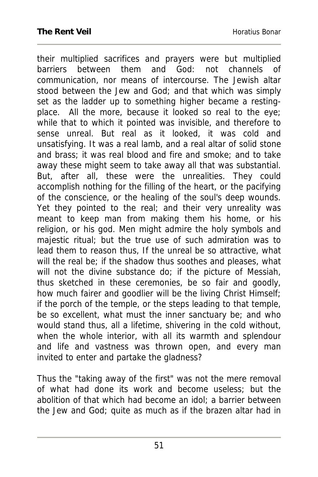their multiplied sacrifices and prayers were but multiplied barriers between them and God: not channels of communication, nor means of intercourse. The Jewish altar stood between the Jew and God; and that which was simply set as the ladder up to something higher became a restingplace. All the more, because it looked so real to the eye; while that to which it pointed was invisible, and therefore to sense unreal. But real as it looked, it was cold and unsatisfying. It was a real lamb, and a real altar of solid stone and brass; it was real blood and fire and smoke; and to take away these might seem to take away all that was substantial. But, after all, these were the unrealities. They could accomplish nothing for the filling of the heart, or the pacifying of the conscience, or the healing of the soul's deep wounds. Yet they pointed to the real; and their very unreality was meant to keep man from making them his home, or his religion, or his god. Men might admire the holy symbols and majestic ritual; but the true use of such admiration was to lead them to reason thus, If the unreal be so attractive, what will the real be; if the shadow thus soothes and pleases, what will not the divine substance do; if the picture of Messiah, thus sketched in these ceremonies, be so fair and goodly, how much fairer and goodlier will be the living Christ Himself; if the porch of the temple, or the steps leading to that temple, be so excellent, what must the inner sanctuary be; and who would stand thus, all a lifetime, shivering in the cold without, when the whole interior, with all its warmth and splendour and life and vastness was thrown open, and every man invited to enter and partake the gladness?

Thus the "taking away of the first" was not the mere removal of what had done its work and become useless; but the abolition of that which had become an idol; a barrier between the Jew and God; quite as much as if the brazen altar had in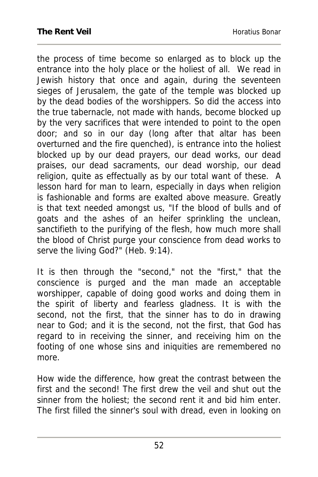the process of time become so enlarged as to block up the entrance into the holy place or the holiest of all. We read in Jewish history that once and again, during the seventeen sieges of Jerusalem, the gate of the temple was blocked up by the dead bodies of the worshippers. So did the access into the true tabernacle, not made with hands, become blocked up by the very sacrifices that were intended to point to the open door; and so in our day (long after that altar has been overturned and the fire quenched), is entrance into the holiest blocked up by our dead prayers, our dead works, our dead praises, our dead sacraments, our dead worship, our dead religion, quite as effectually as by our total want of these. A lesson hard for man to learn, especially in days when religion is fashionable and forms are exalted above measure. Greatly is that text needed amongst us, "If the blood of bulls and of goats and the ashes of an heifer sprinkling the unclean, sanctifieth to the purifying of the flesh, how much more shall the blood of Christ purge your conscience from dead works to serve the living God?" (Heb. 9:14).

It is then through the "second," not the "first," that the conscience is purged and the man made an acceptable worshipper, capable of doing good works and doing them in the spirit of liberty and fearless gladness. It is with the second, not the first, that the sinner has to do in drawing near to God; and it is the second, not the first, that God has regard to in receiving the sinner, and receiving him on the footing of one whose sins and iniquities are remembered no more.

How wide the difference, how great the contrast between the first and the second! The first drew the veil and shut out the sinner from the holiest; the second rent it and bid him enter. The first filled the sinner's soul with dread, even in looking on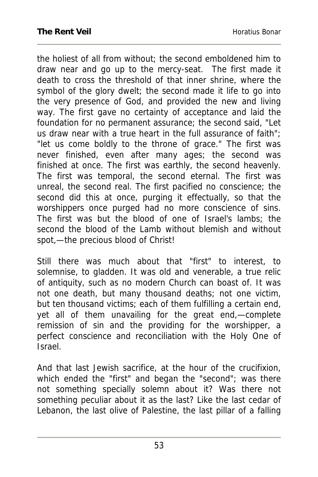the holiest of all from without; the second emboldened him to draw near and go up to the mercy-seat. The first made it death to cross the threshold of that inner shrine, where the symbol of the glory dwelt; the second made it life to go into the very presence of God, and provided the new and living way. The first gave no certainty of acceptance and laid the foundation for no permanent assurance; the second said, "Let us draw near with a true heart in the full assurance of faith"; "let us come boldly to the throne of grace." The first was never finished, even after many ages; the second was finished at once. The first was earthly, the second heavenly. The first was temporal, the second eternal. The first was unreal, the second real. The first pacified no conscience; the second did this at once, purging it effectually, so that the worshippers once purged had no more conscience of sins. The first was but the blood of one of Israel's lambs; the second the blood of the Lamb without blemish and without spot,—the precious blood of Christ!

Still there was much about that "first" to interest, to solemnise, to gladden. It was old and venerable, a true relic of antiquity, such as no modern Church can boast of. It was not one death, but many thousand deaths; not one victim, but ten thousand victims; each of them fulfilling a certain end, yet all of them unavailing for the great end,—complete remission of sin and the providing for the worshipper, a perfect conscience and reconciliation with the Holy One of Israel.

And that last Jewish sacrifice, at the hour of the crucifixion, which ended the "first" and began the "second"; was there not something specially solemn about it? Was there not something peculiar about it as the last? Like the last cedar of Lebanon, the last olive of Palestine, the last pillar of a falling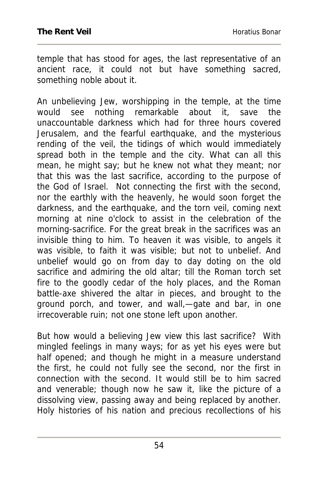temple that has stood for ages, the last representative of an ancient race, it could not but have something sacred, something noble about it.

An unbelieving Jew, worshipping in the temple, at the time would see nothing remarkable about it, save the unaccountable darkness which had for three hours covered Jerusalem, and the fearful earthquake, and the mysterious rending of the veil, the tidings of which would immediately spread both in the temple and the city. What can all this mean, he might say; but he knew not what they meant; nor that this was the last sacrifice, according to the purpose of the God of Israel. Not connecting the first with the second, nor the earthly with the heavenly, he would soon forget the darkness, and the earthquake, and the torn veil, coming next morning at nine o'clock to assist in the celebration of the morning-sacrifice. For the great break in the sacrifices was an invisible thing to him. To heaven it was visible, to angels it was visible, to faith it was visible; but not to unbelief. And unbelief would go on from day to day doting on the old sacrifice and admiring the old altar; till the Roman torch set fire to the goodly cedar of the holy places, and the Roman battle-axe shivered the altar in pieces, and brought to the ground porch, and tower, and wall,—gate and bar, in one irrecoverable ruin; not one stone left upon another.

But how would a believing Jew view this last sacrifice? With mingled feelings in many ways; for as yet his eyes were but half opened; and though he might in a measure understand the first, he could not fully see the second, nor the first in connection with the second. It would still be to him sacred and venerable; though now he saw it, like the picture of a dissolving view, passing away and being replaced by another. Holy histories of his nation and precious recollections of his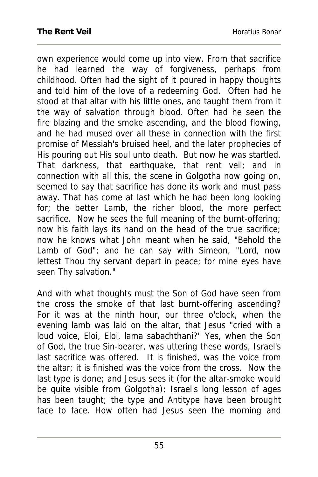own experience would come up into view. From that sacrifice he had learned the way of forgiveness, perhaps from childhood. Often had the sight of it poured in happy thoughts and told him of the love of a redeeming God. Often had he stood at that altar with his little ones, and taught them from it the way of salvation through blood. Often had he seen the fire blazing and the smoke ascending, and the blood flowing, and he had mused over all these in connection with the first promise of Messiah's bruised heel, and the later prophecies of His pouring out His soul unto death. But now he was startled. That darkness, that earthquake, that rent veil; and in connection with all this, the scene in Golgotha now going on, seemed to say that sacrifice has done its work and must pass away. That has come at last which he had been long looking for; the better Lamb, the richer blood, the more perfect sacrifice. Now he sees the full meaning of the burnt-offering; now his faith lays its hand on the head of the true sacrifice; now he knows what John meant when he said, "Behold the Lamb of God"; and he can say with Simeon, "Lord, now lettest Thou thy servant depart in peace; for mine eyes have seen Thy salvation."

And with what thoughts must the Son of God have seen from the cross the smoke of that last burnt-offering ascending? For it was at the ninth hour, our three o'clock, when the evening lamb was laid on the altar, that Jesus "cried with a loud voice, Eloi, Eloi, lama sabachthani?" Yes, when the Son of God, the true Sin-bearer, was uttering these words, Israel's last sacrifice was offered. It is finished, was the voice from the altar; it is finished was the voice from the cross. Now the last type is done; and Jesus sees it (for the altar-smoke would be quite visible from Golgotha); Israel's long lesson of ages has been taught; the type and Antitype have been brought face to face. How often had Jesus seen the morning and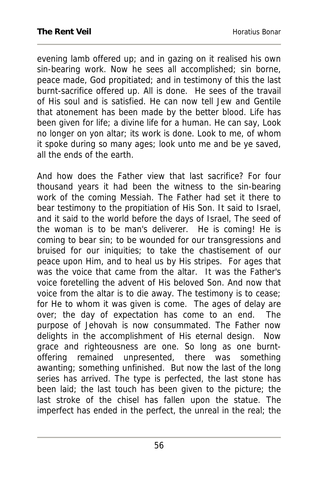evening lamb offered up; and in gazing on it realised his own sin-bearing work. Now he sees all accomplished; sin borne, peace made, God propitiated; and in testimony of this the last burnt-sacrifice offered up. All is done. He sees of the travail of His soul and is satisfied. He can now tell Jew and Gentile that atonement has been made by the better blood. Life has been given for life; a divine life for a human. He can say, Look no longer on yon altar; its work is done. Look to me, of whom it spoke during so many ages; look unto me and be ye saved, all the ends of the earth.

And how does the Father view that last sacrifice? For four thousand years it had been the witness to the sin-bearing work of the coming Messiah. The Father had set it there to bear testimony to the propitiation of His Son. It said to Israel, and it said to the world before the days of Israel, The seed of the woman is to be man's deliverer. He is coming! He is coming to bear sin; to be wounded for our transgressions and bruised for our iniquities; to take the chastisement of our peace upon Him, and to heal us by His stripes. For ages that was the voice that came from the altar. It was the Father's voice foretelling the advent of His beloved Son. And now that voice from the altar is to die away. The testimony is to cease; for He to whom it was given is come. The ages of delay are over; the day of expectation has come to an end. The purpose of Jehovah is now consummated. The Father now delights in the accomplishment of His eternal design. Now grace and righteousness are one. So long as one burntoffering remained unpresented, there was something awanting; something unfinished. But now the last of the long series has arrived. The type is perfected, the last stone has been laid; the last touch has been given to the picture; the last stroke of the chisel has fallen upon the statue. The imperfect has ended in the perfect, the unreal in the real; the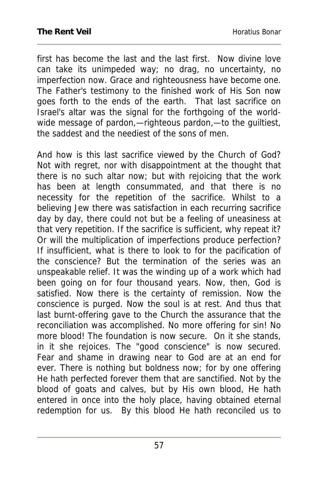first has become the last and the last first. Now divine love can take its unimpeded way; no drag, no uncertainty, no imperfection now. Grace and righteousness have become one. The Father's testimony to the finished work of His Son now goes forth to the ends of the earth. That last sacrifice on Israel's altar was the signal for the forthgoing of the worldwide message of pardon,—righteous pardon,—to the guiltiest, the saddest and the neediest of the sons of men.

And how is this last sacrifice viewed by the Church of God? Not with regret, nor with disappointment at the thought that there is no such altar now; but with rejoicing that the work has been at length consummated, and that there is no necessity for the repetition of the sacrifice. Whilst to a believing Jew there was satisfaction in each recurring sacrifice day by day, there could not but be a feeling of uneasiness at that very repetition. If the sacrifice is sufficient, why repeat it? Or will the multiplication of imperfections produce perfection? If insufficient, what is there to look to for the pacification of the conscience? But the termination of the series was an unspeakable relief. It was the winding up of a work which had been going on for four thousand years. Now, then, God is satisfied. Now there is the certainty of remission. Now the conscience is purged. Now the soul is at rest. And thus that last burnt-offering gave to the Church the assurance that the reconciliation was accomplished. No more offering for sin! No more blood! The foundation is now secure. On it she stands, in it she rejoices. The "good conscience" is now secured. Fear and shame in drawing near to God are at an end for ever. There is nothing but boldness now; for by one offering He hath perfected forever them that are sanctified. Not by the blood of goats and calves, but by His own blood, He hath entered in once into the holy place, having obtained eternal redemption for us. By this blood He hath reconciled us to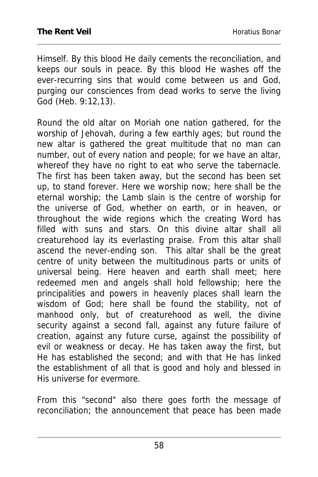Himself. By this blood He daily cements the reconciliation, and keeps our souls in peace. By this blood He washes off the ever-recurring sins that would come between us and God, purging our consciences from dead works to serve the living God (Heb. 9:12,13).

Round the old altar on Moriah one nation gathered, for the worship of Jehovah, during a few earthly ages; but round the new altar is gathered the great multitude that no man can number, out of every nation and people; for we have an altar, whereof they have no right to eat who serve the tabernacle. The first has been taken away, but the second has been set up, to stand forever. Here we worship now; here shall be the eternal worship; the Lamb slain is the centre of worship for the universe of God, whether on earth, or in heaven, or throughout the wide regions which the creating Word has filled with suns and stars. On this divine altar shall all creaturehood lay its everlasting praise. From this altar shall ascend the never-ending son. This altar shall be the great centre of unity between the multitudinous parts or units of universal being. Here heaven and earth shall meet; here redeemed men and angels shall hold fellowship; here the principalities and powers in heavenly places shall learn the wisdom of God; here shall be found the stability, not of manhood only, but of creaturehood as well, the divine security against a second fall, against any future failure of creation, against any future curse, against the possibility of evil or weakness or decay. He has taken away the first, but He has established the second; and with that He has linked the establishment of all that is good and holy and blessed in His universe for evermore.

From this "second" also there goes forth the message of reconciliation; the announcement that peace has been made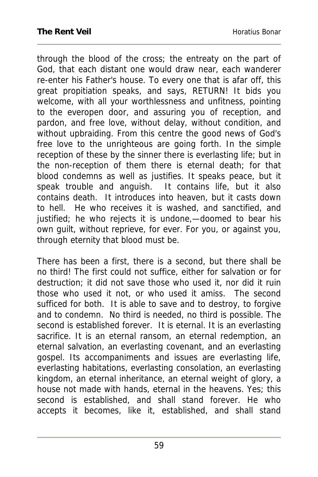through the blood of the cross; the entreaty on the part of God, that each distant one would draw near, each wanderer re-enter his Father's house. To every one that is afar off, this great propitiation speaks, and says, RETURN! It bids you welcome, with all your worthlessness and unfitness, pointing to the everopen door, and assuring you of reception, and pardon, and free love, without delay, without condition, and without upbraiding. From this centre the good news of God's free love to the unrighteous are going forth. In the simple reception of these by the sinner there is everlasting life; but in the non-reception of them there is eternal death; for that blood condemns as well as justifies. It speaks peace, but it speak trouble and anguish. It contains life, but it also contains death. It introduces into heaven, but it casts down to hell. He who receives it is washed, and sanctified, and justified; he who rejects it is undone, - doomed to bear his own guilt, without reprieve, for ever. For you, or against you, through eternity that blood must be.

There has been a first, there is a second, but there shall be no third! The first could not suffice, either for salvation or for destruction; it did not save those who used it, nor did it ruin those who used it not, or who used it amiss. The second sufficed for both. It is able to save and to destroy, to forgive and to condemn. No third is needed, no third is possible. The second is established forever. It is eternal. It is an everlasting sacrifice. It is an eternal ransom, an eternal redemption, an eternal salvation, an everlasting covenant, and an everlasting gospel. Its accompaniments and issues are everlasting life, everlasting habitations, everlasting consolation, an everlasting kingdom, an eternal inheritance, an eternal weight of glory, a house not made with hands, eternal in the heavens. Yes; this second is established, and shall stand forever. He who accepts it becomes, like it, established, and shall stand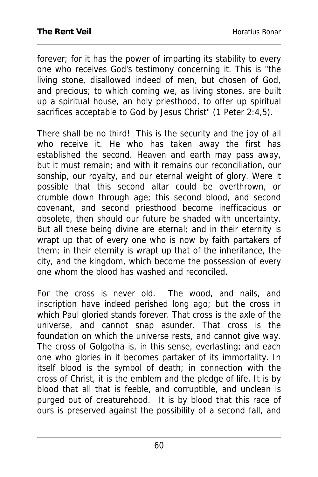forever; for it has the power of imparting its stability to every one who receives God's testimony concerning it. This is "the living stone, disallowed indeed of men, but chosen of God, and precious; to which coming we, as living stones, are built up a spiritual house, an holy priesthood, to offer up spiritual sacrifices acceptable to God by Jesus Christ" (1 Peter 2:4,5).

There shall be no third! This is the security and the joy of all who receive it. He who has taken away the first has established the second. Heaven and earth may pass away, but it must remain; and with it remains our reconciliation, our sonship, our royalty, and our eternal weight of glory. Were it possible that this second altar could be overthrown, or crumble down through age; this second blood, and second covenant, and second priesthood become inefficacious or obsolete, then should our future be shaded with uncertainty. But all these being divine are eternal; and in their eternity is wrapt up that of every one who is now by faith partakers of them; in their eternity is wrapt up that of the inheritance, the city, and the kingdom, which become the possession of every one whom the blood has washed and reconciled.

For the cross is never old. The wood, and nails, and inscription have indeed perished long ago; but the cross in which Paul gloried stands forever. That cross is the axle of the universe, and cannot snap asunder. That cross is the foundation on which the universe rests, and cannot give way. The cross of Golgotha is, in this sense, everlasting; and each one who glories in it becomes partaker of its immortality. In itself blood is the symbol of death; in connection with the cross of Christ, it is the emblem and the pledge of life. It is by blood that all that is feeble, and corruptible, and unclean is purged out of creaturehood. It is by blood that this race of ours is preserved against the possibility of a second fall, and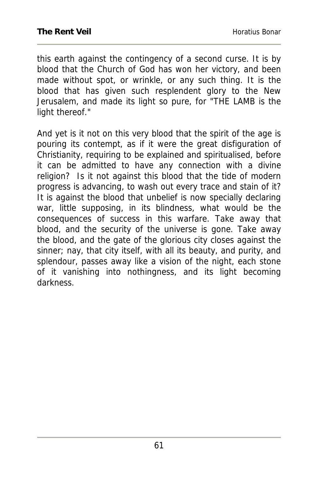this earth against the contingency of a second curse. It is by blood that the Church of God has won her victory, and been made without spot, or wrinkle, or any such thing. It is the blood that has given such resplendent glory to the New Jerusalem, and made its light so pure, for "THE LAMB is the light thereof."

And yet is it not on this very blood that the spirit of the age is pouring its contempt, as if it were the great disfiguration of Christianity, requiring to be explained and spiritualised, before it can be admitted to have any connection with a divine religion? Is it not against this blood that the tide of modern progress is advancing, to wash out every trace and stain of it? It is against the blood that unbelief is now specially declaring war, little supposing, in its blindness, what would be the consequences of success in this warfare. Take away that blood, and the security of the universe is gone. Take away the blood, and the gate of the glorious city closes against the sinner; nay, that city itself, with all its beauty, and purity, and splendour, passes away like a vision of the night, each stone of it vanishing into nothingness, and its light becoming darkness.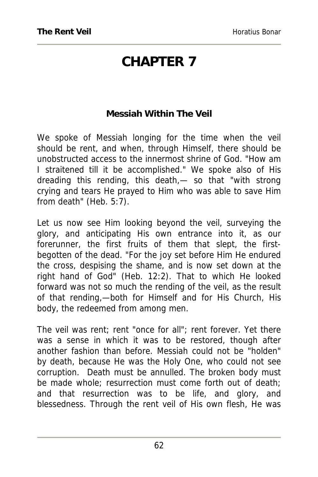## **CHAPTER 7**

## **Messiah Within The Veil**

We spoke of Messiah longing for the time when the veil should be rent, and when, through Himself, there should be unobstructed access to the innermost shrine of God. "How am I straitened till it be accomplished." We spoke also of His dreading this rending, this death,— so that "with strong crying and tears He prayed to Him who was able to save Him from death" (Heb. 5:7).

Let us now see Him looking beyond the veil, surveying the glory, and anticipating His own entrance into it, as our forerunner, the first fruits of them that slept, the firstbegotten of the dead. "For the joy set before Him He endured the cross, despising the shame, and is now set down at the right hand of God" (Heb. 12:2). That to which He looked forward was not so much the rending of the veil, as the result of that rending,—both for Himself and for His Church, His body, the redeemed from among men.

The veil was rent; rent "once for all"; rent forever. Yet there was a sense in which it was to be restored, though after another fashion than before. Messiah could not be "holden" by death, because He was the Holy One, who could not see corruption. Death must be annulled. The broken body must be made whole; resurrection must come forth out of death; and that resurrection was to be life, and glory, and blessedness. Through the rent veil of His own flesh, He was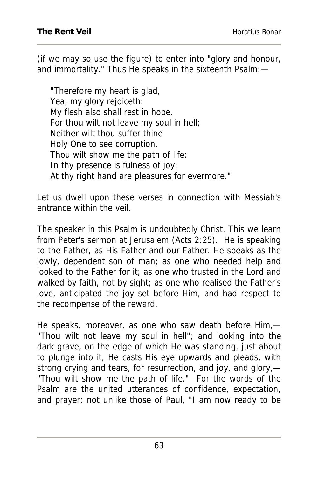(if we may so use the figure) to enter into "glory and honour, and immortality." Thus He speaks in the sixteenth Psalm:—

"Therefore my heart is glad, Yea, my glory rejoiceth: My flesh also shall rest in hope. For thou wilt not leave my soul in hell; Neither wilt thou suffer thine Holy One to see corruption. Thou wilt show me the path of life: In thy presence is fulness of joy; At thy right hand are pleasures for evermore."

Let us dwell upon these verses in connection with Messiah's entrance within the veil

The speaker in this Psalm is undoubtedly Christ. This we learn from Peter's sermon at Jerusalem (Acts 2:25). He is speaking to the Father, as His Father and our Father. He speaks as the lowly, dependent son of man; as one who needed help and looked to the Father for it; as one who trusted in the Lord and walked by faith, not by sight; as one who realised the Father's love, anticipated the joy set before Him, and had respect to the recompense of the reward.

He speaks, moreover, as one who saw death before Him,— "Thou wilt not leave my soul in hell"; and looking into the dark grave, on the edge of which He was standing, just about to plunge into it, He casts His eye upwards and pleads, with strong crying and tears, for resurrection, and joy, and glory,— "Thou wilt show me the path of life." For the words of the Psalm are the united utterances of confidence, expectation, and prayer; not unlike those of Paul, "I am now ready to be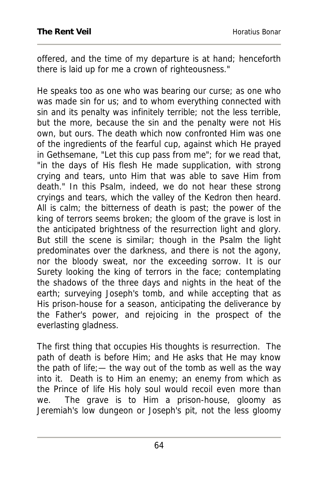offered, and the time of my departure is at hand; henceforth there is laid up for me a crown of righteousness."

He speaks too as one who was bearing our curse; as one who was made sin for us; and to whom everything connected with sin and its penalty was infinitely terrible; not the less terrible, but the more, because the sin and the penalty were not His own, but ours. The death which now confronted Him was one of the ingredients of the fearful cup, against which He prayed in Gethsemane, "Let this cup pass from me"; for we read that, "in the days of His flesh He made supplication, with strong crying and tears, unto Him that was able to save Him from death." In this Psalm, indeed, we do not hear these strong cryings and tears, which the valley of the Kedron then heard. All is calm; the bitterness of death is past; the power of the king of terrors seems broken; the gloom of the grave is lost in the anticipated brightness of the resurrection light and glory. But still the scene is similar; though in the Psalm the light predominates over the darkness, and there is not the agony, nor the bloody sweat, nor the exceeding sorrow. It is our Surety looking the king of terrors in the face; contemplating the shadows of the three days and nights in the heat of the earth; surveying Joseph's tomb, and while accepting that as His prison-house for a season, anticipating the deliverance by the Father's power, and rejoicing in the prospect of the everlasting gladness.

The first thing that occupies His thoughts is resurrection. The path of death is before Him; and He asks that He may know the path of life;— the way out of the tomb as well as the way into it. Death is to Him an enemy; an enemy from which as the Prince of life His holy soul would recoil even more than we. The grave is to Him a prison-house, gloomy as Jeremiah's low dungeon or Joseph's pit, not the less gloomy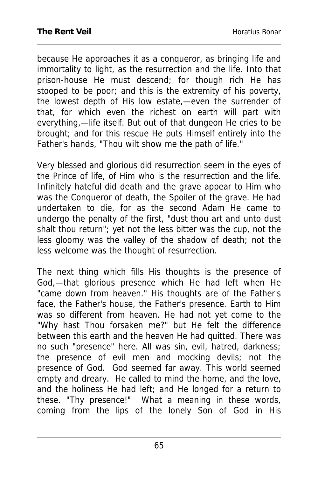because He approaches it as a conqueror, as bringing life and immortality to light, as the resurrection and the life. Into that prison-house He must descend; for though rich He has stooped to be poor; and this is the extremity of his poverty, the lowest depth of His low estate,—even the surrender of that, for which even the richest on earth will part with everything,—life itself. But out of that dungeon He cries to be brought; and for this rescue He puts Himself entirely into the Father's hands, "Thou wilt show me the path of life."

Very blessed and glorious did resurrection seem in the eyes of the Prince of life, of Him who is the resurrection and the life. Infinitely hateful did death and the grave appear to Him who was the Conqueror of death, the Spoiler of the grave. He had undertaken to die, for as the second Adam He came to undergo the penalty of the first, "dust thou art and unto dust shalt thou return"; yet not the less bitter was the cup, not the less gloomy was the valley of the shadow of death; not the less welcome was the thought of resurrection.

The next thing which fills His thoughts is the presence of God,—that glorious presence which He had left when He "came down from heaven." His thoughts are of the Father's face, the Father's house, the Father's presence. Earth to Him was so different from heaven. He had not yet come to the "Why hast Thou forsaken me?" but He felt the difference between this earth and the heaven He had quitted. There was no such "presence" here. All was sin, evil, hatred, darkness; the presence of evil men and mocking devils; not the presence of God. God seemed far away. This world seemed empty and dreary. He called to mind the home, and the love, and the holiness He had left; and He longed for a return to these. "Thy presence!" What a meaning in these words, coming from the lips of the lonely Son of God in His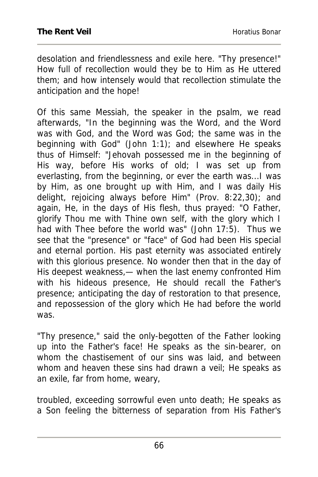desolation and friendlessness and exile here. "Thy presence!" How full of recollection would they be to Him as He uttered them; and how intensely would that recollection stimulate the anticipation and the hope!

Of this same Messiah, the speaker in the psalm, we read afterwards, "In the beginning was the Word, and the Word was with God, and the Word was God; the same was in the beginning with God" (John 1:1); and elsewhere He speaks thus of Himself: "Jehovah possessed me in the beginning of His way, before His works of old; I was set up from everlasting, from the beginning, or ever the earth was...I was by Him, as one brought up with Him, and I was daily His delight, rejoicing always before Him" (Prov. 8:22,30); and again, He, in the days of His flesh, thus prayed: "O Father, glorify Thou me with Thine own self, with the glory which I had with Thee before the world was" (John 17:5). Thus we see that the "presence" or "face" of God had been His special and eternal portion. His past eternity was associated entirely with this glorious presence. No wonder then that in the day of His deepest weakness,— when the last enemy confronted Him with his hideous presence, He should recall the Father's presence; anticipating the day of restoration to that presence, and repossession of the glory which He had before the world was.

"Thy presence," said the only-begotten of the Father looking up into the Father's face! He speaks as the sin-bearer, on whom the chastisement of our sins was laid, and between whom and heaven these sins had drawn a veil; He speaks as an exile, far from home, weary,

troubled, exceeding sorrowful even unto death; He speaks as a Son feeling the bitterness of separation from His Father's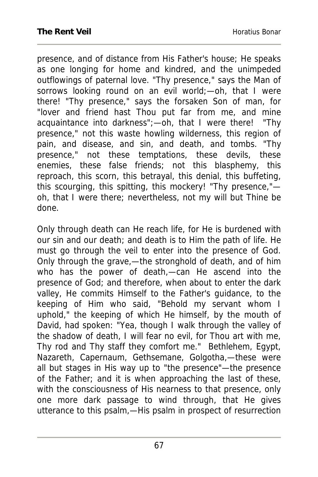presence, and of distance from His Father's house; He speaks as one longing for home and kindred, and the unimpeded outflowings of paternal love. "Thy presence," says the Man of sorrows looking round on an evil world; - oh, that I were there! "Thy presence," says the forsaken Son of man, for "lover and friend hast Thou put far from me, and mine acquaintance into darkness";—oh, that I were there! "Thy presence," not this waste howling wilderness, this region of pain, and disease, and sin, and death, and tombs. "Thy presence," not these temptations, these devils, these enemies, these false friends; not this blasphemy, this reproach, this scorn, this betrayal, this denial, this buffeting, this scourging, this spitting, this mockery! "Thy presence," oh, that I were there; nevertheless, not my will but Thine be done.

Only through death can He reach life, for He is burdened with our sin and our death; and death is to Him the path of life. He must go through the veil to enter into the presence of God. Only through the grave,—the stronghold of death, and of him who has the power of death,—can He ascend into the presence of God; and therefore, when about to enter the dark valley, He commits Himself to the Father's guidance, to the keeping of Him who said, "Behold my servant whom I uphold," the keeping of which He himself, by the mouth of David, had spoken: "Yea, though I walk through the valley of the shadow of death, I will fear no evil, for Thou art with me, Thy rod and Thy staff they comfort me." Bethlehem, Egypt, Nazareth, Capernaum, Gethsemane, Golgotha,—these were all but stages in His way up to "the presence"—the presence of the Father; and it is when approaching the last of these, with the consciousness of His nearness to that presence, only one more dark passage to wind through, that He gives utterance to this psalm,—His psalm in prospect of resurrection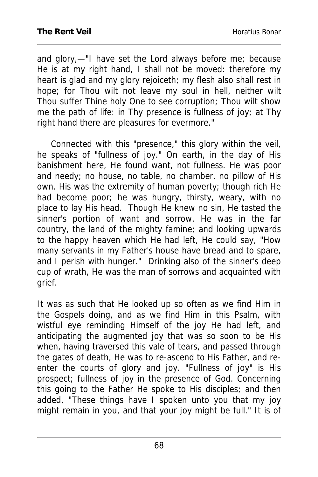and glory,—"I have set the Lord always before me; because He is at my right hand, I shall not be moved: therefore my heart is glad and my glory rejoiceth; my flesh also shall rest in hope; for Thou wilt not leave my soul in hell, neither wilt Thou suffer Thine holy One to see corruption; Thou wilt show me the path of life: in Thy presence is fullness of joy; at Thy right hand there are pleasures for evermore."

 Connected with this "presence," this glory within the veil, he speaks of "fullness of joy." On earth, in the day of His banishment here, He found want, not fullness. He was poor and needy; no house, no table, no chamber, no pillow of His own. His was the extremity of human poverty; though rich He had become poor; he was hungry, thirsty, weary, with no place to lay His head. Though He knew no sin, He tasted the sinner's portion of want and sorrow. He was in the far country, the land of the mighty famine; and looking upwards to the happy heaven which He had left, He could say, "How many servants in my Father's house have bread and to spare, and I perish with hunger." Drinking also of the sinner's deep cup of wrath, He was the man of sorrows and acquainted with grief.

It was as such that He looked up so often as we find Him in the Gospels doing, and as we find Him in this Psalm, with wistful eye reminding Himself of the joy He had left, and anticipating the augmented joy that was so soon to be His when, having traversed this vale of tears, and passed through the gates of death, He was to re-ascend to His Father, and reenter the courts of glory and joy. "Fullness of joy" is His prospect; fullness of joy in the presence of God. Concerning this going to the Father He spoke to His disciples; and then added, "These things have I spoken unto you that my joy might remain in you, and that your joy might be full." It is of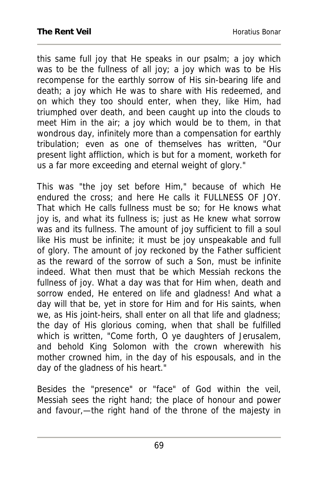this same full joy that He speaks in our psalm; a joy which was to be the fullness of all joy; a joy which was to be His recompense for the earthly sorrow of His sin-bearing life and death; a joy which He was to share with His redeemed, and on which they too should enter, when they, like Him, had triumphed over death, and been caught up into the clouds to meet Him in the air; a joy which would be to them, in that wondrous day, infinitely more than a compensation for earthly tribulation; even as one of themselves has written, "Our present light affliction, which is but for a moment, worketh for us a far more exceeding and eternal weight of glory."

This was "the joy set before Him," because of which He endured the cross; and here He calls it FULLNESS OF JOY. That which He calls fullness must be so; for He knows what joy is, and what its fullness is; just as He knew what sorrow was and its fullness. The amount of joy sufficient to fill a soul like His must be infinite; it must be joy unspeakable and full of glory. The amount of joy reckoned by the Father sufficient as the reward of the sorrow of such a Son, must be infinite indeed. What then must that be which Messiah reckons the fullness of joy. What a day was that for Him when, death and sorrow ended, He entered on life and gladness! And what a day will that be, yet in store for Him and for His saints, when we, as His joint-heirs, shall enter on all that life and gladness; the day of His glorious coming, when that shall be fulfilled which is written, "Come forth, O ye daughters of Jerusalem, and behold King Solomon with the crown wherewith his mother crowned him, in the day of his espousals, and in the day of the gladness of his heart."

Besides the "presence" or "face" of God within the veil, Messiah sees the right hand; the place of honour and power and favour,—the right hand of the throne of the majesty in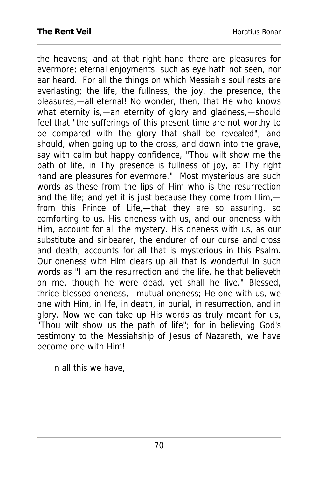the heavens; and at that right hand there are pleasures for evermore; eternal enjoyments, such as eye hath not seen, nor ear heard. For all the things on which Messiah's soul rests are everlasting; the life, the fullness, the joy, the presence, the pleasures,—all eternal! No wonder, then, that He who knows what eternity is,—an eternity of glory and gladness,—should feel that "the sufferings of this present time are not worthy to be compared with the glory that shall be revealed"; and should, when going up to the cross, and down into the grave, say with calm but happy confidence, "Thou wilt show me the path of life, in Thy presence is fullness of joy, at Thy right hand are pleasures for evermore." Most mysterious are such words as these from the lips of Him who is the resurrection and the life; and yet it is just because they come from Him, from this Prince of Life,—that they are so assuring, so comforting to us. His oneness with us, and our oneness with Him, account for all the mystery. His oneness with us, as our substitute and sinbearer, the endurer of our curse and cross and death, accounts for all that is mysterious in this Psalm. Our oneness with Him clears up all that is wonderful in such words as "I am the resurrection and the life, he that believeth on me, though he were dead, yet shall he live." Blessed, thrice-blessed oneness,—mutual oneness; He one with us, we one with Him, in life, in death, in burial, in resurrection, and in glory. Now we can take up His words as truly meant for us, "Thou wilt show us the path of life"; for in believing God's testimony to the Messiahship of Jesus of Nazareth, we have become one with Him!

In all this we have,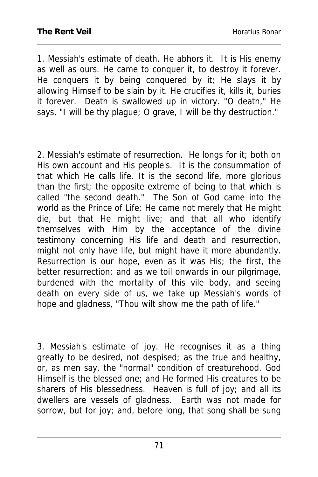1. Messiah's estimate of death. He abhors it. It is His enemy as well as ours. He came to conquer it, to destroy it forever. He conquers it by being conquered by it; He slays it by allowing Himself to be slain by it. He crucifies it, kills it, buries it forever. Death is swallowed up in victory. "O death," He says, "I will be thy plague; O grave, I will be thy destruction."

2. Messiah's estimate of resurrection. He longs for it; both on His own account and His people's. It is the consummation of that which He calls life. It is the second life, more glorious than the first; the opposite extreme of being to that which is called "the second death." The Son of God came into the world as the Prince of Life; He came not merely that He might die, but that He might live; and that all who identify themselves with Him by the acceptance of the divine testimony concerning His life and death and resurrection, might not only have life, but might have it more abundantly. Resurrection is our hope, even as it was His; the first, the better resurrection; and as we toil onwards in our pilgrimage, burdened with the mortality of this vile body, and seeing death on every side of us, we take up Messiah's words of hope and gladness, "Thou wilt show me the path of life."

3. Messiah's estimate of joy. He recognises it as a thing greatly to be desired, not despised; as the true and healthy, or, as men say, the "normal" condition of creaturehood. God Himself is the blessed one; and He formed His creatures to be sharers of His blessedness. Heaven is full of joy; and all its dwellers are vessels of gladness. Earth was not made for sorrow, but for joy; and, before long, that song shall be sung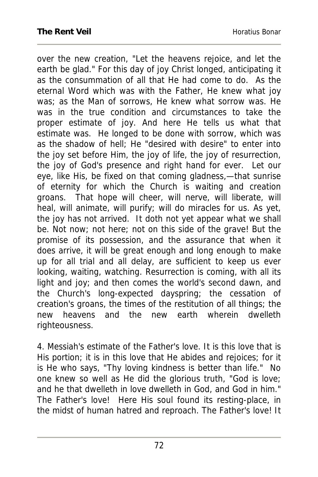over the new creation, "Let the heavens rejoice, and let the earth be glad." For this day of joy Christ longed, anticipating it as the consummation of all that He had come to do. As the eternal Word which was with the Father, He knew what joy was; as the Man of sorrows, He knew what sorrow was. He was in the true condition and circumstances to take the proper estimate of joy. And here He tells us what that estimate was. He longed to be done with sorrow, which was as the shadow of hell; He "desired with desire" to enter into the joy set before Him, the joy of life, the joy of resurrection, the joy of God's presence and right hand for ever. Let our eye, like His, be fixed on that coming gladness,—that sunrise of eternity for which the Church is waiting and creation groans. That hope will cheer, will nerve, will liberate, will heal, will animate, will purify; will do miracles for us. As yet, the joy has not arrived. It doth not yet appear what we shall be. Not now; not here; not on this side of the grave! But the promise of its possession, and the assurance that when it does arrive, it will be great enough and long enough to make up for all trial and all delay, are sufficient to keep us ever looking, waiting, watching. Resurrection is coming, with all its light and joy; and then comes the world's second dawn, and the Church's long-expected dayspring; the cessation of creation's groans, the times of the restitution of all things; the new heavens and the new earth wherein dwelleth righteousness.

4. Messiah's estimate of the Father's love. It is this love that is His portion; it is in this love that He abides and rejoices; for it is He who says, "Thy loving kindness is better than life." No one knew so well as He did the glorious truth, "God is love; and he that dwelleth in love dwelleth in God, and God in him." The Father's love! Here His soul found its resting-place, in the midst of human hatred and reproach. The Father's love! It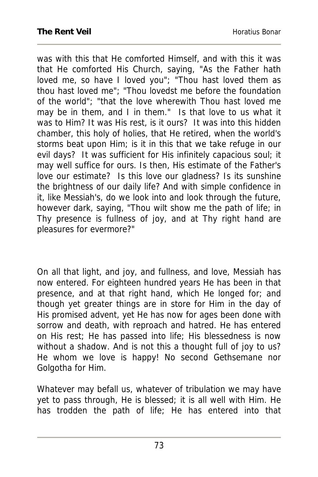was with this that He comforted Himself, and with this it was that He comforted His Church, saying, "As the Father hath loved me, so have I loved you"; "Thou hast loved them as thou hast loved me"; "Thou lovedst me before the foundation of the world"; "that the love wherewith Thou hast loved me may be in them, and I in them." Is that love to us what it was to Him? It was His rest, is it ours? It was into this hidden chamber, this holy of holies, that He retired, when the world's storms beat upon Him; is it in this that we take refuge in our evil days? It was sufficient for His infinitely capacious soul; it may well suffice for ours. Is then, His estimate of the Father's love our estimate? Is this love our gladness? Is its sunshine the brightness of our daily life? And with simple confidence in it, like Messiah's, do we look into and look through the future, however dark, saying, "Thou wilt show me the path of life; in Thy presence is fullness of joy, and at Thy right hand are pleasures for evermore?"

On all that light, and joy, and fullness, and love, Messiah has now entered. For eighteen hundred years He has been in that presence, and at that right hand, which He longed for; and though yet greater things are in store for Him in the day of His promised advent, yet He has now for ages been done with sorrow and death, with reproach and hatred. He has entered on His rest; He has passed into life; His blessedness is now without a shadow. And is not this a thought full of joy to us? He whom we love is happy! No second Gethsemane nor Golgotha for Him.

Whatever may befall us, whatever of tribulation we may have yet to pass through, He is blessed; it is all well with Him. He has trodden the path of life; He has entered into that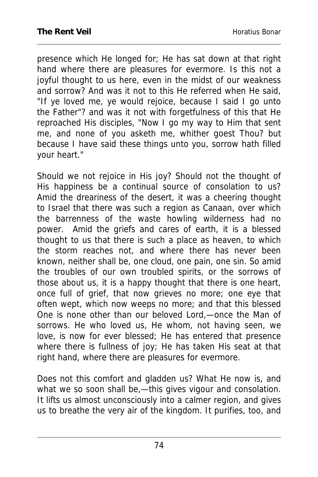presence which He longed for; He has sat down at that right hand where there are pleasures for evermore. Is this not a joyful thought to us here, even in the midst of our weakness and sorrow? And was it not to this He referred when He said, "If ye loved me, ye would rejoice, because I said I go unto the Father"? and was it not with forgetfulness of this that He reproached His disciples, "Now I go my way to Him that sent me, and none of you asketh me, whither goest Thou? but because I have said these things unto you, sorrow hath filled your heart."

Should we not rejoice in His joy? Should not the thought of His happiness be a continual source of consolation to us? Amid the dreariness of the desert, it was a cheering thought to Israel that there was such a region as Canaan, over which the barrenness of the waste howling wilderness had no power. Amid the griefs and cares of earth, it is a blessed thought to us that there is such a place as heaven, to which the storm reaches not, and where there has never been known, neither shall be, one cloud, one pain, one sin. So amid the troubles of our own troubled spirits, or the sorrows of those about us, it is a happy thought that there is one heart, once full of grief, that now grieves no more; one eye that often wept, which now weeps no more; and that this blessed One is none other than our beloved Lord,—once the Man of sorrows. He who loved us, He whom, not having seen, we love, is now for ever blessed; He has entered that presence where there is fullness of joy; He has taken His seat at that right hand, where there are pleasures for evermore.

Does not this comfort and gladden us? What He now is, and what we so soon shall be,—this gives vigour and consolation. It lifts us almost unconsciously into a calmer region, and gives us to breathe the very air of the kingdom. It purifies, too, and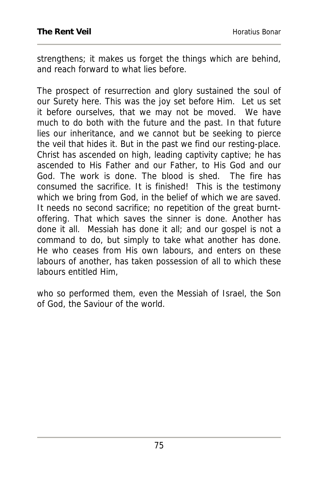strengthens; it makes us forget the things which are behind, and reach forward to what lies before.

The prospect of resurrection and glory sustained the soul of our Surety here. This was the joy set before Him. Let us set it before ourselves, that we may not be moved. We have much to do both with the future and the past. In that future lies our inheritance, and we cannot but be seeking to pierce the veil that hides it. But in the past we find our resting-place. Christ has ascended on high, leading captivity captive; he has ascended to His Father and our Father, to His God and our God. The work is done. The blood is shed. The fire has consumed the sacrifice. It is finished! This is the testimony which we bring from God, in the belief of which we are saved. It needs no second sacrifice; no repetition of the great burntoffering. That which saves the sinner is done. Another has done it all. Messiah has done it all; and our gospel is not a command to do, but simply to take what another has done. He who ceases from His own labours, and enters on these labours of another, has taken possession of all to which these labours entitled Him,

who so performed them, even the Messiah of Israel, the Son of God, the Saviour of the world.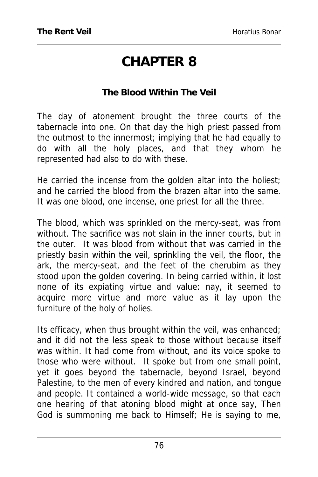## **CHAPTER 8**

### **The Blood Within The Veil**

The day of atonement brought the three courts of the tabernacle into one. On that day the high priest passed from the outmost to the innermost; implying that he had equally to do with all the holy places, and that they whom he represented had also to do with these.

He carried the incense from the golden altar into the holiest; and he carried the blood from the brazen altar into the same. It was one blood, one incense, one priest for all the three.

The blood, which was sprinkled on the mercy-seat, was from without. The sacrifice was not slain in the inner courts, but in the outer. It was blood from without that was carried in the priestly basin within the veil, sprinkling the veil, the floor, the ark, the mercy-seat, and the feet of the cherubim as they stood upon the golden covering. In being carried within, it lost none of its expiating virtue and value: nay, it seemed to acquire more virtue and more value as it lay upon the furniture of the holy of holies.

Its efficacy, when thus brought within the veil, was enhanced; and it did not the less speak to those without because itself was within. It had come from without, and its voice spoke to those who were without. It spoke but from one small point, yet it goes beyond the tabernacle, beyond Israel, beyond Palestine, to the men of every kindred and nation, and tongue and people. It contained a world-wide message, so that each one hearing of that atoning blood might at once say, Then God is summoning me back to Himself; He is saying to me,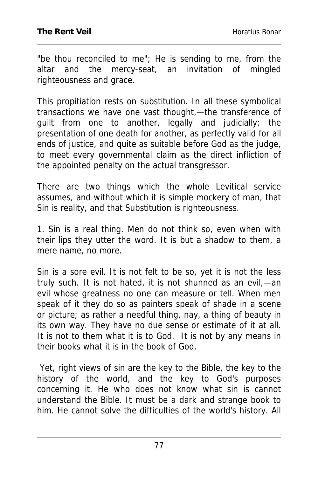"be thou reconciled to me"; He is sending to me, from the altar and the mercy-seat, an invitation of mingled righteousness and grace.

This propitiation rests on substitution. In all these symbolical transactions we have one vast thought,—the transference of guilt from one to another, legally and judicially; the presentation of one death for another, as perfectly valid for all ends of justice, and quite as suitable before God as the judge, to meet every governmental claim as the direct infliction of the appointed penalty on the actual transgressor.

There are two things which the whole Levitical service assumes, and without which it is simple mockery of man, that Sin is reality, and that Substitution is righteousness.

1. Sin is a real thing. Men do not think so, even when with their lips they utter the word. It is but a shadow to them, a mere name, no more.

Sin is a sore evil. It is not felt to be so, yet it is not the less truly such. It is not hated, it is not shunned as an evil,—an evil whose greatness no one can measure or tell. When men speak of it they do so as painters speak of shade in a scene or picture; as rather a needful thing, nay, a thing of beauty in its own way. They have no due sense or estimate of it at all. It is not to them what it is to God. It is not by any means in their books what it is in the book of God.

 Yet, right views of sin are the key to the Bible, the key to the history of the world, and the key to God's purposes concerning it. He who does not know what sin is cannot understand the Bible. It must be a dark and strange book to him. He cannot solve the difficulties of the world's history. All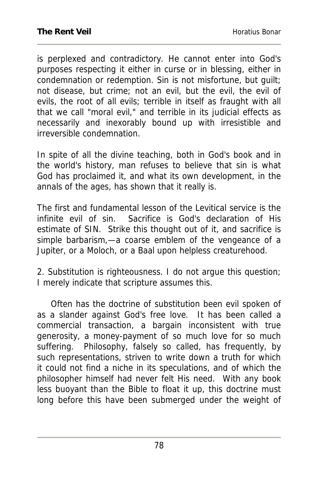is perplexed and contradictory. He cannot enter into God's purposes respecting it either in curse or in blessing, either in condemnation or redemption. Sin is not misfortune, but guilt; not disease, but crime; not an evil, but the evil, the evil of evils, the root of all evils; terrible in itself as fraught with all that we call "moral evil," and terrible in its judicial effects as necessarily and inexorably bound up with irresistible and irreversible condemnation.

In spite of all the divine teaching, both in God's book and in the world's history, man refuses to believe that sin is what God has proclaimed it, and what its own development, in the annals of the ages, has shown that it really is.

The first and fundamental lesson of the Levitical service is the infinite evil of sin. Sacrifice is God's declaration of His estimate of SIN. Strike this thought out of it, and sacrifice is simple barbarism,—a coarse emblem of the vengeance of a Jupiter, or a Moloch, or a Baal upon helpless creaturehood.

2. Substitution is righteousness. I do not argue this question; I merely indicate that scripture assumes this.

 Often has the doctrine of substitution been evil spoken of as a slander against God's free love. It has been called a commercial transaction, a bargain inconsistent with true generosity, a money-payment of so much love for so much suffering. Philosophy, falsely so called, has frequently, by such representations, striven to write down a truth for which it could not find a niche in its speculations, and of which the philosopher himself had never felt His need. With any book less buoyant than the Bible to float it up, this doctrine must long before this have been submerged under the weight of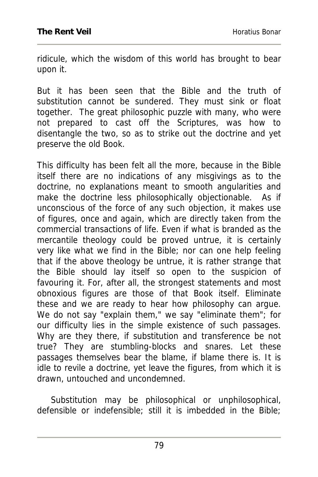ridicule, which the wisdom of this world has brought to bear upon it.

But it has been seen that the Bible and the truth of substitution cannot be sundered. They must sink or float together. The great philosophic puzzle with many, who were not prepared to cast off the Scriptures, was how to disentangle the two, so as to strike out the doctrine and yet preserve the old Book.

This difficulty has been felt all the more, because in the Bible itself there are no indications of any misgivings as to the doctrine, no explanations meant to smooth angularities and make the doctrine less philosophically objectionable. As if unconscious of the force of any such objection, it makes use of figures, once and again, which are directly taken from the commercial transactions of life. Even if what is branded as the mercantile theology could be proved untrue, it is certainly very like what we find in the Bible; nor can one help feeling that if the above theology be untrue, it is rather strange that the Bible should lay itself so open to the suspicion of favouring it. For, after all, the strongest statements and most obnoxious figures are those of that Book itself. Eliminate these and we are ready to hear how philosophy can argue. We do not say "explain them," we say "eliminate them"; for our difficulty lies in the simple existence of such passages. Why are they there, if substitution and transference be not true? They are stumbling-blocks and snares. Let these passages themselves bear the blame, if blame there is. It is idle to revile a doctrine, yet leave the figures, from which it is drawn, untouched and uncondemned.

 Substitution may be philosophical or unphilosophical, defensible or indefensible; still it is imbedded in the Bible;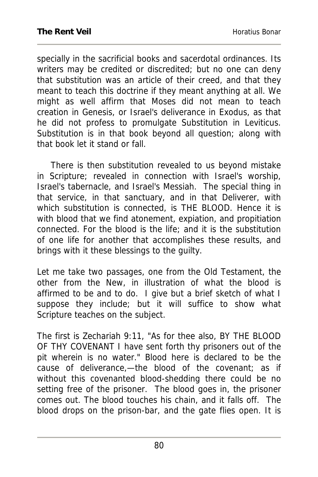specially in the sacrificial books and sacerdotal ordinances. Its writers may be credited or discredited; but no one can deny that substitution was an article of their creed, and that they meant to teach this doctrine if they meant anything at all. We might as well affirm that Moses did not mean to teach creation in Genesis, or Israel's deliverance in Exodus, as that he did not profess to promulgate Substitution in Leviticus. Substitution is in that book beyond all question; along with that book let it stand or fall.

 There is then substitution revealed to us beyond mistake in Scripture; revealed in connection with Israel's worship, Israel's tabernacle, and Israel's Messiah. The special thing in that service, in that sanctuary, and in that Deliverer, with which substitution is connected, is THE BLOOD. Hence it is with blood that we find atonement, expiation, and propitiation connected. For the blood is the life; and it is the substitution of one life for another that accomplishes these results, and brings with it these blessings to the guilty.

Let me take two passages, one from the Old Testament, the other from the New, in illustration of what the blood is affirmed to be and to do. I give but a brief sketch of what I suppose they include; but it will suffice to show what Scripture teaches on the subject.

The first is Zechariah 9:11, "As for thee also, BY THE BLOOD OF THY COVENANT I have sent forth thy prisoners out of the pit wherein is no water." Blood here is declared to be the cause of deliverance,—the blood of the covenant; as if without this covenanted blood-shedding there could be no setting free of the prisoner. The blood goes in, the prisoner comes out. The blood touches his chain, and it falls off. The blood drops on the prison-bar, and the gate flies open. It is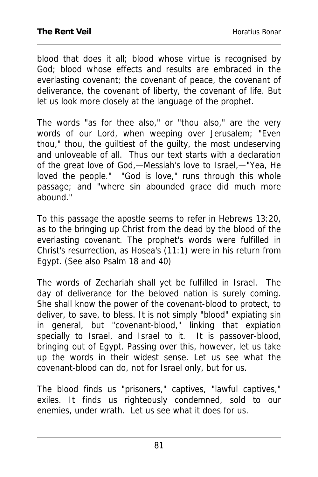blood that does it all; blood whose virtue is recognised by God; blood whose effects and results are embraced in the everlasting covenant; the covenant of peace, the covenant of deliverance, the covenant of liberty, the covenant of life. But let us look more closely at the language of the prophet.

The words "as for thee also," or "thou also," are the very words of our Lord, when weeping over Jerusalem; "Even thou," thou, the guiltiest of the guilty, the most undeserving and unloveable of all. Thus our text starts with a declaration of the great love of God,—Messiah's love to Israel,—"Yea, He loved the people." "God is love," runs through this whole passage; and "where sin abounded grace did much more .<br>abound."

To this passage the apostle seems to refer in Hebrews 13:20, as to the bringing up Christ from the dead by the blood of the everlasting covenant. The prophet's words were fulfilled in Christ's resurrection, as Hosea's (11:1) were in his return from Egypt. (See also Psalm 18 and 40)

The words of Zechariah shall yet be fulfilled in Israel. The day of deliverance for the beloved nation is surely coming. She shall know the power of the covenant-blood to protect, to deliver, to save, to bless. It is not simply "blood" expiating sin in general, but "covenant-blood," linking that expiation specially to Israel, and Israel to it. It is passover-blood, bringing out of Egypt. Passing over this, however, let us take up the words in their widest sense. Let us see what the covenant-blood can do, not for Israel only, but for us.

The blood finds us "prisoners," captives, "lawful captives," exiles. It finds us righteously condemned, sold to our enemies, under wrath. Let us see what it does for us.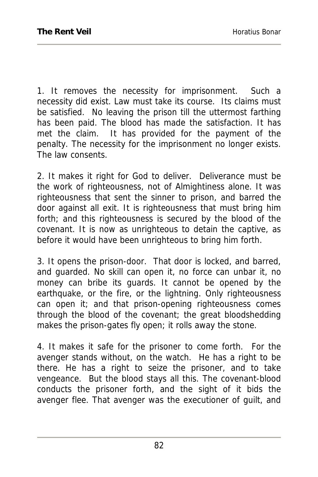1. It removes the necessity for imprisonment. Such a necessity did exist. Law must take its course. Its claims must be satisfied. No leaving the prison till the uttermost farthing has been paid. The blood has made the satisfaction. It has met the claim. It has provided for the payment of the penalty. The necessity for the imprisonment no longer exists. The law consents.

2. It makes it right for God to deliver. Deliverance must be the work of righteousness, not of Almightiness alone. It was righteousness that sent the sinner to prison, and barred the door against all exit. It is righteousness that must bring him forth; and this righteousness is secured by the blood of the covenant. It is now as unrighteous to detain the captive, as before it would have been unrighteous to bring him forth.

3. It opens the prison-door. That door is locked, and barred, and guarded. No skill can open it, no force can unbar it, no money can bribe its guards. It cannot be opened by the earthquake, or the fire, or the lightning. Only righteousness can open it; and that prison-opening righteousness comes through the blood of the covenant; the great bloodshedding makes the prison-gates fly open; it rolls away the stone.

4. It makes it safe for the prisoner to come forth. For the avenger stands without, on the watch. He has a right to be there. He has a right to seize the prisoner, and to take vengeance. But the blood stays all this. The covenant-blood conducts the prisoner forth, and the sight of it bids the avenger flee. That avenger was the executioner of guilt, and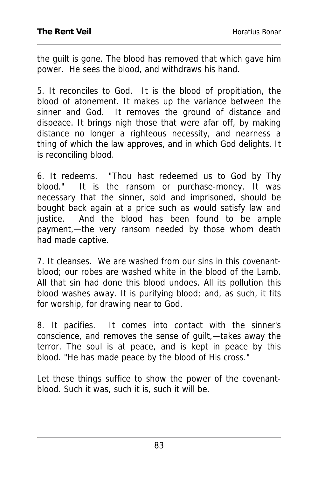the guilt is gone. The blood has removed that which gave him power. He sees the blood, and withdraws his hand.

5. It reconciles to God. It is the blood of propitiation, the blood of atonement. It makes up the variance between the sinner and God. It removes the ground of distance and dispeace. It brings nigh those that were afar off, by making distance no longer a righteous necessity, and nearness a thing of which the law approves, and in which God delights. It is reconciling blood.

6. It redeems. "Thou hast redeemed us to God by Thy blood." It is the ransom or purchase-money. It was necessary that the sinner, sold and imprisoned, should be bought back again at a price such as would satisfy law and justice. And the blood has been found to be ample payment,—the very ransom needed by those whom death had made captive.

7. It cleanses. We are washed from our sins in this covenantblood; our robes are washed white in the blood of the Lamb. All that sin had done this blood undoes. All its pollution this blood washes away. It is purifying blood; and, as such, it fits for worship, for drawing near to God.

8. It pacifies. It comes into contact with the sinner's conscience, and removes the sense of guilt,—takes away the terror. The soul is at peace, and is kept in peace by this blood. "He has made peace by the blood of His cross."

Let these things suffice to show the power of the covenantblood. Such it was, such it is, such it will be.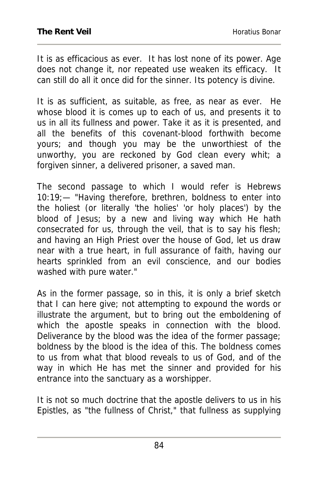It is as efficacious as ever. It has lost none of its power. Age does not change it, nor repeated use weaken its efficacy. It can still do all it once did for the sinner. Its potency is divine.

It is as sufficient, as suitable, as free, as near as ever. He whose blood it is comes up to each of us, and presents it to us in all its fullness and power. Take it as it is presented, and all the benefits of this covenant-blood forthwith become yours; and though you may be the unworthiest of the unworthy, you are reckoned by God clean every whit; a forgiven sinner, a delivered prisoner, a saved man.

The second passage to which I would refer is Hebrews 10:19;— "Having therefore, brethren, boldness to enter into the holiest (or literally 'the holies' 'or holy places') by the blood of Jesus; by a new and living way which He hath consecrated for us, through the veil, that is to say his flesh; and having an High Priest over the house of God, let us draw near with a true heart, in full assurance of faith, having our hearts sprinkled from an evil conscience, and our bodies washed with pure water."

As in the former passage, so in this, it is only a brief sketch that I can here give; not attempting to expound the words or illustrate the argument, but to bring out the emboldening of which the apostle speaks in connection with the blood. Deliverance by the blood was the idea of the former passage; boldness by the blood is the idea of this. The boldness comes to us from what that blood reveals to us of God, and of the way in which He has met the sinner and provided for his entrance into the sanctuary as a worshipper.

It is not so much doctrine that the apostle delivers to us in his Epistles, as "the fullness of Christ," that fullness as supplying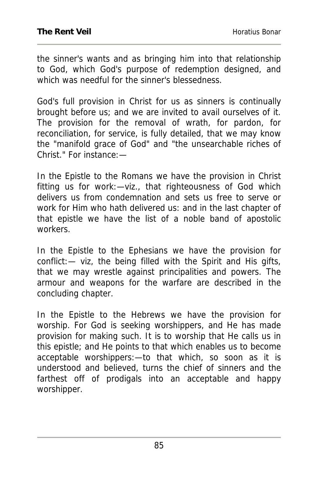the sinner's wants and as bringing him into that relationship to God, which God's purpose of redemption designed, and which was needful for the sinner's blessedness.

God's full provision in Christ for us as sinners is continually brought before us; and we are invited to avail ourselves of it. The provision for the removal of wrath, for pardon, for reconciliation, for service, is fully detailed, that we may know the "manifold grace of God" and "the unsearchable riches of Christ." For instance:—

In the Epistle to the Romans we have the provision in Christ fitting us for work:—viz., that righteousness of God which delivers us from condemnation and sets us free to serve or work for Him who hath delivered us: and in the last chapter of that epistle we have the list of a noble band of apostolic workers.

In the Epistle to the Ephesians we have the provision for conflict:— viz, the being filled with the Spirit and His gifts, that we may wrestle against principalities and powers. The armour and weapons for the warfare are described in the concluding chapter.

In the Epistle to the Hebrews we have the provision for worship. For God is seeking worshippers, and He has made provision for making such. It is to worship that He calls us in this epistle; and He points to that which enables us to become acceptable worshippers:—to that which, so soon as it is understood and believed, turns the chief of sinners and the farthest off of prodigals into an acceptable and happy worshipper.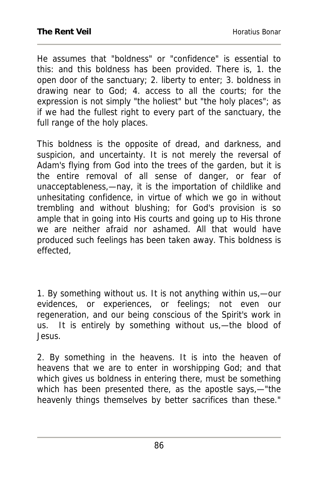He assumes that "boldness" or "confidence" is essential to this: and this boldness has been provided. There is, 1. the open door of the sanctuary; 2. liberty to enter; 3. boldness in drawing near to God; 4. access to all the courts; for the expression is not simply "the holiest" but "the holy places"; as if we had the fullest right to every part of the sanctuary, the full range of the holy places.

This boldness is the opposite of dread, and darkness, and suspicion, and uncertainty. It is not merely the reversal of Adam's flying from God into the trees of the garden, but it is the entire removal of all sense of danger, or fear of unacceptableness,—nay, it is the importation of childlike and unhesitating confidence, in virtue of which we go in without trembling and without blushing; for God's provision is so ample that in going into His courts and going up to His throne we are neither afraid nor ashamed. All that would have produced such feelings has been taken away. This boldness is effected,

1. By something without us. It is not anything within us,—our evidences, or experiences, or feelings; not even our regeneration, and our being conscious of the Spirit's work in us. It is entirely by something without us,—the blood of Jesus.

2. By something in the heavens. It is into the heaven of heavens that we are to enter in worshipping God; and that which gives us boldness in entering there, must be something which has been presented there, as the apostle says,—"the heavenly things themselves by better sacrifices than these."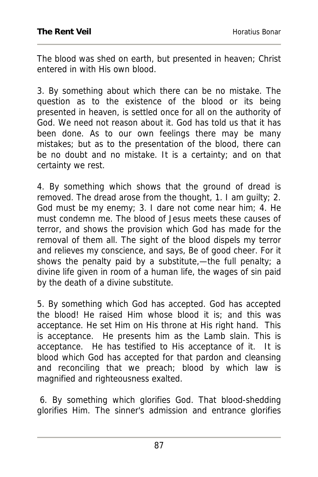The blood was shed on earth, but presented in heaven; Christ entered in with His own blood.

3. By something about which there can be no mistake. The question as to the existence of the blood or its being presented in heaven, is settled once for all on the authority of God. We need not reason about it. God has told us that it has been done. As to our own feelings there may be many mistakes; but as to the presentation of the blood, there can be no doubt and no mistake. It is a certainty; and on that certainty we rest.

4. By something which shows that the ground of dread is removed. The dread arose from the thought, 1. I am guilty; 2. God must be my enemy; 3. I dare not come near him; 4. He must condemn me. The blood of Jesus meets these causes of terror, and shows the provision which God has made for the removal of them all. The sight of the blood dispels my terror and relieves my conscience, and says, Be of good cheer. For it shows the penalty paid by a substitute,—the full penalty; a divine life given in room of a human life, the wages of sin paid by the death of a divine substitute.

5. By something which God has accepted. God has accepted the blood! He raised Him whose blood it is; and this was acceptance. He set Him on His throne at His right hand. This is acceptance. He presents him as the Lamb slain. This is acceptance. He has testified to His acceptance of it. It is blood which God has accepted for that pardon and cleansing and reconciling that we preach; blood by which law is magnified and righteousness exalted.

 6. By something which glorifies God. That blood-shedding glorifies Him. The sinner's admission and entrance glorifies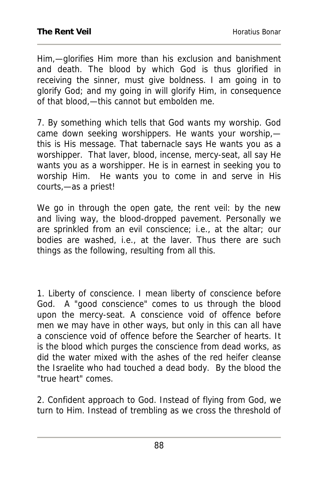Him,—glorifies Him more than his exclusion and banishment and death. The blood by which God is thus glorified in receiving the sinner, must give boldness. I am going in to glorify God; and my going in will glorify Him, in consequence of that blood,—this cannot but embolden me.

7. By something which tells that God wants my worship. God came down seeking worshippers. He wants your worship, this is His message. That tabernacle says He wants you as a worshipper. That laver, blood, incense, mercy-seat, all say He wants you as a worshipper. He is in earnest in seeking you to worship Him. He wants you to come in and serve in His courts,—as a priest!

We go in through the open gate, the rent veil: by the new and living way, the blood-dropped pavement. Personally we are sprinkled from an evil conscience; i.e., at the altar; our bodies are washed, i.e., at the laver. Thus there are such things as the following, resulting from all this.

1. Liberty of conscience. I mean liberty of conscience before God. A "good conscience" comes to us through the blood upon the mercy-seat. A conscience void of offence before men we may have in other ways, but only in this can all have a conscience void of offence before the Searcher of hearts. It is the blood which purges the conscience from dead works, as did the water mixed with the ashes of the red heifer cleanse the Israelite who had touched a dead body. By the blood the "true heart" comes.

2. Confident approach to God. Instead of flying from God, we turn to Him. Instead of trembling as we cross the threshold of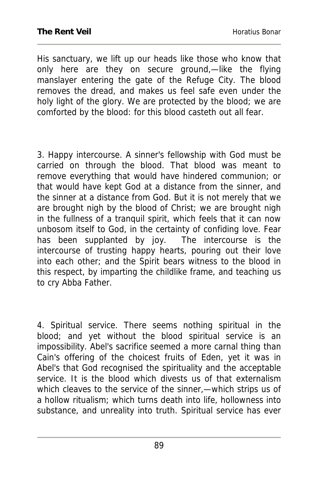His sanctuary, we lift up our heads like those who know that only here are they on secure ground,—like the flying manslayer entering the gate of the Refuge City. The blood removes the dread, and makes us feel safe even under the holy light of the glory. We are protected by the blood; we are comforted by the blood: for this blood casteth out all fear.

3. Happy intercourse. A sinner's fellowship with God must be carried on through the blood. That blood was meant to remove everything that would have hindered communion; or that would have kept God at a distance from the sinner, and the sinner at a distance from God. But it is not merely that we are brought nigh by the blood of Christ; we are brought nigh in the fullness of a tranquil spirit, which feels that it can now unbosom itself to God, in the certainty of confiding love. Fear has been supplanted by joy. The intercourse is the intercourse of trusting happy hearts, pouring out their love into each other; and the Spirit bears witness to the blood in this respect, by imparting the childlike frame, and teaching us to cry Abba Father.

4. Spiritual service. There seems nothing spiritual in the blood; and yet without the blood spiritual service is an impossibility. Abel's sacrifice seemed a more carnal thing than Cain's offering of the choicest fruits of Eden, yet it was in Abel's that God recognised the spirituality and the acceptable service. It is the blood which divests us of that externalism which cleaves to the service of the sinner,—which strips us of a hollow ritualism; which turns death into life, hollowness into substance, and unreality into truth. Spiritual service has ever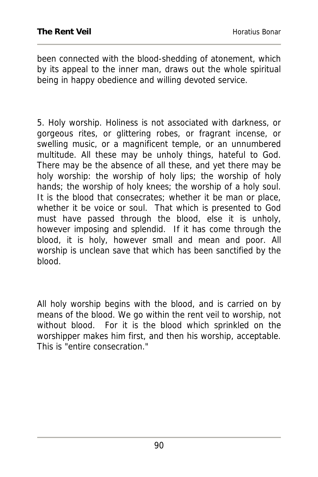been connected with the blood-shedding of atonement, which by its appeal to the inner man, draws out the whole spiritual being in happy obedience and willing devoted service.

5. Holy worship. Holiness is not associated with darkness, or gorgeous rites, or glittering robes, or fragrant incense, or swelling music, or a magnificent temple, or an unnumbered multitude. All these may be unholy things, hateful to God. There may be the absence of all these, and yet there may be holy worship: the worship of holy lips; the worship of holy hands; the worship of holy knees; the worship of a holy soul. It is the blood that consecrates; whether it be man or place, whether it be voice or soul. That which is presented to God must have passed through the blood, else it is unholy, however imposing and splendid. If it has come through the blood, it is holy, however small and mean and poor. All worship is unclean save that which has been sanctified by the blood.

All holy worship begins with the blood, and is carried on by means of the blood. We go within the rent veil to worship, not without blood. For it is the blood which sprinkled on the worshipper makes him first, and then his worship, acceptable. This is "entire consecration."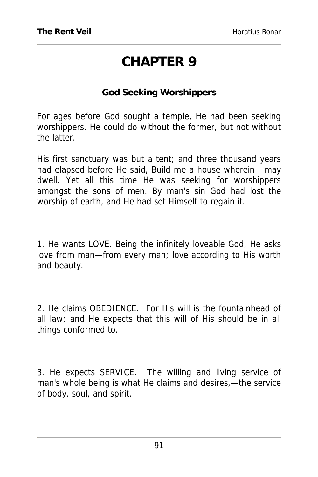## **CHAPTER 9**

#### **God Seeking Worshippers**

For ages before God sought a temple, He had been seeking worshippers. He could do without the former, but not without the latter.

His first sanctuary was but a tent; and three thousand years had elapsed before He said, Build me a house wherein I may dwell. Yet all this time He was seeking for worshippers amongst the sons of men. By man's sin God had lost the worship of earth, and He had set Himself to regain it.

1. He wants LOVE. Being the infinitely loveable God, He asks love from man—from every man; love according to His worth and beauty.

2. He claims OBEDIENCE. For His will is the fountainhead of all law; and He expects that this will of His should be in all things conformed to.

3. He expects SERVICE. The willing and living service of man's whole being is what He claims and desires,—the service of body, soul, and spirit.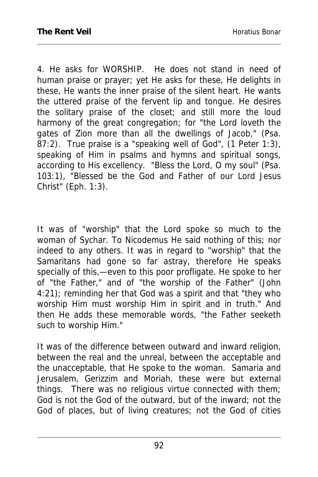4. He asks for WORSHIP. He does not stand in need of human praise or prayer; yet He asks for these, He delights in these, He wants the inner praise of the silent heart. He wants the uttered praise of the fervent lip and tongue. He desires the solitary praise of the closet; and still more the loud harmony of the great congregation; for "the Lord loveth the gates of Zion more than all the dwellings of Jacob," (Psa. 87:2). True praise is a "speaking well of God", (1 Peter 1:3), speaking of Him in psalms and hymns and spiritual songs, according to His excellency. "Bless the Lord, O my soul" (Psa. 103:1), "Blessed be the God and Father of our Lord Jesus Christ" (Eph. 1:3).

It was of "worship" that the Lord spoke so much to the woman of Sychar. To Nicodemus He said nothing of this; nor indeed to any others. It was in regard to "worship" that the Samaritans had gone so far astray, therefore He speaks specially of this,—even to this poor profligate. He spoke to her of "the Father," and of "the worship of the Father" (John 4:21); reminding her that God was a spirit and that "they who worship Him must worship Him in spirit and in truth." And then He adds these memorable words, "the Father seeketh such to worship Him."

It was of the difference between outward and inward religion, between the real and the unreal, between the acceptable and the unacceptable, that He spoke to the woman. Samaria and Jerusalem, Gerizzim and Moriah, these were but external things. There was no religious virtue connected with them; God is not the God of the outward, but of the inward; not the God of places, but of living creatures; not the God of cities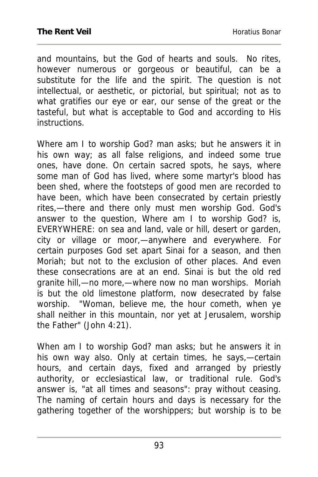and mountains, but the God of hearts and souls. No rites, however numerous or gorgeous or beautiful, can be a substitute for the life and the spirit. The question is not intellectual, or aesthetic, or pictorial, but spiritual; not as to what gratifies our eye or ear, our sense of the great or the tasteful, but what is acceptable to God and according to His instructions.

Where am I to worship God? man asks; but he answers it in his own way; as all false religions, and indeed some true ones, have done. On certain sacred spots, he says, where some man of God has lived, where some martyr's blood has been shed, where the footsteps of good men are recorded to have been, which have been consecrated by certain priestly rites,—there and there only must men worship God. God's answer to the question, Where am I to worship God? is, EVERYWHERE: on sea and land, vale or hill, desert or garden, city or village or moor,—anywhere and everywhere. For certain purposes God set apart Sinai for a season, and then Moriah; but not to the exclusion of other places. And even these consecrations are at an end. Sinai is but the old red granite hill,—no more,—where now no man worships. Moriah is but the old limestone platform, now desecrated by false worship. "Woman, believe me, the hour cometh, when ye shall neither in this mountain, nor yet at Jerusalem, worship the Father" (John 4:21).

When am I to worship God? man asks; but he answers it in his own way also. Only at certain times, he says,—certain hours, and certain days, fixed and arranged by priestly authority, or ecclesiastical law, or traditional rule. God's answer is, "at all times and seasons": pray without ceasing. The naming of certain hours and days is necessary for the gathering together of the worshippers; but worship is to be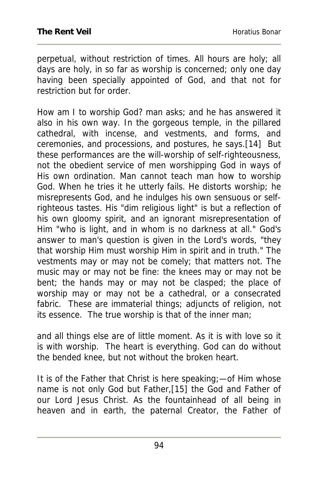perpetual, without restriction of times. All hours are holy; all days are holy, in so far as worship is concerned; only one day having been specially appointed of God, and that not for restriction but for order.

How am I to worship God? man asks; and he has answered it also in his own way. In the gorgeous temple, in the pillared cathedral, with incense, and vestments, and forms, and ceremonies, and processions, and postures, he says.[14] But these performances are the will-worship of self-righteousness, not the obedient service of men worshipping God in ways of His own ordination. Man cannot teach man how to worship God. When he tries it he utterly fails. He distorts worship; he misrepresents God, and he indulges his own sensuous or selfrighteous tastes. His "dim religious light" is but a reflection of his own gloomy spirit, and an ignorant misrepresentation of Him "who is light, and in whom is no darkness at all." God's answer to man's question is given in the Lord's words, "they that worship Him must worship Him in spirit and in truth." The vestments may or may not be comely; that matters not. The music may or may not be fine: the knees may or may not be bent; the hands may or may not be clasped; the place of worship may or may not be a cathedral, or a consecrated fabric. These are immaterial things; adjuncts of religion, not its essence. The true worship is that of the inner man;

and all things else are of little moment. As it is with love so it is with worship. The heart is everything. God can do without the bended knee, but not without the broken heart.

It is of the Father that Christ is here speaking;—of Him whose name is not only God but Father,[15] the God and Father of our Lord Jesus Christ. As the fountainhead of all being in heaven and in earth, the paternal Creator, the Father of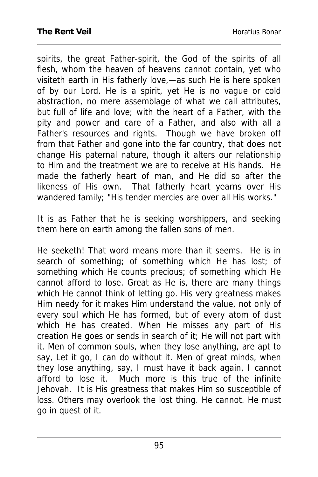spirits, the great Father-spirit, the God of the spirits of all flesh, whom the heaven of heavens cannot contain, yet who visiteth earth in His fatherly love,—as such He is here spoken of by our Lord. He is a spirit, yet He is no vague or cold abstraction, no mere assemblage of what we call attributes, but full of life and love; with the heart of a Father, with the pity and power and care of a Father, and also with all a Father's resources and rights. Though we have broken off from that Father and gone into the far country, that does not change His paternal nature, though it alters our relationship to Him and the treatment we are to receive at His hands. He made the fatherly heart of man, and He did so after the likeness of His own. That fatherly heart yearns over His wandered family; "His tender mercies are over all His works."

It is as Father that he is seeking worshippers, and seeking them here on earth among the fallen sons of men.

He seeketh! That word means more than it seems. He is in search of something; of something which He has lost; of something which He counts precious; of something which He cannot afford to lose. Great as He is, there are many things which He cannot think of letting go. His very greatness makes Him needy for it makes Him understand the value, not only of every soul which He has formed, but of every atom of dust which He has created. When He misses any part of His creation He goes or sends in search of it; He will not part with it. Men of common souls, when they lose anything, are apt to say, Let it go, I can do without it. Men of great minds, when they lose anything, say, I must have it back again, I cannot afford to lose it. Much more is this true of the infinite Jehovah. It is His greatness that makes Him so susceptible of loss. Others may overlook the lost thing. He cannot. He must go in quest of it.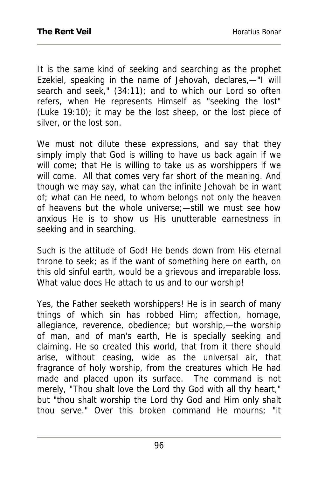It is the same kind of seeking and searching as the prophet Ezekiel, speaking in the name of Jehovah, declares,—"I will search and seek," (34:11); and to which our Lord so often refers, when He represents Himself as "seeking the lost" (Luke 19:10); it may be the lost sheep, or the lost piece of silver, or the lost son.

We must not dilute these expressions, and say that they simply imply that God is willing to have us back again if we will come; that He is willing to take us as worshippers if we will come. All that comes very far short of the meaning. And though we may say, what can the infinite Jehovah be in want of; what can He need, to whom belongs not only the heaven of heavens but the whole universe;—still we must see how anxious He is to show us His unutterable earnestness in seeking and in searching.

Such is the attitude of God! He bends down from His eternal throne to seek; as if the want of something here on earth, on this old sinful earth, would be a grievous and irreparable loss. What value does He attach to us and to our worship!

Yes, the Father seeketh worshippers! He is in search of many things of which sin has robbed Him; affection, homage, allegiance, reverence, obedience; but worship,—the worship of man, and of man's earth, He is specially seeking and claiming. He so created this world, that from it there should arise, without ceasing, wide as the universal air, that fragrance of holy worship, from the creatures which He had made and placed upon its surface. The command is not merely, "Thou shalt love the Lord thy God with all thy heart," but "thou shalt worship the Lord thy God and Him only shalt thou serve." Over this broken command He mourns; "it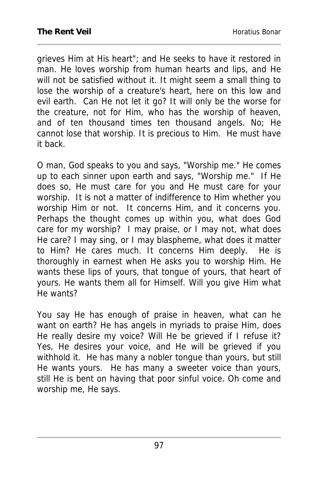grieves Him at His heart"; and He seeks to have it restored in man. He loves worship from human hearts and lips, and He will not be satisfied without it. It might seem a small thing to lose the worship of a creature's heart, here on this low and evil earth. Can He not let it go? It will only be the worse for the creature, not for Him, who has the worship of heaven, and of ten thousand times ten thousand angels. No; He cannot lose that worship. It is precious to Him. He must have it back.

O man, God speaks to you and says, "Worship me." He comes up to each sinner upon earth and says, "Worship me." If He does so, He must care for you and He must care for your worship. It is not a matter of indifference to Him whether you worship Him or not. It concerns Him, and it concerns you. Perhaps the thought comes up within you, what does God care for my worship? I may praise, or I may not, what does He care? I may sing, or I may blaspheme, what does it matter to Him? He cares much. It concerns Him deeply. He is thoroughly in earnest when He asks you to worship Him. He wants these lips of yours, that tongue of yours, that heart of yours. He wants them all for Himself. Will you give Him what He wants?

You say He has enough of praise in heaven, what can he want on earth? He has angels in myriads to praise Him, does He really desire my voice? Will He be grieved if I refuse it? Yes, He desires your voice, and He will be grieved if you withhold it. He has many a nobler tongue than yours, but still He wants yours. He has many a sweeter voice than yours, still He is bent on having that poor sinful voice. Oh come and worship me, He says.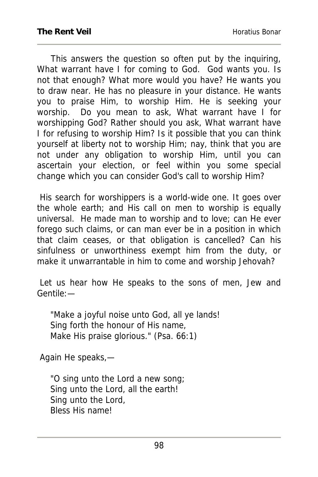This answers the question so often put by the inquiring, What warrant have I for coming to God. God wants you. Is not that enough? What more would you have? He wants you to draw near. He has no pleasure in your distance. He wants you to praise Him, to worship Him. He is seeking your worship. Do you mean to ask, What warrant have I for worshipping God? Rather should you ask, What warrant have I for refusing to worship Him? Is it possible that you can think yourself at liberty not to worship Him; nay, think that you are not under any obligation to worship Him, until you can ascertain your election, or feel within you some special change which you can consider God's call to worship Him?

 His search for worshippers is a world-wide one. It goes over the whole earth; and His call on men to worship is equally universal. He made man to worship and to love; can He ever forego such claims, or can man ever be in a position in which that claim ceases, or that obligation is cancelled? Can his sinfulness or unworthiness exempt him from the duty, or make it unwarrantable in him to come and worship Jehovah?

 Let us hear how He speaks to the sons of men, Jew and Gentile:—

"Make a joyful noise unto God, all ye lands! Sing forth the honour of His name, Make His praise glorious." (Psa. 66:1)

Again He speaks,—

"O sing unto the Lord a new song; Sing unto the Lord, all the earth! Sing unto the Lord, Bless His name!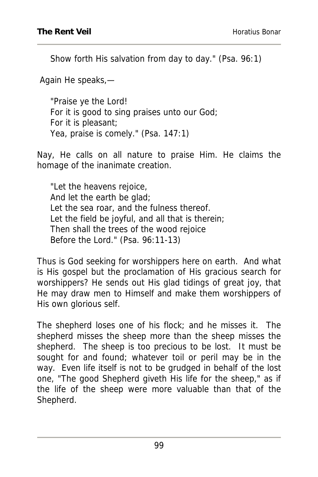Show forth His salvation from day to day." (Psa. 96:1)

Again He speaks,—

"Praise ye the Lord! For it is good to sing praises unto our God; For it is pleasant; Yea, praise is comely." (Psa. 147:1)

Nay, He calls on all nature to praise Him. He claims the homage of the inanimate creation.

"Let the heavens rejoice, And let the earth be glad; Let the sea roar, and the fulness thereof. Let the field be joyful, and all that is therein; Then shall the trees of the wood rejoice Before the Lord." (Psa. 96:11-13)

Thus is God seeking for worshippers here on earth. And what is His gospel but the proclamation of His gracious search for worshippers? He sends out His glad tidings of great joy, that He may draw men to Himself and make them worshippers of His own glorious self.

The shepherd loses one of his flock; and he misses it. The shepherd misses the sheep more than the sheep misses the shepherd. The sheep is too precious to be lost. It must be sought for and found; whatever toil or peril may be in the way. Even life itself is not to be grudged in behalf of the lost one, "The good Shepherd giveth His life for the sheep," as if the life of the sheep were more valuable than that of the Shepherd.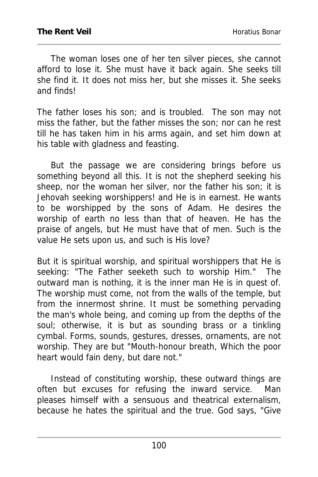The woman loses one of her ten silver pieces, she cannot afford to lose it. She must have it back again. She seeks till she find it. It does not miss her, but she misses it. She seeks and finds!

The father loses his son; and is troubled. The son may not miss the father, but the father misses the son; nor can he rest till he has taken him in his arms again, and set him down at his table with gladness and feasting.

 But the passage we are considering brings before us something beyond all this. It is not the shepherd seeking his sheep, nor the woman her silver, nor the father his son; it is Jehovah seeking worshippers! and He is in earnest. He wants to be worshipped by the sons of Adam. He desires the worship of earth no less than that of heaven. He has the praise of angels, but He must have that of men. Such is the value He sets upon us, and such is His love?

But it is spiritual worship, and spiritual worshippers that He is seeking: "The Father seeketh such to worship Him." The outward man is nothing, it is the inner man He is in quest of. The worship must come, not from the walls of the temple, but from the innermost shrine. It must be something pervading the man's whole being, and coming up from the depths of the soul; otherwise, it is but as sounding brass or a tinkling cymbal. Forms, sounds, gestures, dresses, ornaments, are not worship. They are but "Mouth-honour breath, Which the poor heart would fain deny, but dare not."

 Instead of constituting worship, these outward things are often but excuses for refusing the inward service. Man pleases himself with a sensuous and theatrical externalism, because he hates the spiritual and the true. God says, "Give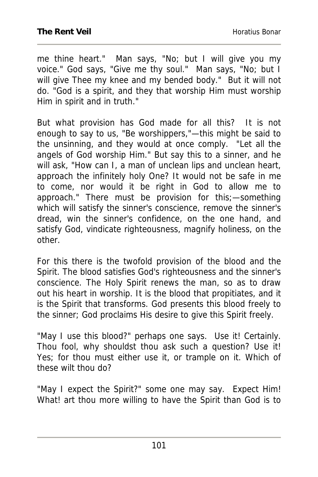me thine heart." Man says, "No; but I will give you my voice." God says, "Give me thy soul." Man says, "No; but I will give Thee my knee and my bended body." But it will not do. "God is a spirit, and they that worship Him must worship Him in spirit and in truth."

But what provision has God made for all this? It is not enough to say to us, "Be worshippers,"—this might be said to the unsinning, and they would at once comply. "Let all the angels of God worship Him." But say this to a sinner, and he will ask, "How can I, a man of unclean lips and unclean heart, approach the infinitely holy One? It would not be safe in me to come, nor would it be right in God to allow me to approach." There must be provision for this;—something which will satisfy the sinner's conscience, remove the sinner's dread, win the sinner's confidence, on the one hand, and satisfy God, vindicate righteousness, magnify holiness, on the other.

For this there is the twofold provision of the blood and the Spirit. The blood satisfies God's righteousness and the sinner's conscience. The Holy Spirit renews the man, so as to draw out his heart in worship. It is the blood that propitiates, and it is the Spirit that transforms. God presents this blood freely to the sinner; God proclaims His desire to give this Spirit freely.

"May I use this blood?" perhaps one says. Use it! Certainly. Thou fool, why shouldst thou ask such a question? Use it! Yes; for thou must either use it, or trample on it. Which of these wilt thou do?

"May I expect the Spirit?" some one may say. Expect Him! What! art thou more willing to have the Spirit than God is to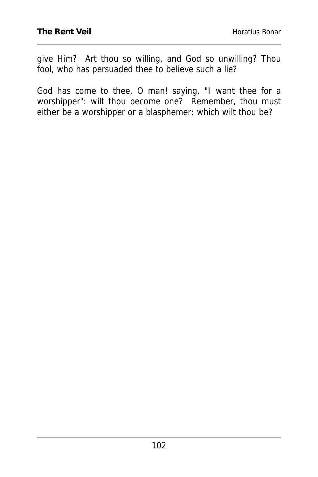give Him? Art thou so willing, and God so unwilling? Thou fool, who has persuaded thee to believe such a lie?

God has come to thee, O man! saying, "I want thee for a worshipper": wilt thou become one? Remember, thou must either be a worshipper or a blasphemer; which wilt thou be?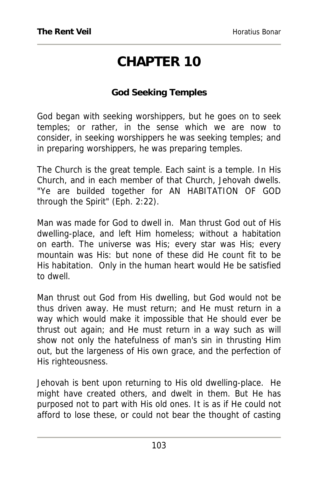# **CHAPTER 10**

#### **God Seeking Temples**

God began with seeking worshippers, but he goes on to seek temples; or rather, in the sense which we are now to consider, in seeking worshippers he was seeking temples; and in preparing worshippers, he was preparing temples.

The Church is the great temple. Each saint is a temple. In His Church, and in each member of that Church, Jehovah dwells. "Ye are builded together for AN HABITATION OF GOD through the Spirit" (Eph. 2:22).

Man was made for God to dwell in. Man thrust God out of His dwelling-place, and left Him homeless; without a habitation on earth. The universe was His; every star was His; every mountain was His: but none of these did He count fit to be His habitation. Only in the human heart would He be satisfied to dwell.

Man thrust out God from His dwelling, but God would not be thus driven away. He must return; and He must return in a way which would make it impossible that He should ever be thrust out again; and He must return in a way such as will show not only the hatefulness of man's sin in thrusting Him out, but the largeness of His own grace, and the perfection of His righteousness.

Jehovah is bent upon returning to His old dwelling-place. He might have created others, and dwelt in them. But He has purposed not to part with His old ones. It is as if He could not afford to lose these, or could not bear the thought of casting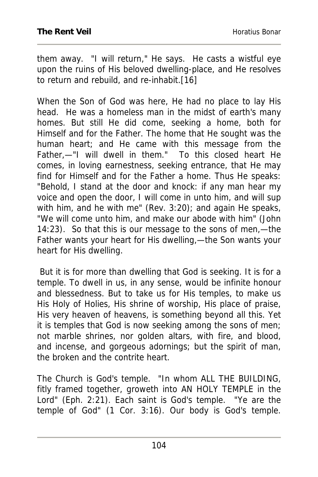them away. "I will return," He says. He casts a wistful eye upon the ruins of His beloved dwelling-place, and He resolves to return and rebuild, and re-inhabit.[16]

When the Son of God was here, He had no place to lay His head. He was a homeless man in the midst of earth's many homes. But still He did come, seeking a home, both for Himself and for the Father. The home that He sought was the human heart; and He came with this message from the Father,—"I will dwell in them." To this closed heart He comes, in loving earnestness, seeking entrance, that He may find for Himself and for the Father a home. Thus He speaks: "Behold, I stand at the door and knock: if any man hear my voice and open the door, I will come in unto him, and will sup with him, and he with me" (Rev. 3:20); and again He speaks, "We will come unto him, and make our abode with him" (John 14:23). So that this is our message to the sons of men,—the Father wants your heart for His dwelling,—the Son wants your heart for His dwelling.

 But it is for more than dwelling that God is seeking. It is for a temple. To dwell in us, in any sense, would be infinite honour and blessedness. But to take us for His temples, to make us His Holy of Holies, His shrine of worship, His place of praise, His very heaven of heavens, is something beyond all this. Yet it is temples that God is now seeking among the sons of men; not marble shrines, nor golden altars, with fire, and blood, and incense, and gorgeous adornings; but the spirit of man, the broken and the contrite heart.

The Church is God's temple. "In whom ALL THE BUILDING, fitly framed together, groweth into AN HOLY TEMPLE in the Lord" (Eph. 2:21). Each saint is God's temple. "Ye are the temple of God" (1 Cor. 3:16). Our body is God's temple.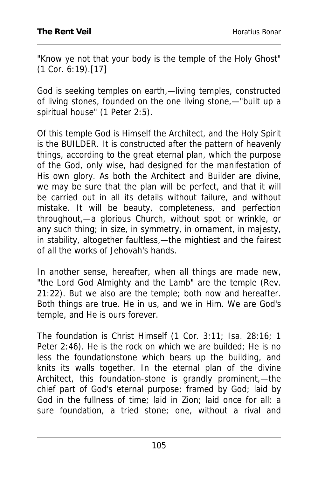"Know ye not that your body is the temple of the Holy Ghost" (1 Cor. 6:19).[17]

God is seeking temples on earth,—living temples, constructed of living stones, founded on the one living stone,—"built up a spiritual house" (1 Peter 2:5).

Of this temple God is Himself the Architect, and the Holy Spirit is the BUILDER. It is constructed after the pattern of heavenly things, according to the great eternal plan, which the purpose of the God, only wise, had designed for the manifestation of His own glory. As both the Architect and Builder are divine, we may be sure that the plan will be perfect, and that it will be carried out in all its details without failure, and without mistake. It will be beauty, completeness, and perfection throughout,—a glorious Church, without spot or wrinkle, or any such thing; in size, in symmetry, in ornament, in majesty, in stability, altogether faultless,—the mightiest and the fairest of all the works of Jehovah's hands.

In another sense, hereafter, when all things are made new, "the Lord God Almighty and the Lamb" are the temple (Rev. 21:22). But we also are the temple; both now and hereafter. Both things are true. He in us, and we in Him. We are God's temple, and He is ours forever.

The foundation is Christ Himself (1 Cor. 3:11; Isa. 28:16; 1 Peter 2:46). He is the rock on which we are builded; He is no less the foundationstone which bears up the building, and knits its walls together. In the eternal plan of the divine Architect, this foundation-stone is grandly prominent,—the chief part of God's eternal purpose; framed by God; laid by God in the fullness of time; laid in Zion; laid once for all: a sure foundation, a tried stone; one, without a rival and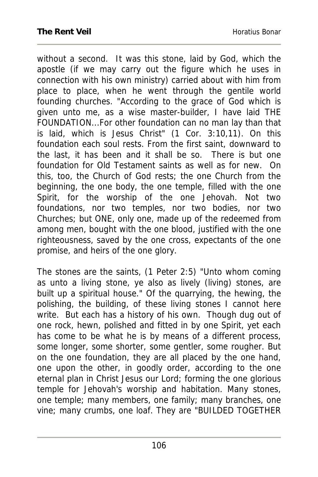without a second. It was this stone, laid by God, which the apostle (if we may carry out the figure which he uses in connection with his own ministry) carried about with him from place to place, when he went through the gentile world founding churches. "According to the grace of God which is given unto me, as a wise master-builder, I have laid THE FOUNDATION...For other foundation can no man lay than that is laid, which is Jesus Christ" (1 Cor. 3:10,11). On this foundation each soul rests. From the first saint, downward to the last, it has been and it shall be so. There is but one foundation for Old Testament saints as well as for new. On this, too, the Church of God rests; the one Church from the beginning, the one body, the one temple, filled with the one Spirit, for the worship of the one Jehovah. Not two foundations, nor two temples, nor two bodies, nor two Churches; but ONE, only one, made up of the redeemed from among men, bought with the one blood, justified with the one righteousness, saved by the one cross, expectants of the one promise, and heirs of the one glory.

The stones are the saints, (1 Peter 2:5) "Unto whom coming as unto a living stone, ye also as lively (living) stones, are built up a spiritual house." Of the quarrying, the hewing, the polishing, the building, of these living stones I cannot here write. But each has a history of his own. Though dug out of one rock, hewn, polished and fitted in by one Spirit, yet each has come to be what he is by means of a different process, some longer, some shorter, some gentler, some rougher. But on the one foundation, they are all placed by the one hand, one upon the other, in goodly order, according to the one eternal plan in Christ Jesus our Lord; forming the one glorious temple for Jehovah's worship and habitation. Many stones, one temple; many members, one family; many branches, one vine; many crumbs, one loaf. They are "BUILDED TOGETHER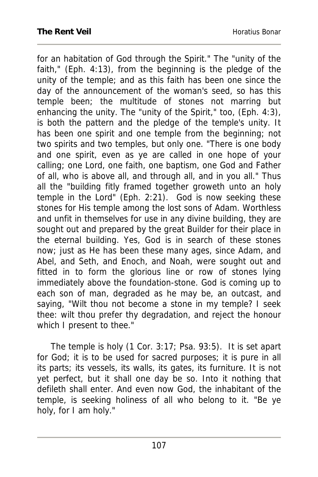for an habitation of God through the Spirit." The "unity of the faith," (Eph. 4:13), from the beginning is the pledge of the unity of the temple; and as this faith has been one since the day of the announcement of the woman's seed, so has this temple been; the multitude of stones not marring but enhancing the unity. The "unity of the Spirit," too, (Eph. 4:3), is both the pattern and the pledge of the temple's unity. It has been one spirit and one temple from the beginning; not two spirits and two temples, but only one. "There is one body and one spirit, even as ye are called in one hope of your calling; one Lord, one faith, one baptism, one God and Father of all, who is above all, and through all, and in you all." Thus all the "building fitly framed together groweth unto an holy temple in the Lord" (Eph. 2:21). God is now seeking these stones for His temple among the lost sons of Adam. Worthless and unfit in themselves for use in any divine building, they are sought out and prepared by the great Builder for their place in the eternal building. Yes, God is in search of these stones now; just as He has been these many ages, since Adam, and Abel, and Seth, and Enoch, and Noah, were sought out and fitted in to form the glorious line or row of stones lying immediately above the foundation-stone. God is coming up to each son of man, degraded as he may be, an outcast, and saying, "Wilt thou not become a stone in my temple? I seek thee: wilt thou prefer thy degradation, and reject the honour which I present to thee."

 The temple is holy (1 Cor. 3:17; Psa. 93:5). It is set apart for God; it is to be used for sacred purposes; it is pure in all its parts; its vessels, its walls, its gates, its furniture. It is not yet perfect, but it shall one day be so. Into it nothing that defileth shall enter. And even now God, the inhabitant of the temple, is seeking holiness of all who belong to it. "Be ye holy, for I am holy."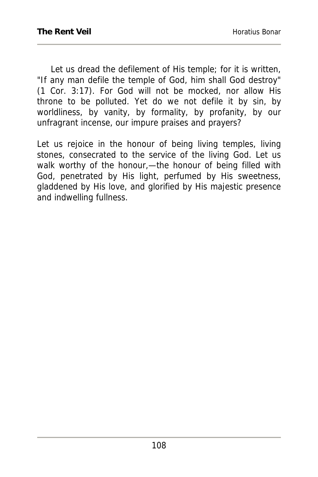Let us dread the defilement of His temple; for it is written, "If any man defile the temple of God, him shall God destroy" (1 Cor. 3:17). For God will not be mocked, nor allow His throne to be polluted. Yet do we not defile it by sin, by worldliness, by vanity, by formality, by profanity, by our unfragrant incense, our impure praises and prayers?

Let us rejoice in the honour of being living temples, living stones, consecrated to the service of the living God. Let us walk worthy of the honour,—the honour of being filled with God, penetrated by His light, perfumed by His sweetness, gladdened by His love, and glorified by His majestic presence and indwelling fullness.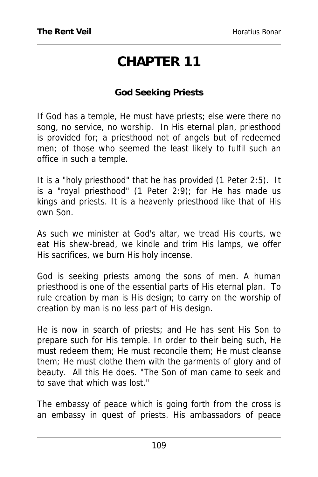# **CHAPTER 11**

#### **God Seeking Priests**

If God has a temple, He must have priests; else were there no song, no service, no worship. In His eternal plan, priesthood is provided for; a priesthood not of angels but of redeemed men; of those who seemed the least likely to fulfil such an office in such a temple.

It is a "holy priesthood" that he has provided (1 Peter 2:5). It is a "royal priesthood" (1 Peter 2:9); for He has made us kings and priests. It is a heavenly priesthood like that of His own Son.

As such we minister at God's altar, we tread His courts, we eat His shew-bread, we kindle and trim His lamps, we offer His sacrifices, we burn His holy incense.

God is seeking priests among the sons of men. A human priesthood is one of the essential parts of His eternal plan. To rule creation by man is His design; to carry on the worship of creation by man is no less part of His design.

He is now in search of priests; and He has sent His Son to prepare such for His temple. In order to their being such, He must redeem them; He must reconcile them; He must cleanse them; He must clothe them with the garments of glory and of beauty. All this He does. "The Son of man came to seek and to save that which was lost."

The embassy of peace which is going forth from the cross is an embassy in quest of priests. His ambassadors of peace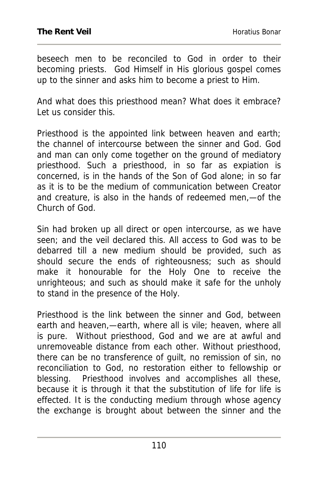beseech men to be reconciled to God in order to their becoming priests. God Himself in His glorious gospel comes up to the sinner and asks him to become a priest to Him.

And what does this priesthood mean? What does it embrace? Let us consider this.

Priesthood is the appointed link between heaven and earth; the channel of intercourse between the sinner and God. God and man can only come together on the ground of mediatory priesthood. Such a priesthood, in so far as expiation is concerned, is in the hands of the Son of God alone; in so far as it is to be the medium of communication between Creator and creature, is also in the hands of redeemed men,—of the Church of God.

Sin had broken up all direct or open intercourse, as we have seen; and the veil declared this. All access to God was to be debarred till a new medium should be provided, such as should secure the ends of righteousness; such as should make it honourable for the Holy One to receive the unrighteous; and such as should make it safe for the unholy to stand in the presence of the Holy.

Priesthood is the link between the sinner and God, between earth and heaven,—earth, where all is vile; heaven, where all is pure. Without priesthood, God and we are at awful and unremoveable distance from each other. Without priesthood, there can be no transference of guilt, no remission of sin, no reconciliation to God, no restoration either to fellowship or blessing. Priesthood involves and accomplishes all these, because it is through it that the substitution of life for life is effected. It is the conducting medium through whose agency the exchange is brought about between the sinner and the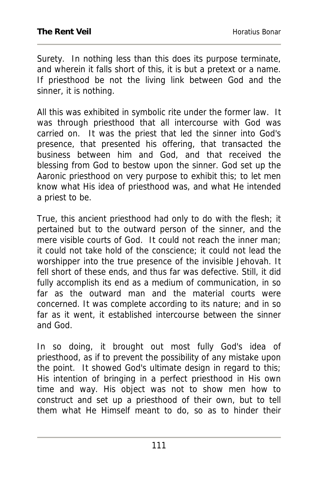Surety. In nothing less than this does its purpose terminate, and wherein it falls short of this, it is but a pretext or a name. If priesthood be not the living link between God and the sinner, it is nothing.

All this was exhibited in symbolic rite under the former law. It was through priesthood that all intercourse with God was carried on. It was the priest that led the sinner into God's presence, that presented his offering, that transacted the business between him and God, and that received the blessing from God to bestow upon the sinner. God set up the Aaronic priesthood on very purpose to exhibit this; to let men know what His idea of priesthood was, and what He intended a priest to be.

True, this ancient priesthood had only to do with the flesh; it pertained but to the outward person of the sinner, and the mere visible courts of God. It could not reach the inner man; it could not take hold of the conscience; it could not lead the worshipper into the true presence of the invisible Jehovah. It fell short of these ends, and thus far was defective. Still, it did fully accomplish its end as a medium of communication, in so far as the outward man and the material courts were concerned. It was complete according to its nature; and in so far as it went, it established intercourse between the sinner and God.

In so doing, it brought out most fully God's idea of priesthood, as if to prevent the possibility of any mistake upon the point. It showed God's ultimate design in regard to this; His intention of bringing in a perfect priesthood in His own time and way. His object was not to show men how to construct and set up a priesthood of their own, but to tell them what He Himself meant to do, so as to hinder their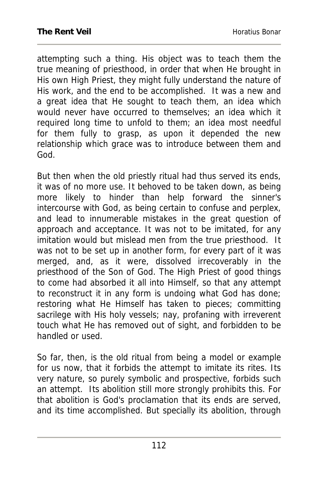attempting such a thing. His object was to teach them the true meaning of priesthood, in order that when He brought in His own High Priest, they might fully understand the nature of His work, and the end to be accomplished. It was a new and a great idea that He sought to teach them, an idea which would never have occurred to themselves; an idea which it required long time to unfold to them; an idea most needful for them fully to grasp, as upon it depended the new relationship which grace was to introduce between them and God.

But then when the old priestly ritual had thus served its ends, it was of no more use. It behoved to be taken down, as being more likely to hinder than help forward the sinner's intercourse with God, as being certain to confuse and perplex, and lead to innumerable mistakes in the great question of approach and acceptance. It was not to be imitated, for any imitation would but mislead men from the true priesthood. It was not to be set up in another form, for every part of it was merged, and, as it were, dissolved irrecoverably in the priesthood of the Son of God. The High Priest of good things to come had absorbed it all into Himself, so that any attempt to reconstruct it in any form is undoing what God has done; restoring what He Himself has taken to pieces; committing sacrilege with His holy vessels; nay, profaning with irreverent touch what He has removed out of sight, and forbidden to be handled or used.

So far, then, is the old ritual from being a model or example for us now, that it forbids the attempt to imitate its rites. Its very nature, so purely symbolic and prospective, forbids such an attempt. Its abolition still more strongly prohibits this. For that abolition is God's proclamation that its ends are served, and its time accomplished. But specially its abolition, through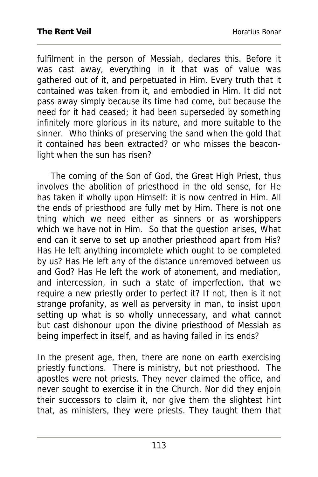fulfilment in the person of Messiah, declares this. Before it was cast away, everything in it that was of value was gathered out of it, and perpetuated in Him. Every truth that it contained was taken from it, and embodied in Him. It did not pass away simply because its time had come, but because the need for it had ceased; it had been superseded by something infinitely more glorious in its nature, and more suitable to the sinner. Who thinks of preserving the sand when the gold that it contained has been extracted? or who misses the beaconlight when the sun has risen?

 The coming of the Son of God, the Great High Priest, thus involves the abolition of priesthood in the old sense, for He has taken it wholly upon Himself: it is now centred in Him. All the ends of priesthood are fully met by Him. There is not one thing which we need either as sinners or as worshippers which we have not in Him. So that the question arises, What end can it serve to set up another priesthood apart from His? Has He left anything incomplete which ought to be completed by us? Has He left any of the distance unremoved between us and God? Has He left the work of atonement, and mediation, and intercession, in such a state of imperfection, that we require a new priestly order to perfect it? If not, then is it not strange profanity, as well as perversity in man, to insist upon setting up what is so wholly unnecessary, and what cannot but cast dishonour upon the divine priesthood of Messiah as being imperfect in itself, and as having failed in its ends?

In the present age, then, there are none on earth exercising priestly functions. There is ministry, but not priesthood. The apostles were not priests. They never claimed the office, and never sought to exercise it in the Church. Nor did they enjoin their successors to claim it, nor give them the slightest hint that, as ministers, they were priests. They taught them that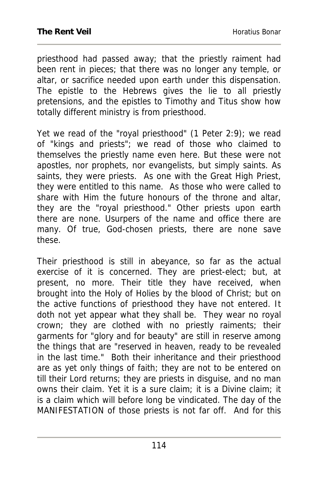priesthood had passed away; that the priestly raiment had been rent in pieces; that there was no longer any temple, or altar, or sacrifice needed upon earth under this dispensation. The epistle to the Hebrews gives the lie to all priestly pretensions, and the epistles to Timothy and Titus show how totally different ministry is from priesthood.

Yet we read of the "royal priesthood" (1 Peter 2:9); we read of "kings and priests"; we read of those who claimed to themselves the priestly name even here. But these were not apostles, nor prophets, nor evangelists, but simply saints. As saints, they were priests. As one with the Great High Priest, they were entitled to this name. As those who were called to share with Him the future honours of the throne and altar, they are the "royal priesthood." Other priests upon earth there are none. Usurpers of the name and office there are many. Of true, God-chosen priests, there are none save these.

Their priesthood is still in abeyance, so far as the actual exercise of it is concerned. They are priest-elect; but, at present, no more. Their title they have received, when brought into the Holy of Holies by the blood of Christ; but on the active functions of priesthood they have not entered. It doth not yet appear what they shall be. They wear no royal crown; they are clothed with no priestly raiments; their garments for "glory and for beauty" are still in reserve among the things that are "reserved in heaven, ready to be revealed in the last time." Both their inheritance and their priesthood are as yet only things of faith; they are not to be entered on till their Lord returns; they are priests in disguise, and no man owns their claim. Yet it is a sure claim; it is a Divine claim; it is a claim which will before long be vindicated. The day of the MANIFESTATION of those priests is not far off. And for this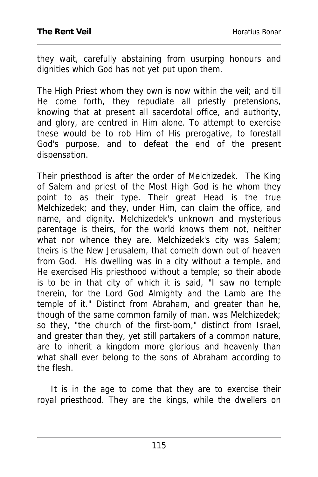they wait, carefully abstaining from usurping honours and dignities which God has not yet put upon them.

The High Priest whom they own is now within the veil; and till He come forth, they repudiate all priestly pretensions, knowing that at present all sacerdotal office, and authority, and glory, are centred in Him alone. To attempt to exercise these would be to rob Him of His prerogative, to forestall God's purpose, and to defeat the end of the present dispensation.

Their priesthood is after the order of Melchizedek. The King of Salem and priest of the Most High God is he whom they point to as their type. Their great Head is the true Melchizedek; and they, under Him, can claim the office, and name, and dignity. Melchizedek's unknown and mysterious parentage is theirs, for the world knows them not, neither what nor whence they are. Melchizedek's city was Salem; theirs is the New Jerusalem, that cometh down out of heaven from God. His dwelling was in a city without a temple, and He exercised His priesthood without a temple; so their abode is to be in that city of which it is said, "I saw no temple therein, for the Lord God Almighty and the Lamb are the temple of it." Distinct from Abraham, and greater than he, though of the same common family of man, was Melchizedek; so they, "the church of the first-born," distinct from Israel, and greater than they, yet still partakers of a common nature, are to inherit a kingdom more glorious and heavenly than what shall ever belong to the sons of Abraham according to the flesh.

 It is in the age to come that they are to exercise their royal priesthood. They are the kings, while the dwellers on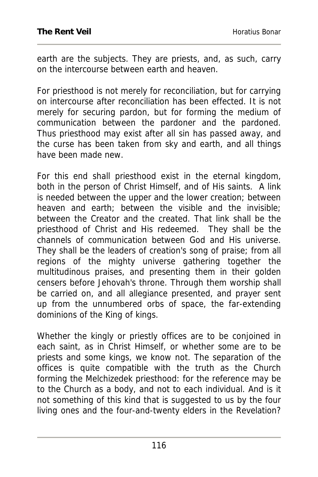earth are the subjects. They are priests, and, as such, carry on the intercourse between earth and heaven.

For priesthood is not merely for reconciliation, but for carrying on intercourse after reconciliation has been effected. It is not merely for securing pardon, but for forming the medium of communication between the pardoner and the pardoned. Thus priesthood may exist after all sin has passed away, and the curse has been taken from sky and earth, and all things have been made new.

For this end shall priesthood exist in the eternal kingdom, both in the person of Christ Himself, and of His saints. A link is needed between the upper and the lower creation; between heaven and earth; between the visible and the invisible; between the Creator and the created. That link shall be the priesthood of Christ and His redeemed. They shall be the channels of communication between God and His universe. They shall be the leaders of creation's song of praise; from all regions of the mighty universe gathering together the multitudinous praises, and presenting them in their golden censers before Jehovah's throne. Through them worship shall be carried on, and all allegiance presented, and prayer sent up from the unnumbered orbs of space, the far-extending dominions of the King of kings.

Whether the kingly or priestly offices are to be conjoined in each saint, as in Christ Himself, or whether some are to be priests and some kings, we know not. The separation of the offices is quite compatible with the truth as the Church forming the Melchizedek priesthood: for the reference may be to the Church as a body, and not to each individual. And is it not something of this kind that is suggested to us by the four living ones and the four-and-twenty elders in the Revelation?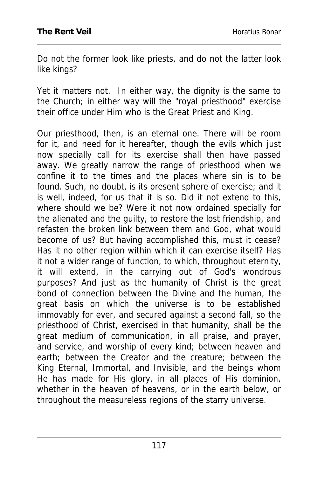Do not the former look like priests, and do not the latter look like kings?

Yet it matters not. In either way, the dignity is the same to the Church; in either way will the "royal priesthood" exercise their office under Him who is the Great Priest and King.

Our priesthood, then, is an eternal one. There will be room for it, and need for it hereafter, though the evils which just now specially call for its exercise shall then have passed away. We greatly narrow the range of priesthood when we confine it to the times and the places where sin is to be found. Such, no doubt, is its present sphere of exercise; and it is well, indeed, for us that it is so. Did it not extend to this, where should we be? Were it not now ordained specially for the alienated and the guilty, to restore the lost friendship, and refasten the broken link between them and God, what would become of us? But having accomplished this, must it cease? Has it no other region within which it can exercise itself? Has it not a wider range of function, to which, throughout eternity, it will extend, in the carrying out of God's wondrous purposes? And just as the humanity of Christ is the great bond of connection between the Divine and the human, the great basis on which the universe is to be established immovably for ever, and secured against a second fall, so the priesthood of Christ, exercised in that humanity, shall be the great medium of communication, in all praise, and prayer, and service, and worship of every kind; between heaven and earth; between the Creator and the creature; between the King Eternal, Immortal, and Invisible, and the beings whom He has made for His glory, in all places of His dominion, whether in the heaven of heavens, or in the earth below, or throughout the measureless regions of the starry universe.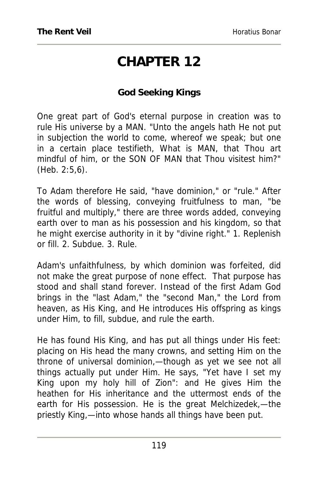# **CHAPTER 12**

#### **God Seeking Kings**

One great part of God's eternal purpose in creation was to rule His universe by a MAN. "Unto the angels hath He not put in subjection the world to come, whereof we speak; but one in a certain place testifieth, What is MAN, that Thou art mindful of him, or the SON OF MAN that Thou visitest him?" (Heb. 2:5,6).

To Adam therefore He said, "have dominion," or "rule." After the words of blessing, conveying fruitfulness to man, "be fruitful and multiply," there are three words added, conveying earth over to man as his possession and his kingdom, so that he might exercise authority in it by "divine right." 1. Replenish or fill. 2. Subdue. 3. Rule.

Adam's unfaithfulness, by which dominion was forfeited, did not make the great purpose of none effect. That purpose has stood and shall stand forever. Instead of the first Adam God brings in the "last Adam," the "second Man," the Lord from heaven, as His King, and He introduces His offspring as kings under Him, to fill, subdue, and rule the earth.

He has found His King, and has put all things under His feet: placing on His head the many crowns, and setting Him on the throne of universal dominion,—though as yet we see not all things actually put under Him. He says, "Yet have I set my King upon my holy hill of Zion": and He gives Him the heathen for His inheritance and the uttermost ends of the earth for His possession. He is the great Melchizedek,—the priestly King,—into whose hands all things have been put.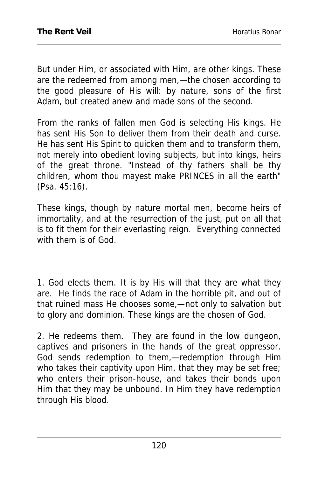But under Him, or associated with Him, are other kings. These are the redeemed from among men,—the chosen according to the good pleasure of His will: by nature, sons of the first Adam, but created anew and made sons of the second.

From the ranks of fallen men God is selecting His kings. He has sent His Son to deliver them from their death and curse. He has sent His Spirit to quicken them and to transform them, not merely into obedient loving subjects, but into kings, heirs of the great throne. "Instead of thy fathers shall be thy children, whom thou mayest make PRINCES in all the earth" (Psa. 45:16).

These kings, though by nature mortal men, become heirs of immortality, and at the resurrection of the just, put on all that is to fit them for their everlasting reign. Everything connected with them is of God.

1. God elects them. It is by His will that they are what they are. He finds the race of Adam in the horrible pit, and out of that ruined mass He chooses some,—not only to salvation but to glory and dominion. These kings are the chosen of God.

2. He redeems them. They are found in the low dungeon, captives and prisoners in the hands of the great oppressor. God sends redemption to them,—redemption through Him who takes their captivity upon Him, that they may be set free; who enters their prison-house, and takes their bonds upon Him that they may be unbound. In Him they have redemption through His blood.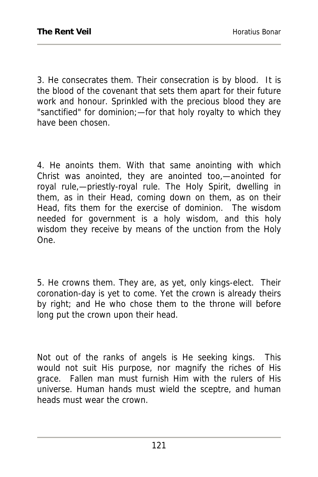3. He consecrates them. Their consecration is by blood. It is the blood of the covenant that sets them apart for their future work and honour. Sprinkled with the precious blood they are "sanctified" for dominion;—for that holy royalty to which they have been chosen.

4. He anoints them. With that same anointing with which Christ was anointed, they are anointed too,—anointed for royal rule,—priestly-royal rule. The Holy Spirit, dwelling in them, as in their Head, coming down on them, as on their Head, fits them for the exercise of dominion. The wisdom needed for government is a holy wisdom, and this holy wisdom they receive by means of the unction from the Holy One.

5. He crowns them. They are, as yet, only kings-elect. Their coronation-day is yet to come. Yet the crown is already theirs by right; and He who chose them to the throne will before long put the crown upon their head.

Not out of the ranks of angels is He seeking kings. This would not suit His purpose, nor magnify the riches of His grace. Fallen man must furnish Him with the rulers of His universe. Human hands must wield the sceptre, and human heads must wear the crown.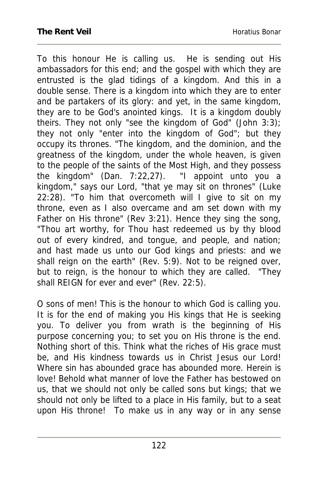To this honour He is calling us. He is sending out His ambassadors for this end; and the gospel with which they are entrusted is the glad tidings of a kingdom. And this in a double sense. There is a kingdom into which they are to enter and be partakers of its glory: and yet, in the same kingdom, they are to be God's anointed kings. It is a kingdom doubly theirs. They not only "see the kingdom of God" (John 3:3); they not only "enter into the kingdom of God"; but they occupy its thrones. "The kingdom, and the dominion, and the greatness of the kingdom, under the whole heaven, is given to the people of the saints of the Most High, and they possess the kingdom" (Dan. 7:22,27). "I appoint unto you a kingdom," says our Lord, "that ye may sit on thrones" (Luke 22:28). "To him that overcometh will I give to sit on my throne, even as I also overcame and am set down with my Father on His throne" (Rev 3:21). Hence they sing the song, "Thou art worthy, for Thou hast redeemed us by thy blood out of every kindred, and tongue, and people, and nation; and hast made us unto our God kings and priests: and we shall reign on the earth" (Rev. 5:9). Not to be reigned over, but to reign, is the honour to which they are called. "They shall REIGN for ever and ever" (Rev. 22:5).

O sons of men! This is the honour to which God is calling you. It is for the end of making you His kings that He is seeking you. To deliver you from wrath is the beginning of His purpose concerning you; to set you on His throne is the end. Nothing short of this. Think what the riches of His grace must be, and His kindness towards us in Christ Jesus our Lord! Where sin has abounded grace has abounded more. Herein is love! Behold what manner of love the Father has bestowed on us, that we should not only be called sons but kings; that we should not only be lifted to a place in His family, but to a seat upon His throne! To make us in any way or in any sense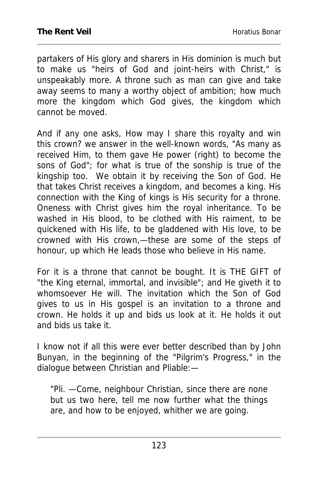partakers of His glory and sharers in His dominion is much but to make us "heirs of God and joint-heirs with Christ," is unspeakably more. A throne such as man can give and take away seems to many a worthy object of ambition; how much more the kingdom which God gives, the kingdom which cannot be moved.

And if any one asks, How may I share this royalty and win this crown? we answer in the well-known words, "As many as received Him, to them gave He power (right) to become the sons of God"; for what is true of the sonship is true of the kingship too. We obtain it by receiving the Son of God. He that takes Christ receives a kingdom, and becomes a king. His connection with the King of kings is His security for a throne. Oneness with Christ gives him the royal inheritance. To be washed in His blood, to be clothed with His raiment, to be quickened with His life, to be gladdened with His love, to be crowned with His crown,—these are some of the steps of honour, up which He leads those who believe in His name.

For it is a throne that cannot be bought. It is THE GIFT of "the King eternal, immortal, and invisible"; and He giveth it to whomsoever He will. The invitation which the Son of God gives to us in His gospel is an invitation to a throne and crown. He holds it up and bids us look at it. He holds it out and bids us take it.

I know not if all this were ever better described than by John Bunyan, in the beginning of the "Pilgrim's Progress," in the dialogue between Christian and Pliable:—

"Pli. —Come, neighbour Christian, since there are none but us two here, tell me now further what the things are, and how to be enjoyed, whither we are going.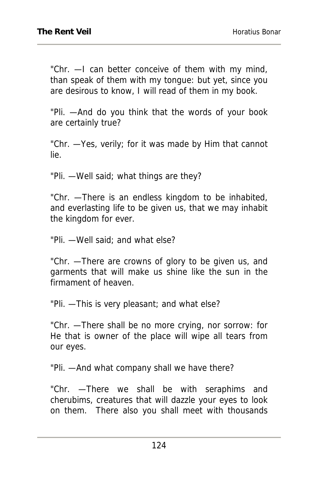"Chr. —I can better conceive of them with my mind, than speak of them with my tongue: but yet, since you are desirous to know, I will read of them in my book.

"Pli. —And do you think that the words of your book are certainly true?

"Chr. —Yes, verily; for it was made by Him that cannot lie.

"Pli. —Well said; what things are they?

"Chr. —There is an endless kingdom to be inhabited, and everlasting life to be given us, that we may inhabit the kingdom for ever.

"Pli. —Well said; and what else?

"Chr. —There are crowns of glory to be given us, and garments that will make us shine like the sun in the firmament of heaven.

"Pli. —This is very pleasant; and what else?

"Chr. —There shall be no more crying, nor sorrow: for He that is owner of the place will wipe all tears from our eyes.

"Pli. —And what company shall we have there?

"Chr. —There we shall be with seraphims and cherubims, creatures that will dazzle your eyes to look on them. There also you shall meet with thousands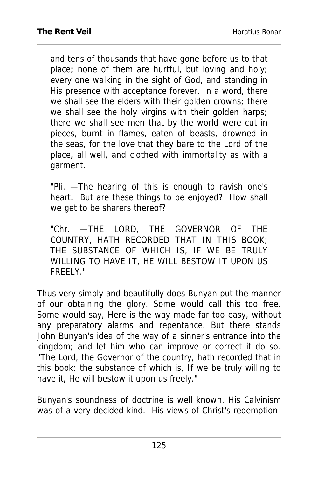and tens of thousands that have gone before us to that place; none of them are hurtful, but loving and holy; every one walking in the sight of God, and standing in His presence with acceptance forever. In a word, there we shall see the elders with their golden crowns; there we shall see the holy virgins with their golden harps; there we shall see men that by the world were cut in pieces, burnt in flames, eaten of beasts, drowned in the seas, for the love that they bare to the Lord of the place, all well, and clothed with immortality as with a garment.

"Pli. —The hearing of this is enough to ravish one's heart. But are these things to be enjoyed? How shall we get to be sharers thereof?

"Chr. —THE LORD, THE GOVERNOR OF THE COUNTRY, HATH RECORDED THAT IN THIS BOOK; THE SUBSTANCE OF WHICH IS, IF WE BE TRULY WILLING TO HAVE IT, HE WILL BESTOW IT UPON US FREELY."

Thus very simply and beautifully does Bunyan put the manner of our obtaining the glory. Some would call this too free. Some would say, Here is the way made far too easy, without any preparatory alarms and repentance. But there stands John Bunyan's idea of the way of a sinner's entrance into the kingdom; and let him who can improve or correct it do so. "The Lord, the Governor of the country, hath recorded that in this book; the substance of which is, If we be truly willing to have it, He will bestow it upon us freely."

Bunyan's soundness of doctrine is well known. His Calvinism was of a very decided kind. His views of Christ's redemption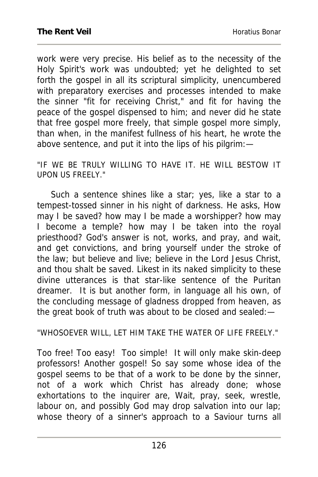work were very precise. His belief as to the necessity of the Holy Spirit's work was undoubted; yet he delighted to set forth the gospel in all its scriptural simplicity, unencumbered with preparatory exercises and processes intended to make the sinner "fit for receiving Christ," and fit for having the peace of the gospel dispensed to him; and never did he state that free gospel more freely, that simple gospel more simply, than when, in the manifest fullness of his heart, he wrote the above sentence, and put it into the lips of his pilgrim:—

"IF WE BE TRULY WILLING TO HAVE IT. HE WILL BESTOW IT UPON US FREELY."

Such a sentence shines like a star; yes, like a star to a tempest-tossed sinner in his night of darkness. He asks, How may I be saved? how may I be made a worshipper? how may I become a temple? how may I be taken into the royal priesthood? God's answer is not, works, and pray, and wait, and get convictions, and bring yourself under the stroke of the law; but believe and live; believe in the Lord Jesus Christ, and thou shalt be saved. Likest in its naked simplicity to these divine utterances is that star-like sentence of the Puritan dreamer. It is but another form, in language all his own, of the concluding message of gladness dropped from heaven, as the great book of truth was about to be closed and sealed:—

"WHOSOEVER WILL, LET HIM TAKE THE WATER OF LIFE FREELY."

Too free! Too easy! Too simple! It will only make skin-deep professors! Another gospel! So say some whose idea of the gospel seems to be that of a work to be done by the sinner, not of a work which Christ has already done; whose exhortations to the inquirer are, Wait, pray, seek, wrestle, labour on, and possibly God may drop salvation into our lap; whose theory of a sinner's approach to a Saviour turns all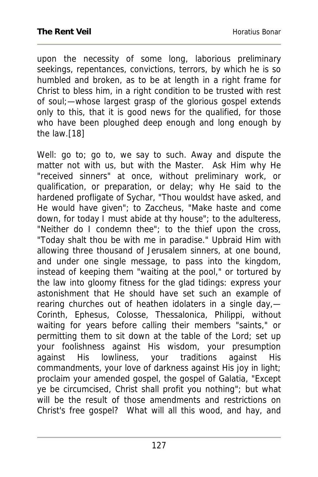upon the necessity of some long, laborious preliminary seekings, repentances, convictions, terrors, by which he is so humbled and broken, as to be at length in a right frame for Christ to bless him, in a right condition to be trusted with rest of soul;—whose largest grasp of the glorious gospel extends only to this, that it is good news for the qualified, for those who have been ploughed deep enough and long enough by the law.[18]

Well: go to; go to, we say to such. Away and dispute the matter not with us, but with the Master. Ask Him why He "received sinners" at once, without preliminary work, or qualification, or preparation, or delay; why He said to the hardened profligate of Sychar, "Thou wouldst have asked, and He would have given"; to Zaccheus, "Make haste and come down, for today I must abide at thy house"; to the adulteress, "Neither do I condemn thee"; to the thief upon the cross, "Today shalt thou be with me in paradise." Upbraid Him with allowing three thousand of Jerusalem sinners, at one bound, and under one single message, to pass into the kingdom, instead of keeping them "waiting at the pool," or tortured by the law into gloomy fitness for the glad tidings: express your astonishment that He should have set such an example of rearing churches out of heathen idolaters in a single day,— Corinth, Ephesus, Colosse, Thessalonica, Philippi, without waiting for years before calling their members "saints," or permitting them to sit down at the table of the Lord; set up your foolishness against His wisdom, your presumption against His lowliness, your traditions against His commandments, your love of darkness against His joy in light; proclaim your amended gospel, the gospel of Galatia, "Except ye be circumcised, Christ shall profit you nothing"; but what will be the result of those amendments and restrictions on Christ's free gospel? What will all this wood, and hay, and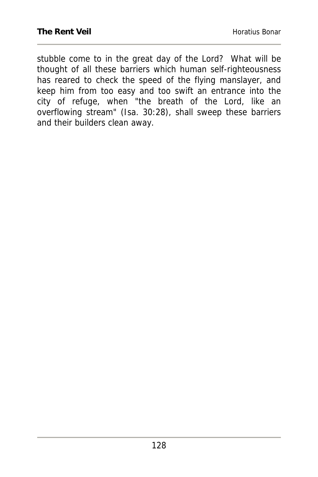stubble come to in the great day of the Lord? What will be thought of all these barriers which human self-righteousness has reared to check the speed of the flying manslayer, and keep him from too easy and too swift an entrance into the city of refuge, when "the breath of the Lord, like an overflowing stream" (Isa. 30:28), shall sweep these barriers and their builders clean away.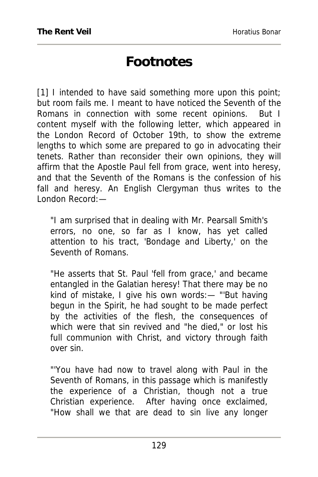### **Footnotes**

[1] I intended to have said something more upon this point; but room fails me. I meant to have noticed the Seventh of the Romans in connection with some recent opinions. But I content myself with the following letter, which appeared in the London Record of October 19th, to show the extreme lengths to which some are prepared to go in advocating their tenets. Rather than reconsider their own opinions, they will affirm that the Apostle Paul fell from grace, went into heresy, and that the Seventh of the Romans is the confession of his fall and heresy. An English Clergyman thus writes to the London Record:—

"I am surprised that in dealing with Mr. Pearsall Smith's errors, no one, so far as I know, has yet called attention to his tract, 'Bondage and Liberty,' on the Seventh of Romans.

"He asserts that St. Paul 'fell from grace,' and became entangled in the Galatian heresy! That there may be no kind of mistake, I give his own words:— "'But having begun in the Spirit, he had sought to be made perfect by the activities of the flesh, the consequences of which were that sin revived and "he died," or lost his full communion with Christ, and victory through faith over sin.

"'You have had now to travel along with Paul in the Seventh of Romans, in this passage which is manifestly the experience of a Christian, though not a true Christian experience. After having once exclaimed, "How shall we that are dead to sin live any longer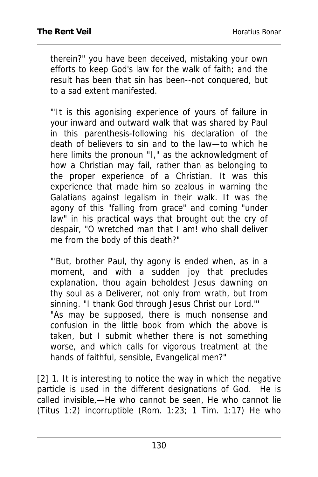therein?" you have been deceived, mistaking your own efforts to keep God's law for the walk of faith; and the result has been that sin has been--not conquered, but to a sad extent manifested.

"'It is this agonising experience of yours of failure in your inward and outward walk that was shared by Paul in this parenthesis-following his declaration of the death of believers to sin and to the law—to which he here limits the pronoun "I," as the acknowledgment of how a Christian may fail, rather than as belonging to the proper experience of a Christian. It was this experience that made him so zealous in warning the Galatians against legalism in their walk. It was the agony of this "falling from grace" and coming "under law" in his practical ways that brought out the cry of despair, "O wretched man that I am! who shall deliver me from the body of this death?"

"'But, brother Paul, thy agony is ended when, as in a moment, and with a sudden joy that precludes explanation, thou again beholdest Jesus dawning on thy soul as a Deliverer, not only from wrath, but from sinning. "I thank God through Jesus Christ our Lord."' "As may be supposed, there is much nonsense and confusion in the little book from which the above is taken, but I submit whether there is not something worse, and which calls for vigorous treatment at the hands of faithful, sensible, Evangelical men?"

[2] 1. It is interesting to notice the way in which the negative particle is used in the different designations of God. He is called invisible,—He who cannot be seen, He who cannot lie (Titus 1:2) incorruptible (Rom. 1:23; 1 Tim. 1:17) He who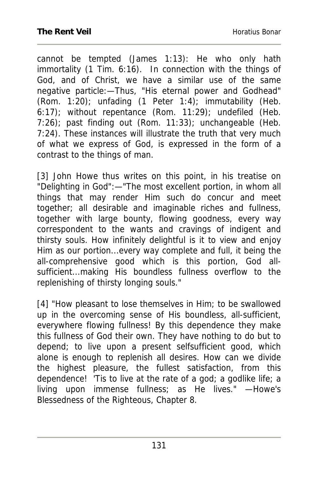cannot be tempted (James 1:13): He who only hath immortality (1 Tim. 6:16). In connection with the things of God, and of Christ, we have a similar use of the same negative particle:—Thus, "His eternal power and Godhead" (Rom. 1:20); unfading (1 Peter 1:4); immutability (Heb. 6:17); without repentance (Rom. 11:29); undefiled (Heb. 7:26); past finding out (Rom. 11:33); unchangeable (Heb. 7:24). These instances will illustrate the truth that very much of what we express of God, is expressed in the form of a contrast to the things of man.

[3] John Howe thus writes on this point, in his treatise on "Delighting in God":—"The most excellent portion, in whom all things that may render Him such do concur and meet together; all desirable and imaginable riches and fullness, together with large bounty, flowing goodness, every way correspondent to the wants and cravings of indigent and thirsty souls. How infinitely delightful is it to view and enjoy Him as our portion...every way complete and full, it being the all-comprehensive good which is this portion, God allsufficient...making His boundless fullness overflow to the replenishing of thirsty longing souls."

[4] "How pleasant to lose themselves in Him; to be swallowed up in the overcoming sense of His boundless, all-sufficient, everywhere flowing fullness! By this dependence they make this fullness of God their own. They have nothing to do but to depend; to live upon a present selfsufficient good, which alone is enough to replenish all desires. How can we divide the highest pleasure, the fullest satisfaction, from this dependence! 'Tis to live at the rate of a god; a godlike life; a living upon immense fullness; as He lives." —Howe's Blessedness of the Righteous, Chapter 8.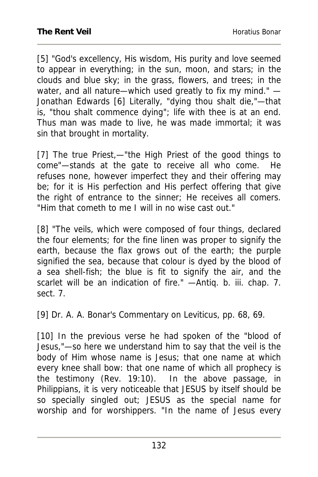[5] "God's excellency, His wisdom, His purity and love seemed to appear in everything; in the sun, moon, and stars; in the clouds and blue sky; in the grass, flowers, and trees; in the water, and all nature—which used greatly to fix my mind." — Jonathan Edwards [6] Literally, "dying thou shalt die,"—that is, "thou shalt commence dying"; life with thee is at an end. Thus man was made to live, he was made immortal; it was sin that brought in mortality.

[7] The true Priest,—"the High Priest of the good things to come"—stands at the gate to receive all who come. He refuses none, however imperfect they and their offering may be; for it is His perfection and His perfect offering that give the right of entrance to the sinner; He receives all comers. "Him that cometh to me I will in no wise cast out."

[8] "The veils, which were composed of four things, declared the four elements; for the fine linen was proper to signify the earth, because the flax grows out of the earth; the purple signified the sea, because that colour is dyed by the blood of a sea shell-fish; the blue is fit to signify the air, and the scarlet will be an indication of fire." —Antiq. b. iii. chap. 7. sect. 7.

[9] Dr. A. A. Bonar's Commentary on Leviticus, pp. 68, 69.

[10] In the previous verse he had spoken of the "blood of Jesus,"—so here we understand him to say that the veil is the body of Him whose name is Jesus; that one name at which every knee shall bow: that one name of which all prophecy is the testimony (Rev. 19:10). In the above passage, in Philippians, it is very noticeable that JESUS by itself should be so specially singled out; JESUS as the special name for worship and for worshippers. "In the name of Jesus every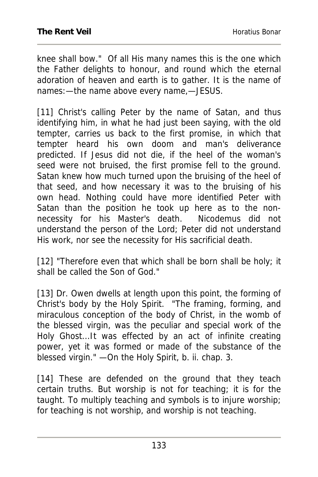knee shall bow." Of all His many names this is the one which the Father delights to honour, and round which the eternal adoration of heaven and earth is to gather. It is the name of names:—the name above every name,—JESUS.

[11] Christ's calling Peter by the name of Satan, and thus identifying him, in what he had just been saying, with the old tempter, carries us back to the first promise, in which that tempter heard his own doom and man's deliverance predicted. If Jesus did not die, if the heel of the woman's seed were not bruised, the first promise fell to the ground. Satan knew how much turned upon the bruising of the heel of that seed, and how necessary it was to the bruising of his own head. Nothing could have more identified Peter with Satan than the position he took up here as to the nonnecessity for his Master's death. Nicodemus did not understand the person of the Lord; Peter did not understand His work, nor see the necessity for His sacrificial death.

[12] "Therefore even that which shall be born shall be holy; it shall be called the Son of God."

[13] Dr. Owen dwells at length upon this point, the forming of Christ's body by the Holy Spirit. "The framing, forming, and miraculous conception of the body of Christ, in the womb of the blessed virgin, was the peculiar and special work of the Holy Ghost...It was effected by an act of infinite creating power, yet it was formed or made of the substance of the blessed virgin." —On the Holy Spirit, b. ii. chap. 3.

[14] These are defended on the ground that they teach certain truths. But worship is not for teaching; it is for the taught. To multiply teaching and symbols is to injure worship; for teaching is not worship, and worship is not teaching.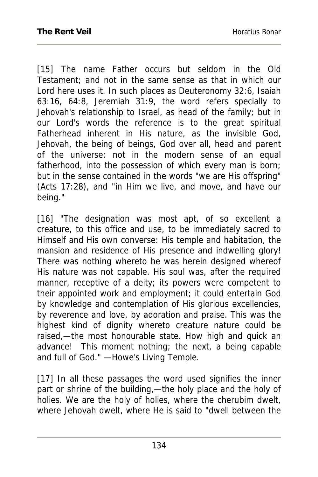[15] The name Father occurs but seldom in the Old Testament; and not in the same sense as that in which our Lord here uses it. In such places as Deuteronomy 32:6, Isaiah 63:16, 64:8, Jeremiah 31:9, the word refers specially to Jehovah's relationship to Israel, as head of the family; but in our Lord's words the reference is to the great spiritual Fatherhead inherent in His nature, as the invisible God, Jehovah, the being of beings, God over all, head and parent of the universe: not in the modern sense of an equal fatherhood, into the possession of which every man is born; but in the sense contained in the words "we are His offspring" (Acts 17:28), and "in Him we live, and move, and have our being."

[16] "The designation was most apt, of so excellent a creature, to this office and use, to be immediately sacred to Himself and His own converse: His temple and habitation, the mansion and residence of His presence and indwelling glory! There was nothing whereto he was herein designed whereof His nature was not capable. His soul was, after the required manner, receptive of a deity; its powers were competent to their appointed work and employment; it could entertain God by knowledge and contemplation of His glorious excellencies, by reverence and love, by adoration and praise. This was the highest kind of dignity whereto creature nature could be raised,—the most honourable state. How high and quick an advance! This moment nothing; the next, a being capable and full of God." —Howe's Living Temple.

[17] In all these passages the word used signifies the inner part or shrine of the building,—the holy place and the holy of holies. We are the holy of holies, where the cherubim dwelt, where Jehovah dwelt, where He is said to "dwell between the